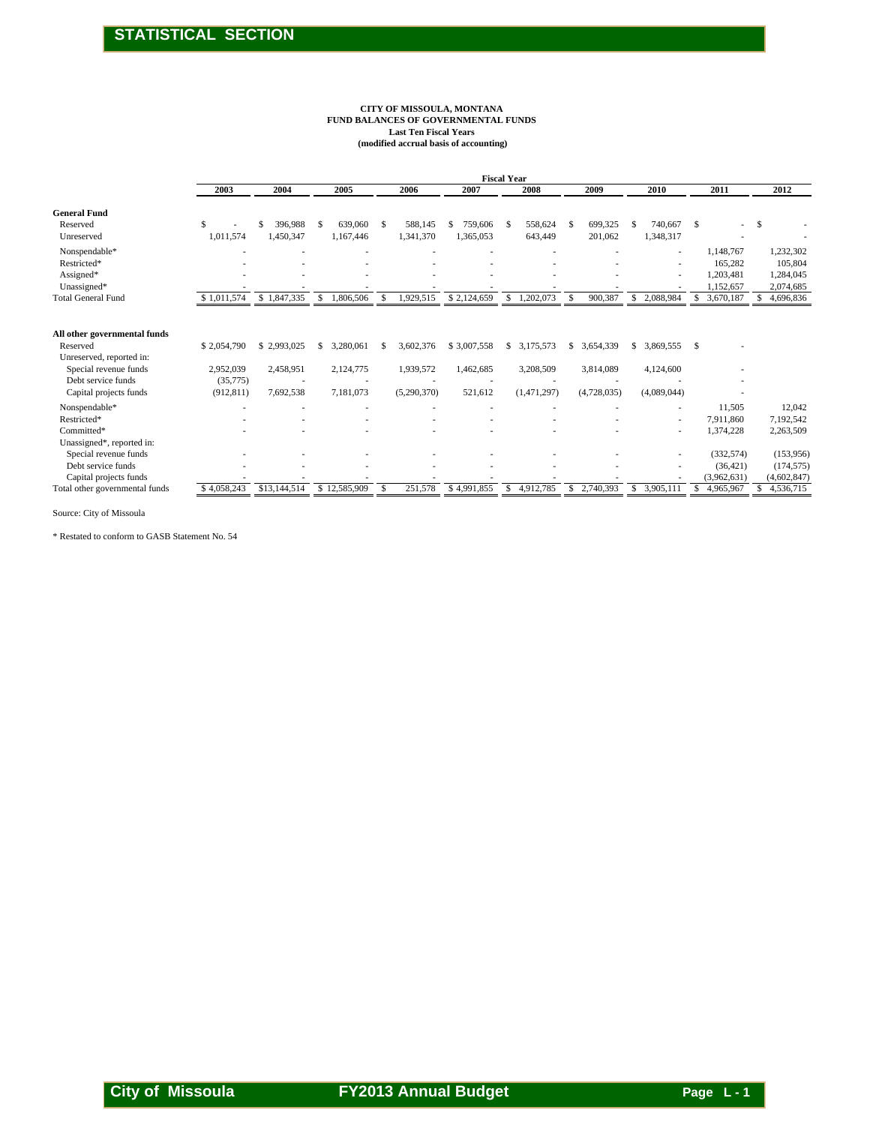#### **CITY OF MISSOULA, MONTANA FUND BALANCES OF GOVERNMENTAL FUNDS Last Ten Fiscal Years (modified accrual basis of accounting)**

|                                                                                                                                               |                                                    |                                       |                                           |                                            |                                     | <b>Fiscal Year</b>                      |                                             |                                             |                                        |                                        |
|-----------------------------------------------------------------------------------------------------------------------------------------------|----------------------------------------------------|---------------------------------------|-------------------------------------------|--------------------------------------------|-------------------------------------|-----------------------------------------|---------------------------------------------|---------------------------------------------|----------------------------------------|----------------------------------------|
|                                                                                                                                               | 2003                                               | 2004                                  | 2005                                      | 2006                                       | 2007                                | 2008                                    | 2009                                        | 2010                                        | 2011                                   | 2012                                   |
| <b>General Fund</b>                                                                                                                           |                                                    |                                       |                                           |                                            |                                     |                                         |                                             |                                             |                                        |                                        |
| Reserved                                                                                                                                      | S.                                                 | 396.988                               | 639,060<br>\$                             | 588,145<br><sup>\$</sup>                   | 759,606<br>\$                       | 558,624<br>S                            | 699,325<br>\$                               | 740,667<br>S                                | S                                      | <sup>\$</sup>                          |
| Unreserved                                                                                                                                    | 1,011,574                                          | 1,450,347                             | 1,167,446                                 | 1,341,370                                  | 1,365,053                           | 643,449                                 | 201,062                                     | 1,348,317                                   |                                        |                                        |
| Nonspendable*                                                                                                                                 |                                                    |                                       |                                           |                                            |                                     |                                         |                                             |                                             | 1,148,767                              | 1,232,302                              |
| Restricted*                                                                                                                                   |                                                    |                                       |                                           |                                            |                                     |                                         |                                             |                                             | 165,282                                | 105,804                                |
| Assigned*                                                                                                                                     |                                                    |                                       |                                           |                                            |                                     |                                         |                                             |                                             | 1,203,481                              | 1,284,045                              |
| Unassigned*                                                                                                                                   |                                                    |                                       |                                           |                                            |                                     |                                         |                                             |                                             | 1,152,657                              | 2,074,685                              |
| <b>Total General Fund</b>                                                                                                                     | \$1.011.574                                        | \$1,847,335                           | \$<br>1,806,506                           | 1,929,515<br><sup>\$</sup>                 | \$2,124,659                         | \$<br>1,202,073                         | 900,387<br>$\mathcal{S}$                    | \$<br>2,088,984                             | \$<br>3,670,187                        | 4,696,836                              |
| All other governmental funds<br>Reserved<br>Unreserved, reported in:<br>Special revenue funds<br>Debt service funds<br>Capital projects funds | \$2,054,790<br>2,952,039<br>(35,775)<br>(912, 811) | \$2,993,025<br>2,458,951<br>7,692,538 | \$<br>3,280,061<br>2,124,775<br>7,181,073 | 3,602,376<br>S<br>1,939,572<br>(5,290,370) | \$3,007,558<br>1,462,685<br>521,612 | \$3,175,573<br>3,208,509<br>(1,471,297) | \$<br>3,654,339<br>3,814,089<br>(4,728,035) | \$<br>3,869,555<br>4,124,600<br>(4,089,044) | \$                                     |                                        |
| Nonspendable*                                                                                                                                 |                                                    |                                       |                                           |                                            |                                     |                                         |                                             |                                             | 11,505                                 | 12,042                                 |
| Restricted*                                                                                                                                   |                                                    |                                       |                                           |                                            |                                     |                                         |                                             |                                             | 7,911,860                              | 7,192,542                              |
| Committed*                                                                                                                                    |                                                    |                                       |                                           |                                            |                                     |                                         |                                             |                                             | 1,374,228                              | 2,263,509                              |
| Unassigned*, reported in:<br>Special revenue funds<br>Debt service funds<br>Capital projects funds                                            |                                                    |                                       |                                           |                                            |                                     |                                         |                                             |                                             | (332, 574)<br>(36, 421)<br>(3,962,631) | (153,956)<br>(174, 575)<br>(4,602,847) |
| Total other governmental funds                                                                                                                | \$4,058,243                                        | \$13,144,514                          | \$12,585,909                              | 251,578<br>S                               | \$4,991,855                         | 4,912,785<br>\$                         | \$ 2,740,393                                | \$ 3,905,111                                | S<br>4,965,967                         | 4,536,715                              |
|                                                                                                                                               |                                                    |                                       |                                           |                                            |                                     |                                         |                                             |                                             |                                        |                                        |

Source: City of Missoula

\* Restated to conform to GASB Statement No. 54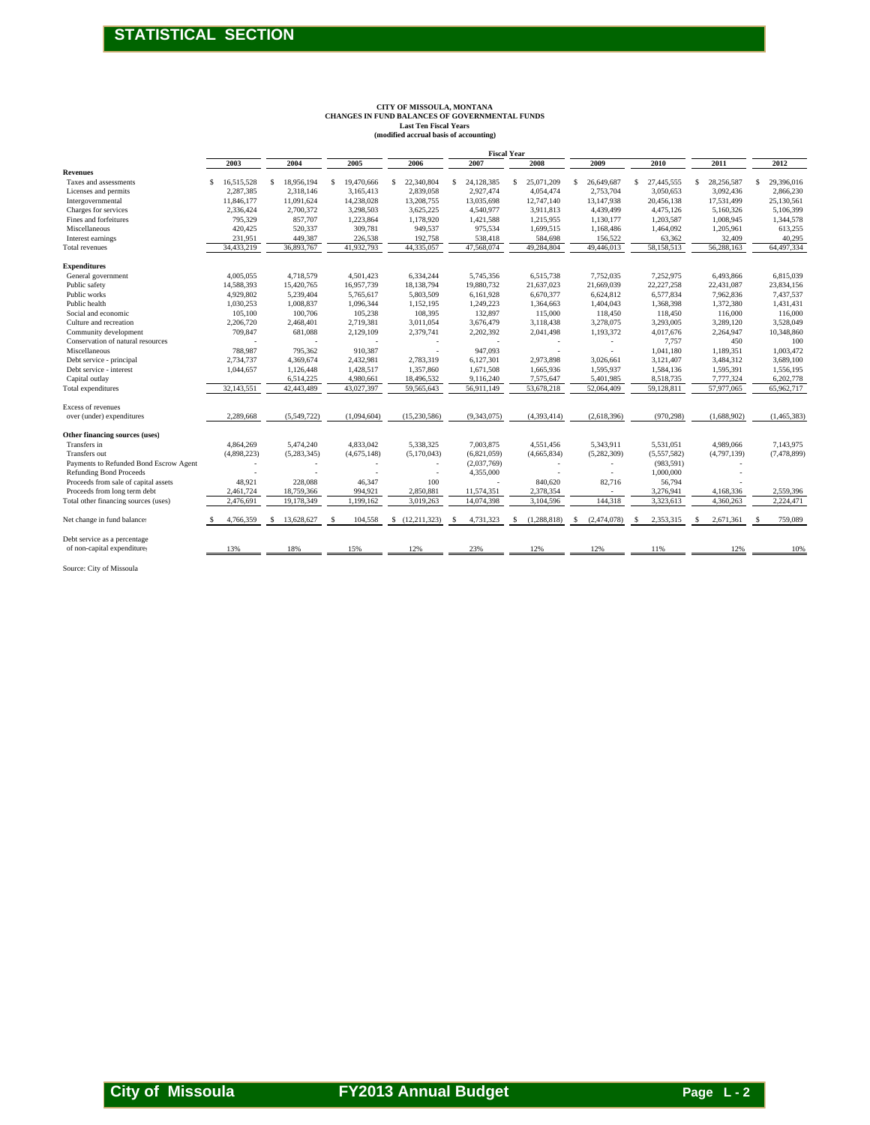# **CITY OF MISSOULA, MONTANA CHANGES IN FUND BALANCES OF GOVERNMENTAL FUNDS Last Ten Fiscal Years (modified accrual basis of accounting)**

|                                                                          |                         |                          | CHANGES IN FUND BALANCES OF GOVERNMENTAL FUNDS | CITY OF MISSOULA, MONTANA<br><b>Last Ten Fiscal Years</b><br>(modified accrual basis of accounting) |                          |                            |                         |                         |                         |                         |
|--------------------------------------------------------------------------|-------------------------|--------------------------|------------------------------------------------|-----------------------------------------------------------------------------------------------------|--------------------------|----------------------------|-------------------------|-------------------------|-------------------------|-------------------------|
|                                                                          | 2003                    | 2004                     | 2005                                           | 2006                                                                                                | 2007                     | <b>Fiscal Year</b><br>2008 | 2009                    | 2010                    | 2011                    | 2012                    |
| <b>Revenues</b><br>Taxes and assessments                                 | \$16,515,528            | 18,956,194<br>\$         | 19,470,666<br>\$                               | $\mathbb{S}$<br>22,340,804                                                                          | 24,128,385<br>\$         | $\mathsf{s}$<br>25,071,209 | 26,649,687<br>\$        | \$<br>27,445,555        | \$<br>28,256,587        | \$<br>29,396,016        |
| Licenses and permits<br>Intergovernmental                                | 2,287,385<br>11,846,177 | 2,318,146<br>11,091,624  | 3,165,413<br>14,238,028                        | 2,839,058<br>13,208,755                                                                             | 2,927,474<br>13,035,698  | 4,054,474<br>12,747,140    | 2,753,704<br>13,147,938 | 3,050,653<br>20,456,138 | 3,092,436<br>17,531,499 | 2,866,230<br>25,130,561 |
| Charges for services                                                     | 2,336,424               | 2,700,372                | 3,298,503                                      | 3,625,225                                                                                           | 4,540,977<br>1,421,588   | 3,911,813                  | 4,439,499               | 4,475,126               | 5,160,326               | 5,106,399               |
| Fines and forfeitures<br>Miscellaneous                                   | 795,329<br>420,425      | 857,707<br>520,337       | 1,223,864<br>309,781                           | 1,178,920<br>949,537                                                                                | 975,534                  | 1,215,955<br>1,699,515     | 1,130,177<br>1,168,486  | 1,203,587<br>1,464,092  | 1,008,945<br>1,205,961  | 1,344,578<br>613,255    |
| Interest earnings<br>Total revenues                                      | 231,951<br>34,433,219   | 449,387<br>36,893,767    | 226,538<br>41,932,793                          | 192,758<br>44,335,057                                                                               | 538,418<br>47,568,074    | 584,698<br>49,284,804      | 156,522<br>49,446,013   | 63,362<br>58,158,513    | 32,409<br>56,288,163    | 40,295<br>64,497,334    |
| <b>Expenditures</b>                                                      |                         |                          |                                                |                                                                                                     |                          |                            |                         |                         |                         |                         |
| General government<br>Public safety                                      | 4,005,055<br>14,588,393 | 4,718,579<br>15,420,765  | 4,501,423<br>16,957,739                        | 6,334,244<br>18,138,794                                                                             | 5,745,356<br>19,880,732  | 6,515,738<br>21,637,023    | 7,752,035<br>21,669,039 | 7,252,975<br>22,227,258 | 6,493,866<br>22,431,087 | 6,815,039<br>23,834,156 |
| Public works                                                             | 4,929,802               | 5,239,404                | 5,765,617                                      | 5,803,509                                                                                           | 6,161,928                | 6,670,377                  | 6,624,812               | 6,577,834               | 7,962,836               | 7,437,537               |
| Public health<br>Social and economic                                     | 1,030,253<br>105,100    | 1,008,837<br>100,706     | 1,096,344<br>105,238                           | 1,152,195<br>108,395                                                                                | 1,249,223<br>132,897     | 1,364,663<br>115,000       | 1,404,043<br>118,450    | 1,368,398<br>118,450    | 1,372,380<br>116,000    | 1,431,431<br>116,000    |
| Culture and recreation                                                   | 2,206,720               | 2,468,401                | 2,719,381                                      | 3,011,054                                                                                           | 3,676,479                | 3,118,438                  | 3,278,075               | 3,293,005               | 3,289,120               | 3,528,049               |
| Community development<br>Conservation of natural resources               | 709,847                 | 681,088                  | 2,129,109                                      | 2,379,741                                                                                           | 2,202,392                | 2,041,498                  | 1,193,372               | 4,017,676<br>7,757      | 2,264,947<br>450        | 10,348,860<br>100       |
| Miscellaneous<br>Debt service - principal                                | 788,987<br>2,734,737    | 795,362<br>4,369,674     | 910,387<br>2,432,981                           | 2,783,319                                                                                           | 947,093<br>6,127,301     | 2,973,898                  | 3,026,661               | 1,041,180<br>3,121,407  | 1,189,351<br>3,484,312  | 1,003,472<br>3,689,100  |
| Debt service - interest                                                  | 1,044,657               | 1,126,448                | 1,428,517                                      | 1,357,860                                                                                           | 1,671,508                | 1,665,936                  | 1,595,937               | 1,584,136               | 1,595,391               | 1,556,195               |
| Capital outlay<br>Total expenditures                                     | 32,143,551              | 6,514,225<br>42,443,489  | 4,980,661<br>43,027,397                        | 18,496,532<br>59,565,643                                                                            | 9,116,240<br>56,911,149  | 7,575,647<br>53,678,218    | 5,401,985<br>52,064,409 | 8,518,735<br>59,128,811 | 7,777,324<br>57,977,065 | 6,202,778<br>65,962,717 |
| Excess of revenues                                                       |                         |                          |                                                |                                                                                                     |                          |                            |                         |                         |                         |                         |
| over (under) expenditures                                                | 2,289,668               | (5,549,722)              | (1,094,604)                                    | (15, 230, 586)                                                                                      | (9,343,075)              | (4,393,414)                | (2,618,396)             | (970, 298)              | (1,688,902)             | (1,465,383)             |
| Other financing sources (uses)<br>Transfers in                           | 4,864,269               | 5,474,240                | 4,833,042                                      | 5,338,325                                                                                           | 7,003,875                | 4,551,456                  | 5,343,911               | 5,531,051               | 4,989,066               | 7,143,975               |
| Transfers out                                                            | (4,898,223)             | (5,283,345)              | (4,675,148)                                    | (5,170,043)                                                                                         | (6,821,059)              | (4,665,834)                | (5,282,309)             | (5,557,582)             | (4,797,139)             | (7, 478, 899)           |
| Payments to Refunded Bond Escrow Agent<br><b>Refunding Bond Proceeds</b> |                         |                          |                                                |                                                                                                     | (2,037,769)<br>4,355,000 |                            | $\sim$<br>×             | (983, 591)<br>1,000,000 |                         |                         |
| Proceeds from sale of capital assets                                     | 48,921                  | 228,088                  | 46,347                                         | 100                                                                                                 |                          | 840,620                    | 82,716                  | 56,794                  |                         | 2,559,396               |
| Proceeds from long term debt<br>Total other financing sources (uses)     | 2,461,724<br>2,476,691  | 18,759,366<br>19,178,349 | 994,921<br>1,199,162                           | 2,850,881<br>3,019,263                                                                              | 11,574,351<br>14,074,398 | 2,378,354<br>3,104,596     | 144,318                 | 3,276,941<br>3,323,613  | 4,168,336<br>4,360,263  | 2,224,471               |
| Net change in fund balances                                              | 4,766,359               | 13,628,627               | 104,558                                        | (12, 211, 323)<br>S                                                                                 | 4,731,323                | (1,288,818)                | (2,474,078)<br>S        | 2,353,315               | 2,671,361               | 759,089                 |
| Debt service as a percentage<br>of non-capital expenditures              | 13%                     | 18%                      | 15%                                            | 12%                                                                                                 | 23%                      | 12%                        | 12%                     | 11%                     | 12%                     | 10%                     |
|                                                                          |                         |                          |                                                |                                                                                                     |                          |                            |                         |                         |                         |                         |
|                                                                          |                         |                          |                                                |                                                                                                     |                          |                            |                         |                         |                         |                         |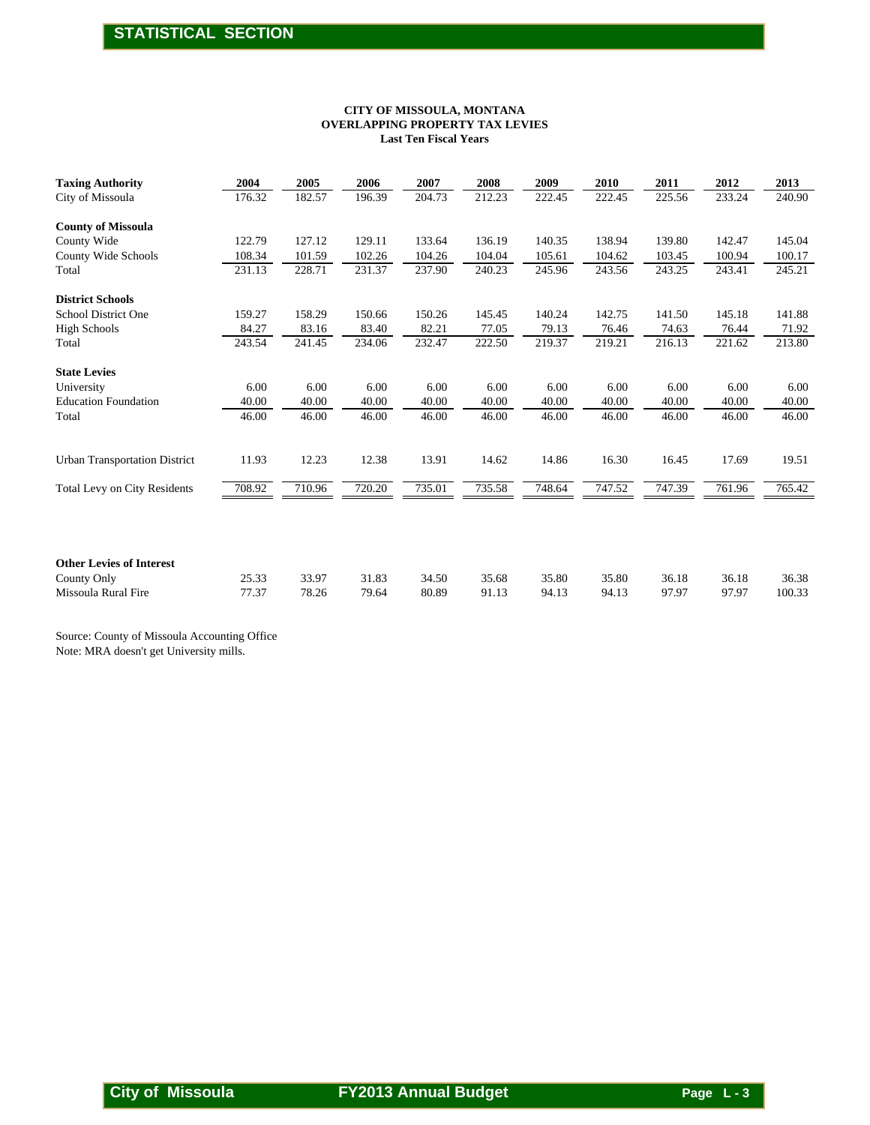#### **Last Ten Fiscal Years OVERLAPPING PROPERTY TAX LEVIES CITY OF MISSOULA, MONTANA**

|                                                |                 |                 | <b>OVERLAPPING PROPERTY TAX LEVIES</b> | <b>Last Ten Fiscal Years</b> | CITY OF MISSOULA, MONTANA |                 |                 |                 |                 |                 |
|------------------------------------------------|-----------------|-----------------|----------------------------------------|------------------------------|---------------------------|-----------------|-----------------|-----------------|-----------------|-----------------|
| <b>Taxing Authority</b><br>City of Missoula    | 2004<br>176.32  | 2005<br>182.57  | 2006<br>196.39                         | 2007<br>204.73               | 2008<br>212.23            | 2009<br>222.45  | 2010<br>222.45  | 2011<br>225.56  | 2012<br>233.24  | 2013<br>240.90  |
|                                                |                 |                 |                                        |                              |                           |                 |                 |                 |                 |                 |
| <b>County of Missoula</b><br>County Wide       | 122.79          | 127.12          | 129.11                                 | 133.64                       | 136.19                    | 140.35          | 138.94          | 139.80          | 142.47          | 145.04          |
| County Wide Schools                            | 108.34          | 101.59          | 102.26                                 | 104.26                       | 104.04                    | 105.61          | 104.62          | 103.45          | 100.94          | 100.17          |
| Total                                          | 231.13          | 228.71          | 231.37                                 | 237.90                       | 240.23                    | 245.96          | 243.56          | 243.25          | 243.41          | 245.21          |
| <b>District Schools</b>                        |                 |                 |                                        |                              |                           |                 |                 |                 |                 |                 |
| School District One<br><b>High Schools</b>     | 159.27          | 158.29          | 150.66                                 | 150.26                       | 145.45                    | 140.24          | 142.75          | 141.50          | 145.18          | 141.88          |
| Total                                          | 84.27<br>243.54 | 83.16<br>241.45 | 83.40<br>234.06                        | 82.21<br>232.47              | 77.05<br>222.50           | 79.13<br>219.37 | 76.46<br>219.21 | 74.63<br>216.13 | 76.44<br>221.62 | 71.92<br>213.80 |
|                                                |                 |                 |                                        |                              |                           |                 |                 |                 |                 |                 |
| <b>State Levies</b><br>University              | 6.00            | 6.00            | 6.00                                   | 6.00                         | 6.00                      | 6.00            | 6.00            | 6.00            | 6.00            | 6.00            |
| <b>Education Foundation</b>                    | 40.00           | 40.00           | 40.00                                  | 40.00                        | 40.00                     | 40.00           | 40.00           | 40.00           | 40.00           | 40.00           |
| Total                                          | 46.00           | 46.00           | 46.00                                  | 46.00                        | 46.00                     | 46.00           | 46.00           | 46.00           | 46.00           | 46.00           |
| <b>Urban Transportation District</b>           | 11.93           | 12.23           | 12.38                                  | 13.91                        | 14.62                     | 14.86           | 16.30           | 16.45           | 17.69           | 19.51           |
|                                                |                 |                 | 720.20                                 |                              |                           |                 |                 |                 |                 |                 |
| Total Levy on City Residents                   | 708.92          | 710.96          |                                        | 735.01                       | 735.58                    | 748.64          | 747.52          | 747.39          | 761.96          | 765.42          |
| <b>Other Levies of Interest</b><br>County Only | 25.33           | 33.97           | 31.83                                  | 34.50                        | 35.68                     | 35.80           | 35.80           | 36.18           | 36.18           | 36.38           |
| Missoula Rural Fire                            | 77.37           | 78.26           | 79.64                                  | 80.89                        | 91.13                     | 94.13           | 94.13           | 97.97           | 97.97           | 100.33          |
| Note: MRA doesn't get University mills.        |                 |                 |                                        |                              |                           |                 |                 |                 |                 |                 |
|                                                |                 |                 |                                        |                              |                           |                 |                 |                 |                 |                 |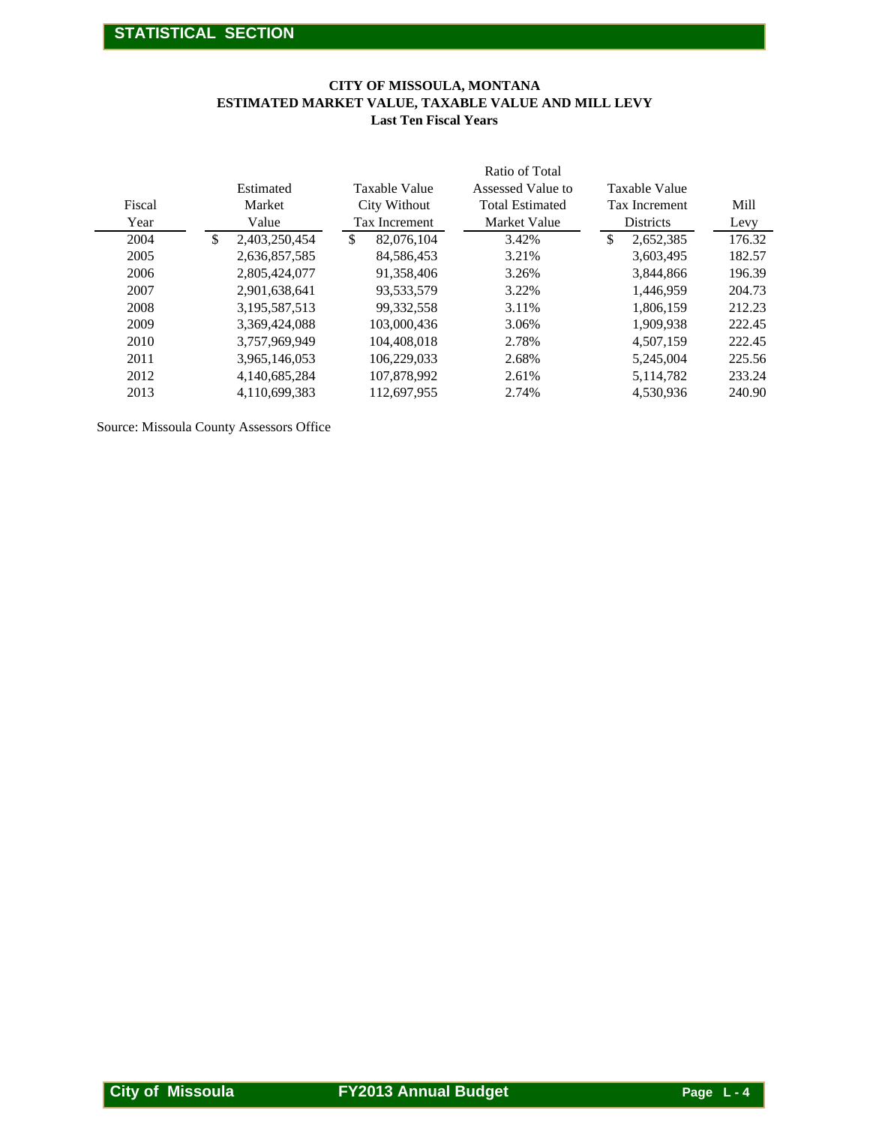#### **CITY OF MISSOULA, MONTANA ESTIMATED MARKET VALUE, TAXABLE VALUE AND MILL LEVY Last Ten Fiscal Years**

|                |                              | CITY OF MISSOULA, MONTANA<br><b>Last Ten Fiscal Years</b> | ESTIMATED MARKET VALUE, TAXABLE VALUE AND MILL LEVY                           |                                                    |              |
|----------------|------------------------------|-----------------------------------------------------------|-------------------------------------------------------------------------------|----------------------------------------------------|--------------|
| Fiscal<br>Year | Estimated<br>Market<br>Value | Taxable Value<br>City Without<br>Tax Increment            | Ratio of Total<br>Assessed Value to<br><b>Total Estimated</b><br>Market Value | <b>Taxable Value</b><br>Tax Increment<br>Districts | Mill<br>Levy |
| 2004           | \$<br>2,403,250,454          | $\frac{1}{2}$<br>82,076,104                               | 3.42%                                                                         | $\$\,$<br>2,652,385                                | 176.32       |
| 2005           | 2,636,857,585                | 84,586,453                                                | 3.21%                                                                         | 3,603,495                                          | 182.57       |
| 2006           | 2,805,424,077                | 91,358,406                                                | 3.26%                                                                         | 3,844,866                                          | 196.39       |
| 2007           | 2,901,638,641                | 93,533,579                                                | 3.22%                                                                         | 1,446,959                                          | 204.73       |
| 2008           | 3,195,587,513                | 99,332,558                                                | 3.11%                                                                         | 1,806,159                                          | 212.23       |
| 2009           | 3,369,424,088                | 103,000,436                                               | 3.06%                                                                         | 1,909,938                                          | 222.45       |
| 2010           | 3,757,969,949                | 104,408,018                                               | 2.78%                                                                         | 4,507,159                                          | 222.45       |
| 2011           | 3,965,146,053                | 106,229,033                                               | 2.68%                                                                         | 5,245,004                                          | 225.56       |
|                |                              |                                                           |                                                                               |                                                    |              |
| 2012           | 4,140,685,284                | 107,878,992                                               | 2.61%                                                                         | 5,114,782                                          | 233.24       |
| 2013           | 4,110,699,383                | 112,697,955                                               | 2.74%                                                                         | 4,530,936                                          | 240.90       |
|                |                              |                                                           |                                                                               |                                                    |              |
|                |                              |                                                           |                                                                               |                                                    |              |
|                |                              |                                                           |                                                                               |                                                    |              |
|                |                              |                                                           |                                                                               |                                                    |              |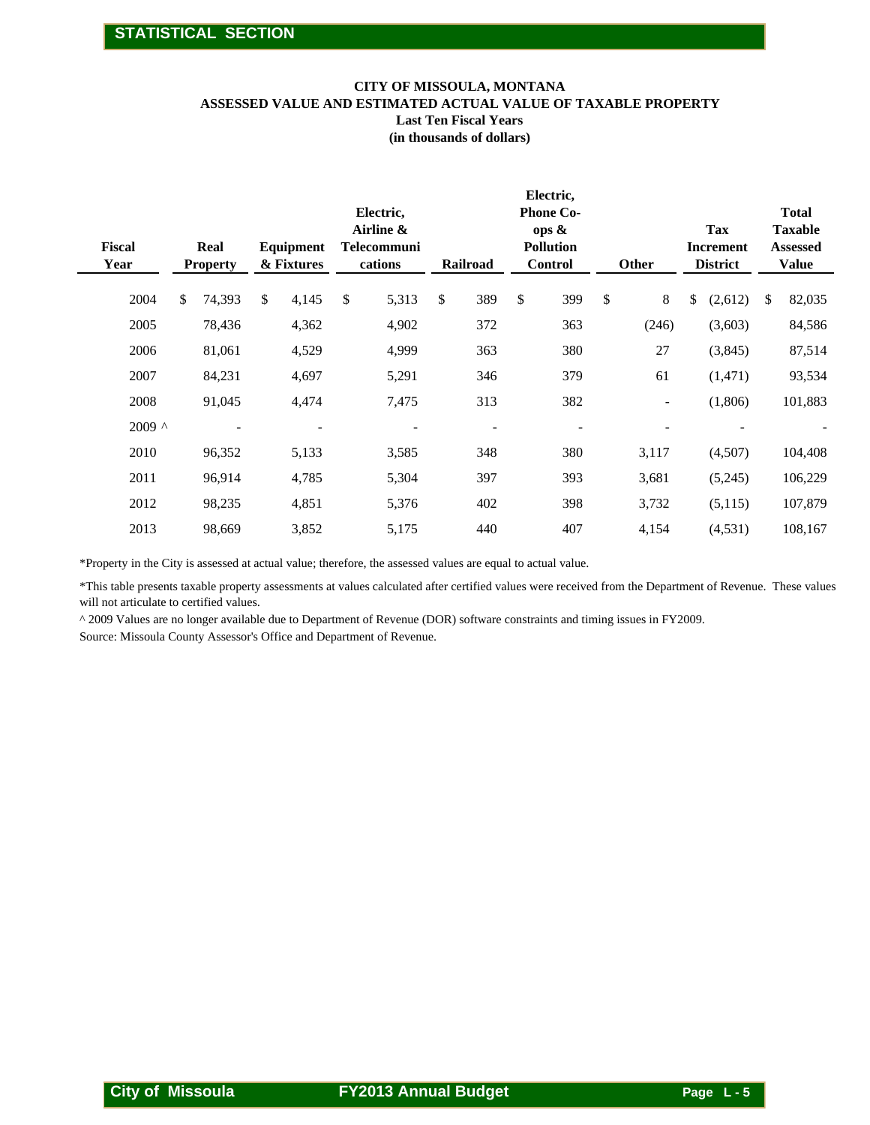#### **CITY OF MISSOULA, MONTANA**

**ASSESSED VALUE AND ESTIMATED ACTUAL VALUE OF TAXABLE PROPERTY**

**Last Ten Fiscal Years**

**(in thousands of dollars)**

| <b>Fiscal</b><br>Year | Real<br><b>Property</b> | Equipment<br>& Fixtures  | Electric,<br>Airline &<br><b>Telecommuni</b><br>cations | Railroad       | Electric,<br><b>Phone Co-</b><br>ops &<br><b>Pollution</b><br><b>Control</b> | Other                    | Tax<br><b>Increment</b><br><b>District</b> | <b>Total</b><br><b>Taxable</b><br><b>Assessed</b><br><b>Value</b> |
|-----------------------|-------------------------|--------------------------|---------------------------------------------------------|----------------|------------------------------------------------------------------------------|--------------------------|--------------------------------------------|-------------------------------------------------------------------|
| 2004                  | \$<br>74,393            | \$<br>4,145              | \$<br>5,313                                             | \$<br>389      | \$<br>399                                                                    | \$<br>$8\,$              | \$<br>(2,612)                              | \$<br>82,035                                                      |
| 2005                  | 78,436                  | 4,362                    | 4,902                                                   | 372            | 363                                                                          | (246)                    | (3,603)                                    | 84,586                                                            |
| 2006                  | 81,061                  | 4,529                    | 4,999                                                   | 363            | 380                                                                          | 27                       | (3,845)                                    | 87,514                                                            |
| 2007                  | 84,231                  | 4,697                    | 5,291                                                   | 346            | 379                                                                          | 61                       | (1, 471)                                   | 93,534                                                            |
| 2008                  | 91,045                  | 4,474                    | 7,475                                                   | 313            | 382                                                                          | $\overline{\phantom{a}}$ | (1,806)                                    | 101,883                                                           |
| $2009$ ^              |                         | $\overline{\phantom{a}}$ |                                                         | $\blacksquare$ | $\overline{\phantom{0}}$                                                     | $\overline{\phantom{a}}$ |                                            |                                                                   |
| 2010                  | 96,352                  | 5,133                    | 3,585                                                   | 348            | 380                                                                          | 3,117                    | (4,507)                                    | 104,408                                                           |
| 2011                  | 96,914                  | 4,785                    | 5,304                                                   | 397            | 393                                                                          | 3,681                    | (5,245)                                    | 106,229                                                           |
| 2012                  | 98,235                  | 4,851                    | 5,376                                                   | 402            | 398                                                                          | 3,732                    | (5,115)                                    | 107,879                                                           |
| 2013                  | 98,669                  | 3,852                    | 5,175                                                   | 440            | 407                                                                          | 4,154                    | (4,531)                                    | 108,167                                                           |

\*Property in the City is assessed at actual value; therefore, the assessed values are equal to actual value.

\*This table presents taxable property assessments at values calculated after certified values were received from the Department of Revenue. These values will not articulate to certified values.

^ 2009 Values are no longer available due to Department of Revenue (DOR) software constraints and timing issues in FY2009.

Source: Missoula County Assessor's Office and Department of Revenue.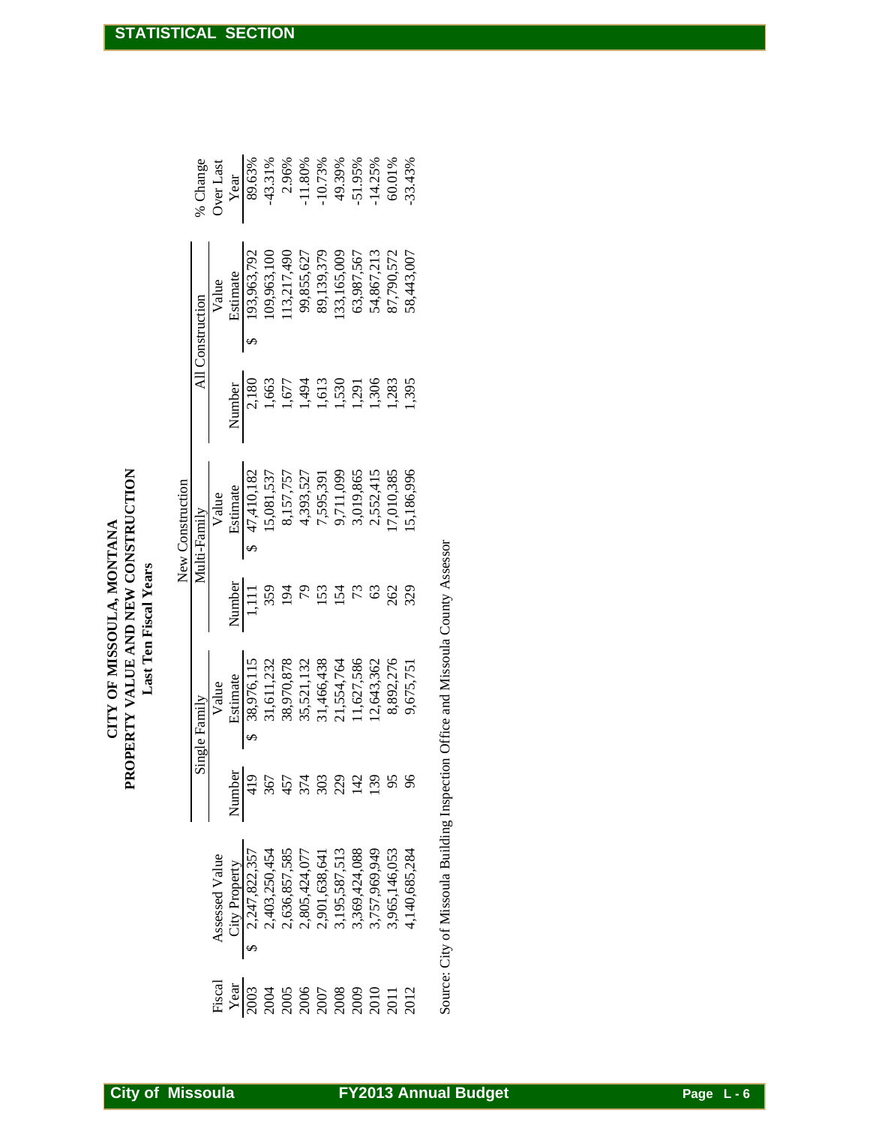|                                                                                                                         |                                          | Single Family                                                                                  |               | New Construction<br>Multi-Family |        | All Construction        | % Change  |
|-------------------------------------------------------------------------------------------------------------------------|------------------------------------------|------------------------------------------------------------------------------------------------|---------------|----------------------------------|--------|-------------------------|-----------|
| Assessed Value                                                                                                          |                                          | Value                                                                                          |               | Value                            |        | Value                   | Over Last |
|                                                                                                                         | Number                                   | Estimate                                                                                       | Number        | Estimate                         | Number | Estimate                | Year      |
| City Property<br>2,247,822,357<br>$\leftrightarrow$                                                                     | 419                                      | \$38,976,11                                                                                    | 1,111         | \$47,410,182                     | 2,180  | 193,963,792<br>$\Theta$ | 89.63%    |
| 2,403,250,454<br>2,636,857,585<br>2,805,424,077<br>2,901,638,641<br>3,195,587,513<br>3,757,969,949<br>3,757,965,146,053 |                                          | 38,976,115<br>31,611,232<br>38,970,878<br>38,521,132<br>31,466,438<br>21,534,764<br>21,524,764 | 359           | 15,081,537                       | 1,663  | 09,963,100              | $-43.31%$ |
|                                                                                                                         |                                          |                                                                                                | 194           | 8,157,757                        | 1,677  | 13,217,490              | 2.96%     |
|                                                                                                                         |                                          |                                                                                                | $\mathcal{L}$ | 4,393,527                        | 1,494  | 99,855,627              | $-11.80%$ |
|                                                                                                                         |                                          |                                                                                                | 153           | 7,595,391                        | 1,613  | 89,139,379              | $-10.73%$ |
|                                                                                                                         | $367$<br>$457$<br>$303$<br>$129$<br>$13$ |                                                                                                | 154           | 9,711,099                        | 530    | 33,165,009              | 49.39%    |
|                                                                                                                         |                                          |                                                                                                | 73            | 3,019,865                        | 1,291  | 63,987,567              | $-51.95%$ |
|                                                                                                                         |                                          |                                                                                                | 63            | 2,552,415                        | 1,306  | 54,867,213              | $-14.25%$ |
|                                                                                                                         | 95                                       | 12,643,362<br>8,892,276                                                                        | 262           | 7,010,385                        | 1,283  | 87,790,572              | 60.01%    |
| 4,140,685,284                                                                                                           | 96                                       | 9,675,751                                                                                      | 329           | 5,186,996                        | ,395   | 58,443,007              | 33.43%    |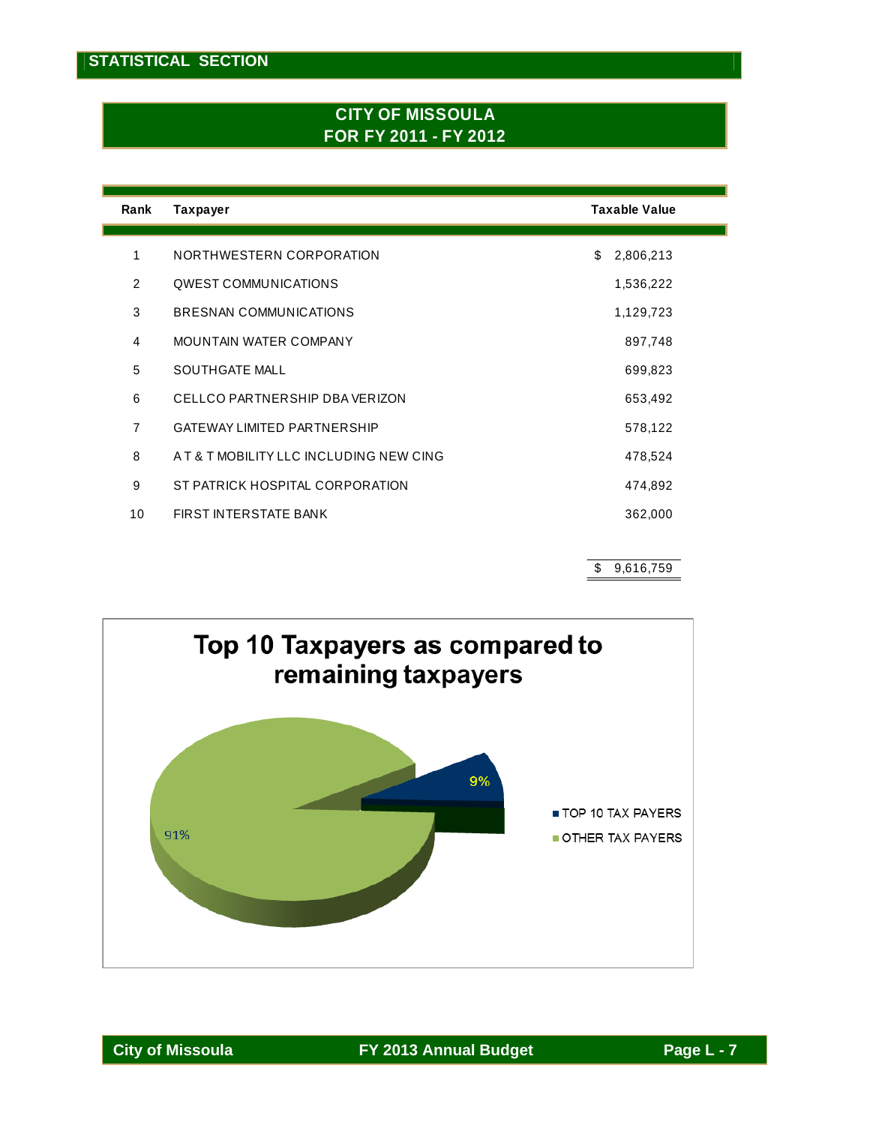### **CITY OF MISSOULA FOR FY 2011 - FY 2012**

| Rank           | <b>Taxpayer</b>                         | <b>Taxable Value</b> |
|----------------|-----------------------------------------|----------------------|
|                |                                         |                      |
| 1              | NORTHWESTERN CORPORATION                | \$<br>2,806,213      |
| 2              | <b>OWEST COMMUNICATIONS</b>             | 1,536,222            |
| 3              | BRESNAN COMMUNICATIONS                  | 1,129,723            |
| 4              | MOUNTAIN WATER COMPANY                  | 897,748              |
| 5              | <b>SOUTHGATE MALL</b>                   | 699,823              |
| 6              | CELLCO PARTNERSHIP DBA VERIZON          | 653,492              |
| $\overline{7}$ | <b>GATEWAY LIMITED PARTNERSHIP</b>      | 578,122              |
| 8              | A T & T MOBILITY LLC INCLUDING NEW CING | 478,524              |
| 9              | ST PATRICK HOSPITAL CORPORATION         | 474,892              |
| 10             | FIRST INTERSTATE BANK                   | 362,000              |
|                |                                         |                      |

\$ 9,616,759

┓

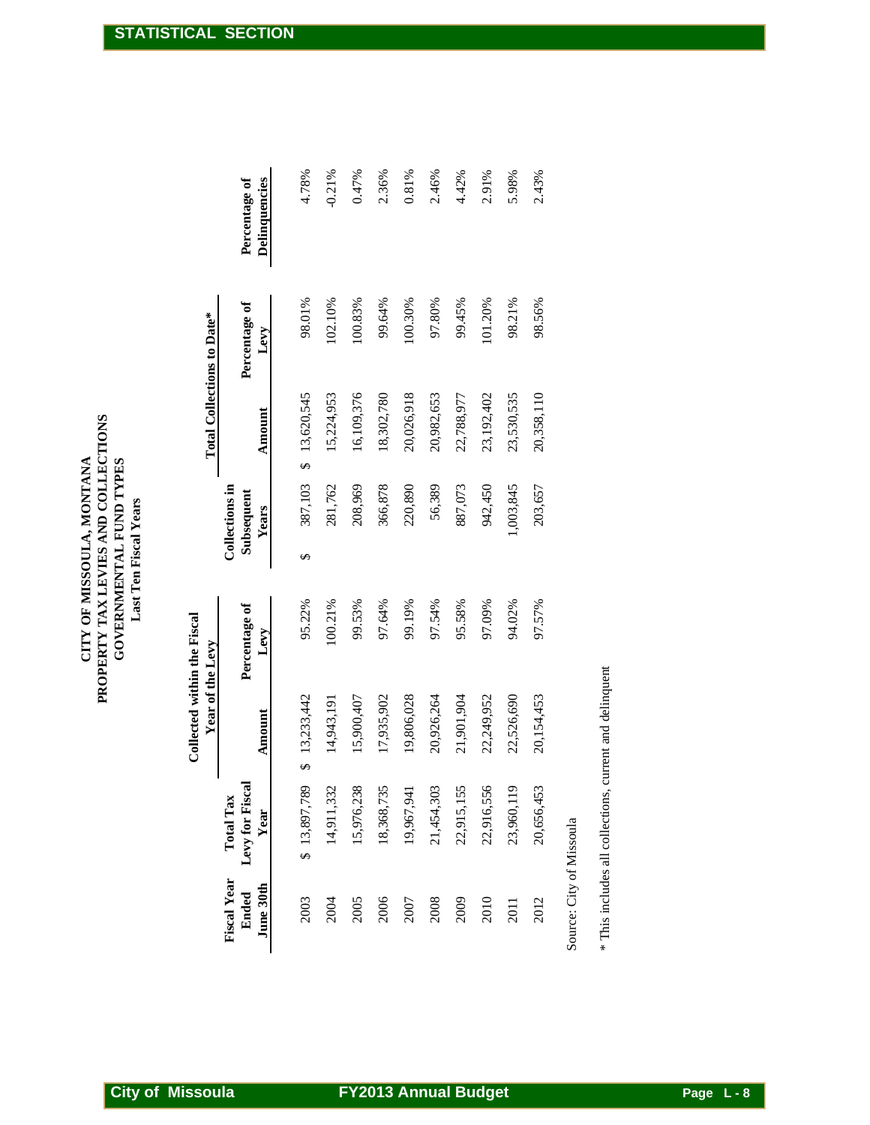|                             |                         |              | Collected within the Fiscal<br>Year of the Levy |                              |              | Total Collections to Date* |               |
|-----------------------------|-------------------------|--------------|-------------------------------------------------|------------------------------|--------------|----------------------------|---------------|
| <b>Fiscal Year</b><br>Ended | <b>Total Tax</b>        |              | Percentage of                                   | Collections in<br>Subsequent |              | Percentage of              | Percentage of |
| June 30th                   | Levy for Fiscal<br>Year | Amount       | Levy                                            | <b>Years</b>                 | Amount       | Levy                       | Delinquencies |
| 2003                        | \$13,897,789            | \$13,233,442 | 95.22%                                          | 387,103<br>↮                 | \$13,620,545 | 98.01%                     | 4.78%         |
| 2004                        | 14,911,332              | 14,943,191   | 100.21%                                         | 281,762                      | 15,224,953   | 102.10%                    | $-0.21%$      |
| 2005                        | 15,976,238              | 15,900,407   | 99.53%                                          | 208,969                      | 16,109,376   | 100.83%                    | 0.47%         |
| 2006                        | 18,368,735              | 17,935,902   | 97.64%                                          | 366,878                      | 18,302,780   | 99.64%                     | 2.36%         |
| 2007                        | 19,967,941              | 19,806,028   | 99.19%                                          | 220,890                      | 20,026,918   | 100.30%                    | $0.81\%$      |
| 2008                        | 21,454,303              | 20,926,264   | 97.54%                                          | 56,389                       | 20,982,653   | 97.80%                     | 2.46%         |
| 2009                        | 22,915,155              | 21,901,904   | 95.58%                                          | 887,073                      | 22,788,977   | 99.45%                     | 4.42%         |
| 2010                        | 22,916,556              | 22,249,952   | 97.09%                                          | 942,450                      | 23,192,402   | 101.20%                    | 2.91%         |
| 2011                        | 23,960,119              | 22,526,690   | 94.02%                                          | 1,003,845                    | 23,530,535   | 98.21%                     | 5.98%         |
| 2012                        | 20,656,453              | 20,154,453   | 97.57%                                          | 203,657                      | 20,358,110   | 98.56%                     | 2.43%         |
|                             |                         |              |                                                 |                              |              |                            |               |

Source: City of Missoula Source: City of Missoula

\* This includes all collections, current and delinquent \* This includes all collections, current and delinquent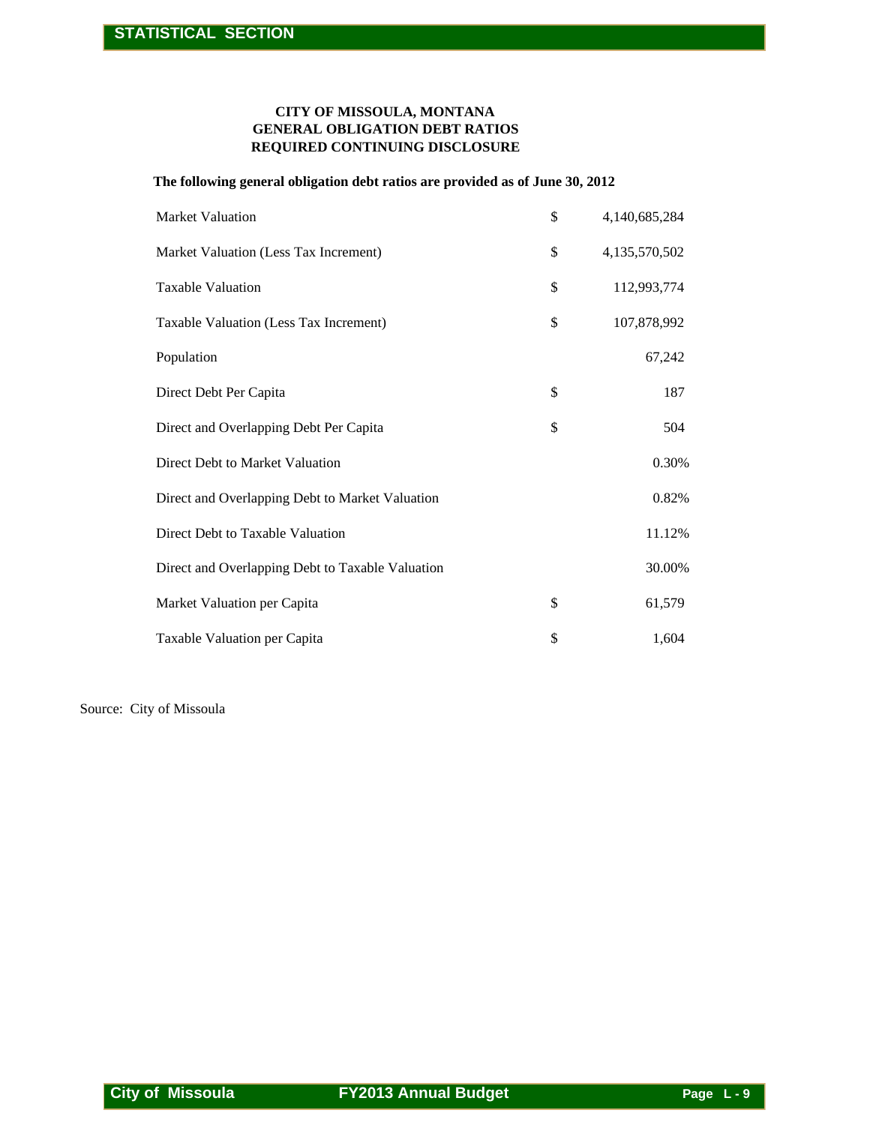#### **GENERAL OBLIGATION DEBT RATIOS REQUIRED CONTINUING DISCLOSURE CITY OF MISSOULA, MONTANA**

#### **The following general obligation debt ratios are provided as of June 30, 2012**

| CITY OF MISSOULA, MONTANA<br><b>GENERAL OBLIGATION DEBT RATIOS</b><br>REQUIRED CONTINUING DISCLOSURE |                             |               |
|------------------------------------------------------------------------------------------------------|-----------------------------|---------------|
| The following general obligation debt ratios are provided as of June 30, 2012                        |                             |               |
| <b>Market Valuation</b>                                                                              | \$                          | 4,140,685,284 |
| Market Valuation (Less Tax Increment)                                                                | \$                          | 4,135,570,502 |
| Taxable Valuation                                                                                    | \$                          | 112,993,774   |
| Taxable Valuation (Less Tax Increment)                                                               | \$                          | 107,878,992   |
| Population                                                                                           |                             | 67,242        |
| Direct Debt Per Capita                                                                               | \$                          | 187           |
| Direct and Overlapping Debt Per Capita                                                               | \$                          | 504           |
| Direct Debt to Market Valuation                                                                      |                             | 0.30%         |
| Direct and Overlapping Debt to Market Valuation                                                      |                             | 0.82%         |
| Direct Debt to Taxable Valuation                                                                     |                             | 11.12%        |
| Direct and Overlapping Debt to Taxable Valuation                                                     |                             | 30.00%        |
| Market Valuation per Capita                                                                          | \$                          | 61,579        |
| Taxable Valuation per Capita                                                                         | \$                          | 1,604         |
| ce: City of Missoula                                                                                 |                             |               |
|                                                                                                      |                             |               |
|                                                                                                      |                             |               |
| <b>City of Missoula</b>                                                                              | <b>FY2013 Annual Budget</b> |               |

Source: City of Missoula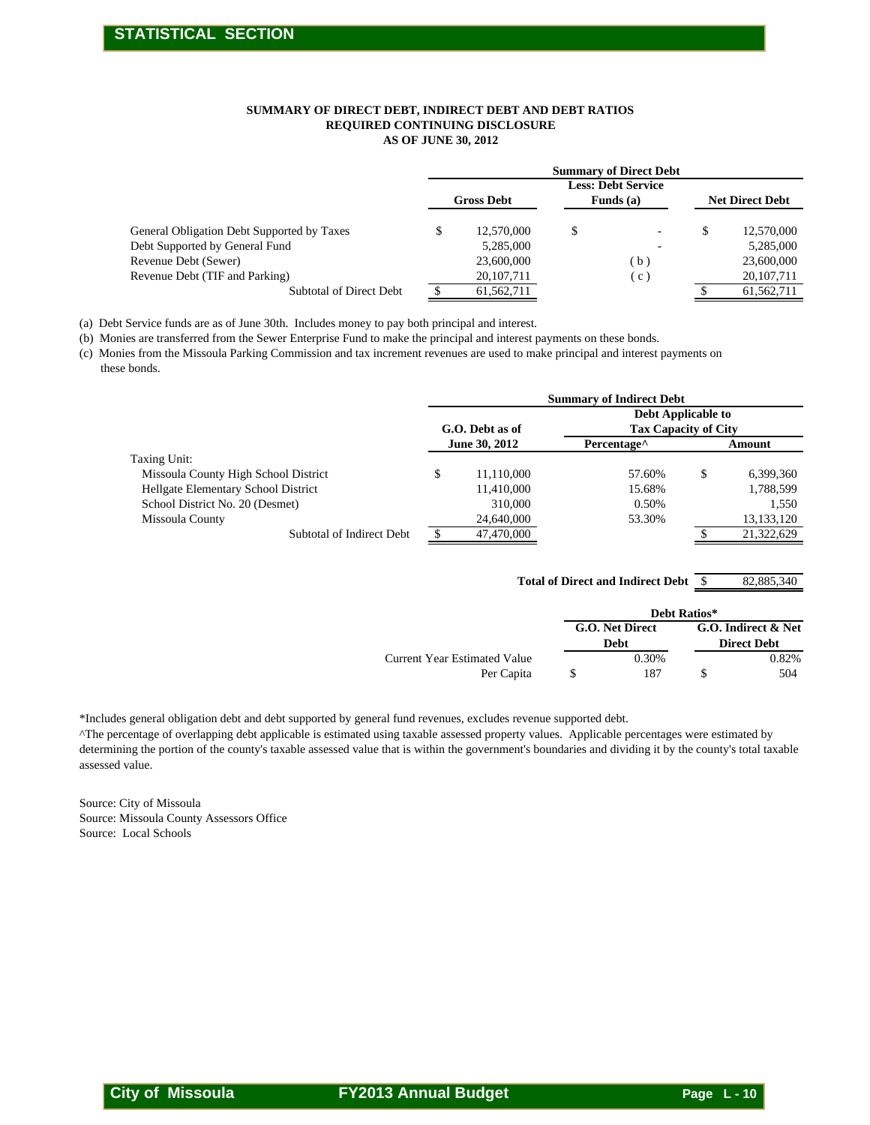#### **AS OF JUNE 30, 2012 SUMMARY OF DIRECT DEBT, INDIRECT DEBT AND DEBT RATIOS REQUIRED CONTINUING DISCLOSURE**

|                                            |   |                   |   | <b>Summary of Direct Debt</b> |                        |
|--------------------------------------------|---|-------------------|---|-------------------------------|------------------------|
|                                            |   |                   |   | <b>Less: Debt Service</b>     |                        |
|                                            |   | <b>Gross Debt</b> |   | Funds (a)                     | <b>Net Direct Debt</b> |
| General Obligation Debt Supported by Taxes | S | 12,570,000        | S | $\overline{\phantom{a}}$      | \$<br>12,570,000       |
| Debt Supported by General Fund             |   | 5.285,000         |   |                               | 5,285,000              |
| Revenue Debt (Sewer)                       |   | 23,600,000        |   | (b)                           | 23,600,000             |
| Revenue Debt (TIF and Parking)             |   | 20, 107, 711      |   | $\left( c\right)$             | 20, 107, 711           |
| Subtotal of Direct Debt                    |   | 61,562,711        |   |                               | 61,562,711             |

(a) Debt Service funds are as of June 30th. Includes money to pay both principal and interest.

|                                                                                                                                                                                                                                                                                                                                                                                               | SUMMARY OF DIRECT DEBT, INDIRECT DEBT AND DEBT RATIOS        |                                      |                                           |
|-----------------------------------------------------------------------------------------------------------------------------------------------------------------------------------------------------------------------------------------------------------------------------------------------------------------------------------------------------------------------------------------------|--------------------------------------------------------------|--------------------------------------|-------------------------------------------|
|                                                                                                                                                                                                                                                                                                                                                                                               | REQUIRED CONTINUING DISCLOSURE<br><b>AS OF JUNE 30, 2012</b> |                                      |                                           |
|                                                                                                                                                                                                                                                                                                                                                                                               |                                                              | <b>Summary of Direct Debt</b>        |                                           |
|                                                                                                                                                                                                                                                                                                                                                                                               |                                                              | <b>Less: Debt Service</b>            |                                           |
|                                                                                                                                                                                                                                                                                                                                                                                               | <b>Gross Debt</b>                                            | Funds (a)                            | <b>Net Direct Debt</b>                    |
| General Obligation Debt Supported by Taxes                                                                                                                                                                                                                                                                                                                                                    | \$<br>12,570,000                                             | \$                                   | \$<br>12,570,000                          |
| Debt Supported by General Fund                                                                                                                                                                                                                                                                                                                                                                | 5,285,000                                                    |                                      | 5,285,000                                 |
| Revenue Debt (Sewer)<br>Revenue Debt (TIF and Parking)                                                                                                                                                                                                                                                                                                                                        | 23,600,000<br>20, 107, 711                                   | (b)<br>(c)                           | 23,600,000<br>20,107,711                  |
| <b>Subtotal of Direct Debt</b>                                                                                                                                                                                                                                                                                                                                                                | 61,562,711<br>\$                                             |                                      | 61,562,711                                |
|                                                                                                                                                                                                                                                                                                                                                                                               |                                                              |                                      |                                           |
| ebt Service funds are as of June 30th. Includes money to pay both principal and interest.<br>Ionies are transferred from the Sewer Enterprise Fund to make the principal and interest payments on these bonds.                                                                                                                                                                                |                                                              |                                      |                                           |
| Ionies from the Missoula Parking Commission and tax increment revenues are used to make principal and interest payments on<br>nese bonds.                                                                                                                                                                                                                                                     |                                                              |                                      |                                           |
|                                                                                                                                                                                                                                                                                                                                                                                               |                                                              | <b>Summary of Indirect Debt</b>      |                                           |
|                                                                                                                                                                                                                                                                                                                                                                                               |                                                              | Debt Applicable to                   |                                           |
|                                                                                                                                                                                                                                                                                                                                                                                               | G.O. Debt as of                                              | <b>Tax Capacity of City</b>          |                                           |
| Taxing Unit:                                                                                                                                                                                                                                                                                                                                                                                  | June 30, 2012                                                | Percentage <sup>^</sup>              | Amount                                    |
| Missoula County High School District                                                                                                                                                                                                                                                                                                                                                          | \$<br>11,110,000                                             | 57.60%                               | \$<br>6,399,360                           |
| Hellgate Elementary School District                                                                                                                                                                                                                                                                                                                                                           | 11,410,000                                                   | 15.68%                               | 1,788,599                                 |
| School District No. 20 (Desmet)                                                                                                                                                                                                                                                                                                                                                               | 310,000                                                      | 0.50%                                | 1,550                                     |
| Missoula County<br>Subtotal of Indirect Debt                                                                                                                                                                                                                                                                                                                                                  | 24,640,000<br>47,470,000<br>\$                               | 53.30%                               | 13,133,120<br>21,322,629<br>\$            |
|                                                                                                                                                                                                                                                                                                                                                                                               |                                                              |                                      |                                           |
|                                                                                                                                                                                                                                                                                                                                                                                               |                                                              |                                      |                                           |
|                                                                                                                                                                                                                                                                                                                                                                                               |                                                              | Total of Direct and Indirect Debt \$ | 82,885,340                                |
|                                                                                                                                                                                                                                                                                                                                                                                               |                                                              | Debt Ratios*                         |                                           |
|                                                                                                                                                                                                                                                                                                                                                                                               |                                                              | G.O. Net Direct<br><b>Debt</b>       | G.O. Indirect & Net<br><b>Direct Debt</b> |
|                                                                                                                                                                                                                                                                                                                                                                                               | <b>Current Year Estimated Value</b>                          | 0.30%                                | 0.82%                                     |
|                                                                                                                                                                                                                                                                                                                                                                                               | Per Capita                                                   | \$<br>187                            | \$<br>504                                 |
|                                                                                                                                                                                                                                                                                                                                                                                               |                                                              |                                      |                                           |
| udes general obligation debt and debt supported by general fund revenues, excludes revenue supported debt.                                                                                                                                                                                                                                                                                    |                                                              |                                      |                                           |
|                                                                                                                                                                                                                                                                                                                                                                                               |                                                              |                                      |                                           |
|                                                                                                                                                                                                                                                                                                                                                                                               |                                                              |                                      |                                           |
|                                                                                                                                                                                                                                                                                                                                                                                               |                                                              |                                      |                                           |
|                                                                                                                                                                                                                                                                                                                                                                                               |                                                              |                                      |                                           |
|                                                                                                                                                                                                                                                                                                                                                                                               |                                                              |                                      |                                           |
|                                                                                                                                                                                                                                                                                                                                                                                               |                                                              |                                      |                                           |
|                                                                                                                                                                                                                                                                                                                                                                                               |                                                              |                                      |                                           |
|                                                                                                                                                                                                                                                                                                                                                                                               |                                                              |                                      |                                           |
|                                                                                                                                                                                                                                                                                                                                                                                               |                                                              |                                      |                                           |
|                                                                                                                                                                                                                                                                                                                                                                                               |                                                              |                                      |                                           |
|                                                                                                                                                                                                                                                                                                                                                                                               |                                                              |                                      |                                           |
|                                                                                                                                                                                                                                                                                                                                                                                               |                                                              |                                      |                                           |
|                                                                                                                                                                                                                                                                                                                                                                                               |                                                              |                                      |                                           |
|                                                                                                                                                                                                                                                                                                                                                                                               |                                                              |                                      |                                           |
|                                                                                                                                                                                                                                                                                                                                                                                               |                                                              |                                      |                                           |
|                                                                                                                                                                                                                                                                                                                                                                                               |                                                              |                                      |                                           |
|                                                                                                                                                                                                                                                                                                                                                                                               |                                                              |                                      |                                           |
| percentage of overlapping debt applicable is estimated using taxable assessed property values. Applicable percentages were estimated by<br>mining the portion of the county's taxable assessed value that is within the government's boundaries and dividing it by the county's total taxable<br>sed value.<br>e: City of Missoula<br>e: Missoula County Assessors Office<br>e: Local Schools |                                                              |                                      |                                           |
|                                                                                                                                                                                                                                                                                                                                                                                               |                                                              |                                      |                                           |
|                                                                                                                                                                                                                                                                                                                                                                                               |                                                              |                                      |                                           |

82,885,340  **Total of Direct and Indirect Debt**

| علامم |  |  |
|-------|--|--|
|       |  |  |

|                              |                 | Debt Ratios* |                     |
|------------------------------|-----------------|--------------|---------------------|
|                              | G.O. Net Direct |              | G.O. Indirect & Net |
|                              | Debt            |              | <b>Direct Debt</b>  |
| Current Year Estimated Value | 0.30%           |              | 0.82%               |
| Per Capita                   | 187             |              | 504                 |

\*Includes general obligation debt and debt supported by general fund revenues, excludes revenue supported debt.

Source: City of Missoula Source: Missoula County Assessors Office Source: Local Schools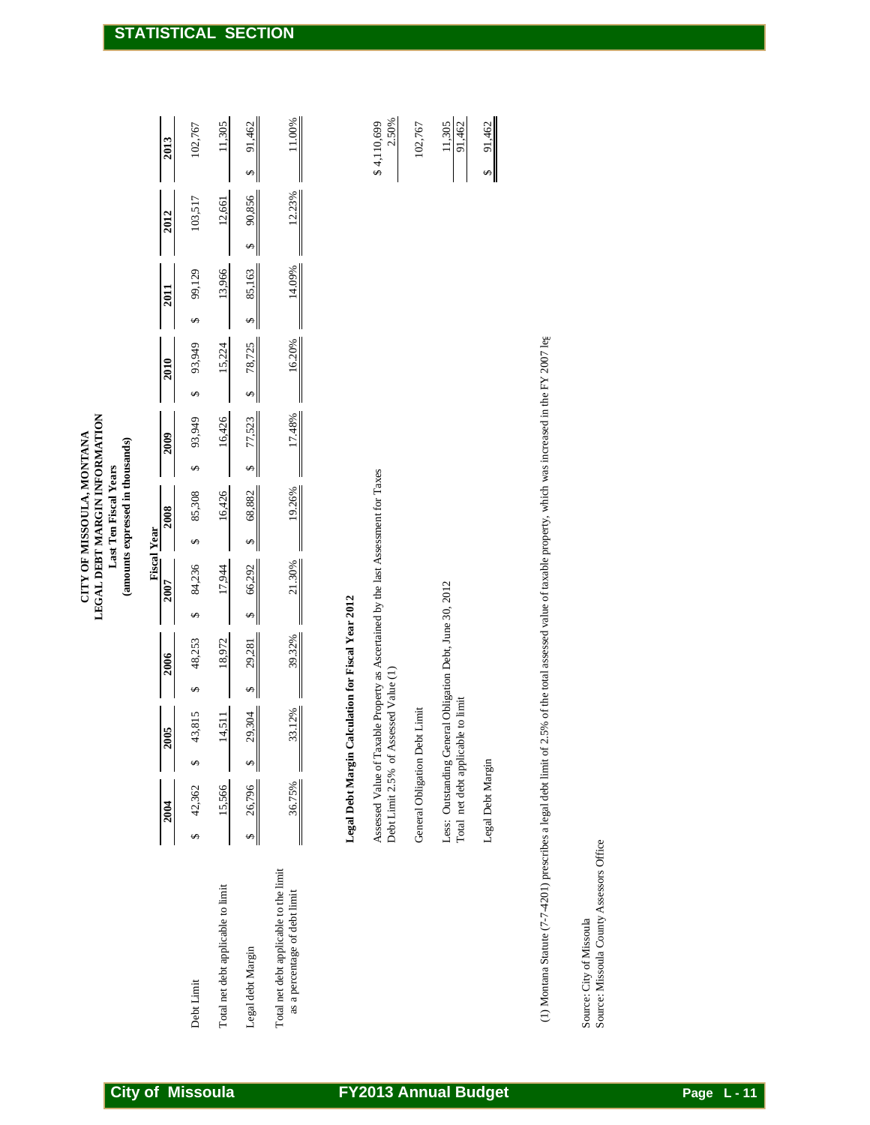| 2.50%<br>11.00%<br>\$4,110,699<br>11,305<br>91,462<br>11,305<br>91,462<br>91,462<br>102,767<br>102,767<br>2013<br>$\rightsquigarrow$<br>↮<br>12.23%<br>90,856<br>103,517<br>12,661<br>2012<br>$\rightsquigarrow$<br>14.09%<br>13,966<br>85,163<br>99,129<br>2011<br>$\overline{\mathbf{r}}$<br>↮<br>(1) Montana Statute (7-7-4201) prescribes a legal debt limit of 2.5% of the total assessed value of taxable property, which was increased in the FY 2007 leg<br>78,725<br>16.20%<br>93,949<br>15,224<br>2010<br>↮<br>$\rightsquigarrow$<br>77,523<br>17.48%<br>16,426<br>93,949<br>2009<br>$\Theta$<br>$\rightsquigarrow$<br>Assessed Value of Taxable Property as Ascertained by the last Assessment for Taxes<br>19.26%<br>68,882<br>16,426<br>85,308<br>2008<br><b>Fiscal Year</b><br>$\rightsquigarrow$<br>↮<br>66,292<br>21.30%<br>84,236<br>17,944<br><b>2007</b><br>Less: Outstanding General Obligation Debt, June 30, 2012<br>Legal Debt Margin Calculation for Fiscal Year 2012<br>$\rightsquigarrow$<br>↮<br>39.32%<br>48,253<br>18,972<br>29,281<br>2006<br>Debt Limit 2.5% of Assessed Value (1)<br>$\frac{1}{2}$<br>$\Theta$<br>Total net debt applicable to limit<br>General Obligation Debt Limit<br>33.12%<br>43,815<br>29,304<br>14,511<br>2005<br>Legal Debt Margin<br>$\Theta$<br>$\rightsquigarrow$<br>36.75%<br>26,796<br>15,566<br>42,362<br>2004<br>$\Theta$<br>$\rightsquigarrow$<br>Source: Missoula County Assessors Office<br>as a percentage of debt limit |                                        |  |  |  | (amounts expressed in thousands) |  |  |  |  |
|---------------------------------------------------------------------------------------------------------------------------------------------------------------------------------------------------------------------------------------------------------------------------------------------------------------------------------------------------------------------------------------------------------------------------------------------------------------------------------------------------------------------------------------------------------------------------------------------------------------------------------------------------------------------------------------------------------------------------------------------------------------------------------------------------------------------------------------------------------------------------------------------------------------------------------------------------------------------------------------------------------------------------------------------------------------------------------------------------------------------------------------------------------------------------------------------------------------------------------------------------------------------------------------------------------------------------------------------------------------------------------------------------------------------------------------------------------------------------------------------|----------------------------------------|--|--|--|----------------------------------|--|--|--|--|
|                                                                                                                                                                                                                                                                                                                                                                                                                                                                                                                                                                                                                                                                                                                                                                                                                                                                                                                                                                                                                                                                                                                                                                                                                                                                                                                                                                                                                                                                                             |                                        |  |  |  |                                  |  |  |  |  |
|                                                                                                                                                                                                                                                                                                                                                                                                                                                                                                                                                                                                                                                                                                                                                                                                                                                                                                                                                                                                                                                                                                                                                                                                                                                                                                                                                                                                                                                                                             | Debt Limit                             |  |  |  |                                  |  |  |  |  |
|                                                                                                                                                                                                                                                                                                                                                                                                                                                                                                                                                                                                                                                                                                                                                                                                                                                                                                                                                                                                                                                                                                                                                                                                                                                                                                                                                                                                                                                                                             | Total net debt applicable to limit     |  |  |  |                                  |  |  |  |  |
|                                                                                                                                                                                                                                                                                                                                                                                                                                                                                                                                                                                                                                                                                                                                                                                                                                                                                                                                                                                                                                                                                                                                                                                                                                                                                                                                                                                                                                                                                             | Legal debt Margin                      |  |  |  |                                  |  |  |  |  |
|                                                                                                                                                                                                                                                                                                                                                                                                                                                                                                                                                                                                                                                                                                                                                                                                                                                                                                                                                                                                                                                                                                                                                                                                                                                                                                                                                                                                                                                                                             | Total net debt applicable to the limit |  |  |  |                                  |  |  |  |  |
|                                                                                                                                                                                                                                                                                                                                                                                                                                                                                                                                                                                                                                                                                                                                                                                                                                                                                                                                                                                                                                                                                                                                                                                                                                                                                                                                                                                                                                                                                             |                                        |  |  |  |                                  |  |  |  |  |
|                                                                                                                                                                                                                                                                                                                                                                                                                                                                                                                                                                                                                                                                                                                                                                                                                                                                                                                                                                                                                                                                                                                                                                                                                                                                                                                                                                                                                                                                                             |                                        |  |  |  |                                  |  |  |  |  |
|                                                                                                                                                                                                                                                                                                                                                                                                                                                                                                                                                                                                                                                                                                                                                                                                                                                                                                                                                                                                                                                                                                                                                                                                                                                                                                                                                                                                                                                                                             |                                        |  |  |  |                                  |  |  |  |  |
|                                                                                                                                                                                                                                                                                                                                                                                                                                                                                                                                                                                                                                                                                                                                                                                                                                                                                                                                                                                                                                                                                                                                                                                                                                                                                                                                                                                                                                                                                             |                                        |  |  |  |                                  |  |  |  |  |
|                                                                                                                                                                                                                                                                                                                                                                                                                                                                                                                                                                                                                                                                                                                                                                                                                                                                                                                                                                                                                                                                                                                                                                                                                                                                                                                                                                                                                                                                                             |                                        |  |  |  |                                  |  |  |  |  |
|                                                                                                                                                                                                                                                                                                                                                                                                                                                                                                                                                                                                                                                                                                                                                                                                                                                                                                                                                                                                                                                                                                                                                                                                                                                                                                                                                                                                                                                                                             |                                        |  |  |  |                                  |  |  |  |  |
|                                                                                                                                                                                                                                                                                                                                                                                                                                                                                                                                                                                                                                                                                                                                                                                                                                                                                                                                                                                                                                                                                                                                                                                                                                                                                                                                                                                                                                                                                             | Source: City of Missoula               |  |  |  |                                  |  |  |  |  |
|                                                                                                                                                                                                                                                                                                                                                                                                                                                                                                                                                                                                                                                                                                                                                                                                                                                                                                                                                                                                                                                                                                                                                                                                                                                                                                                                                                                                                                                                                             |                                        |  |  |  |                                  |  |  |  |  |
|                                                                                                                                                                                                                                                                                                                                                                                                                                                                                                                                                                                                                                                                                                                                                                                                                                                                                                                                                                                                                                                                                                                                                                                                                                                                                                                                                                                                                                                                                             |                                        |  |  |  |                                  |  |  |  |  |

# **Legal Debt Margin Calculation for Fiscal Year 2012**

| 2.50%<br>\$4,110,699                                                                                                        | 102,767                          | $\frac{11,305}{91,462}$                                                                        | \$91,462          |
|-----------------------------------------------------------------------------------------------------------------------------|----------------------------------|------------------------------------------------------------------------------------------------|-------------------|
| Assessed Value of Taxable Property as Ascertained by the last Assessment for Taxes<br>Debt Limit 2.5% of Assessed Value (1) | Limit<br>General Obligation Debt | Less: Outstanding General Obligation Debt, June 30, 2012<br>Total net debt applicable to limit | Legal Debt Margin |
|                                                                                                                             |                                  |                                                                                                |                   |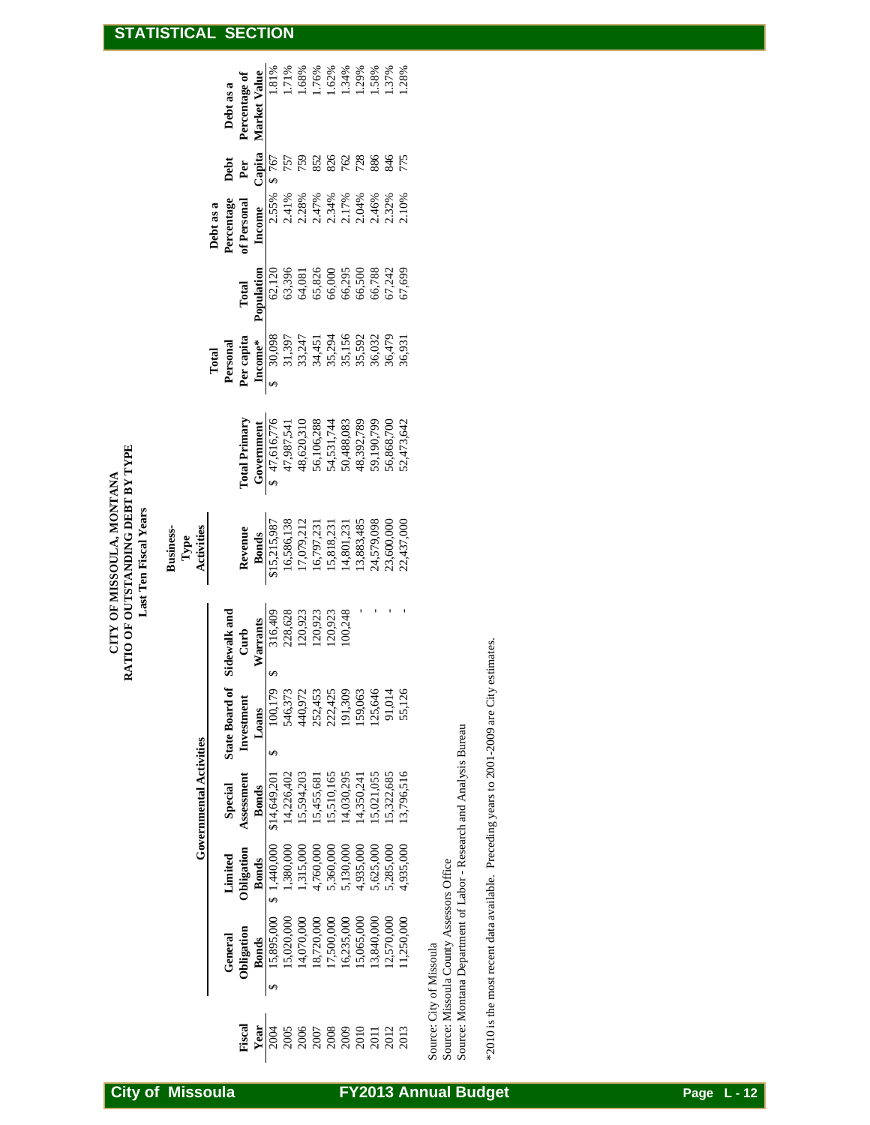# CITY OF MISSOULA, MONTANA<br>RATIO OF OUTSTANDING DEBT BY TYPE **RATIO OF OUTSTANDING DEBT BY TYPE CITY OF MISSOULA, MONTANA** Last Ten Fiscal Years **Last Ten Fiscal Years**

|        |                                                                                               |                                                                                                      |                                                                                                                                                                                        |                                                                |                                                                                              | Business-<br>Type<br>Activities                                                                                                                                                |                                                                                                                                                                                                                              |                                                                                                                                                                                                                                                                                                                                                 |                                                                                                                                          |            |                                                                                       |                                                                                                             |
|--------|-----------------------------------------------------------------------------------------------|------------------------------------------------------------------------------------------------------|----------------------------------------------------------------------------------------------------------------------------------------------------------------------------------------|----------------------------------------------------------------|----------------------------------------------------------------------------------------------|--------------------------------------------------------------------------------------------------------------------------------------------------------------------------------|------------------------------------------------------------------------------------------------------------------------------------------------------------------------------------------------------------------------------|-------------------------------------------------------------------------------------------------------------------------------------------------------------------------------------------------------------------------------------------------------------------------------------------------------------------------------------------------|------------------------------------------------------------------------------------------------------------------------------------------|------------|---------------------------------------------------------------------------------------|-------------------------------------------------------------------------------------------------------------|
|        |                                                                                               |                                                                                                      | <b>Governmental Activities</b>                                                                                                                                                         |                                                                |                                                                                              |                                                                                                                                                                                |                                                                                                                                                                                                                              |                                                                                                                                                                                                                                                                                                                                                 |                                                                                                                                          |            |                                                                                       |                                                                                                             |
|        |                                                                                               |                                                                                                      |                                                                                                                                                                                        |                                                                |                                                                                              |                                                                                                                                                                                |                                                                                                                                                                                                                              |                                                                                                                                                                                                                                                                                                                                                 |                                                                                                                                          | Debt as a  |                                                                                       |                                                                                                             |
|        | General                                                                                       | Limited                                                                                              | Special                                                                                                                                                                                | State Board                                                    | Sidewalk and                                                                                 |                                                                                                                                                                                |                                                                                                                                                                                                                              |                                                                                                                                                                                                                                                                                                                                                 |                                                                                                                                          | ercentage  | Debt                                                                                  | Debt as a                                                                                                   |
| Fiscal | Obligation                                                                                    | Obligation                                                                                           | Assessment                                                                                                                                                                             | Investment                                                     | Curb<br>Warrants<br>316,409<br>316,409<br>228,628<br>22,923<br>120,923<br>120,923<br>120,923 |                                                                                                                                                                                | <b>Total Primary</b>                                                                                                                                                                                                         | Total<br><b>Personal</b><br><b>Percapita</b><br><b>Percapita</b><br><b>Percapita</b><br><b>Percapita</b><br><b>Percapita</b><br><b>Percapita</b><br><b>Percapita</b><br><b>Percapita</b><br><b>Percapital</b><br><b>Percapital</b><br><b>Percapital</b><br><b>Percapital</b><br><b>Percapital</b><br><b>Percapital</b><br><b>Percapital</b><br> | Total                                                                                                                                    | f Personal | <b>Per</b><br>Clapital<br>$\frac{1}{9}$ 757<br>757<br>752<br>832<br>775<br>775<br>775 | Percentage of                                                                                               |
| Year   | <b>Bonds</b>                                                                                  | <b>Bonds</b>                                                                                         | <b>Bonds</b>                                                                                                                                                                           | Loans                                                          |                                                                                              |                                                                                                                                                                                |                                                                                                                                                                                                                              |                                                                                                                                                                                                                                                                                                                                                 | Population                                                                                                                               | Income     |                                                                                       | Market Value                                                                                                |
|        | 15,895,000                                                                                    | \$1,440,000                                                                                          | \$14,649,201                                                                                                                                                                           | 100,179                                                        |                                                                                              | <b>Revenue</b><br><b>Bonds</b><br><b>Bonds</b><br>16,586,138<br>16,586,138<br>17,079,212<br>16,797,231<br>15,818,3,485<br>13,883,485<br>13,883,485<br>13,883,485<br>24,579,000 | Government<br>$\frac{47,616,776}{47,987,541}$<br>$\frac{47,987,541}{48,620,310}$<br>$\frac{48,620,310}{56,106,288}$<br>$\frac{54,531,744}{54,332,789}$<br>$\frac{48,392,789}{50,190,799}$<br>$\frac{50,488,083}{50,190,799}$ |                                                                                                                                                                                                                                                                                                                                                 |                                                                                                                                          |            |                                                                                       | 1.81%<br>1.71%                                                                                              |
|        |                                                                                               |                                                                                                      |                                                                                                                                                                                        |                                                                |                                                                                              |                                                                                                                                                                                |                                                                                                                                                                                                                              |                                                                                                                                                                                                                                                                                                                                                 |                                                                                                                                          |            |                                                                                       |                                                                                                             |
|        | $\begin{array}{c} 15,020,000\\ 14,070,000\\ 18,720,000\\ 17,500,000\\ 16,235,000 \end{array}$ | 1,380,000<br>1,315,000<br>4,760,000<br>5,360,000<br>5,135,000<br>5,285,000<br>5,285,000<br>5,285,000 | $\begin{array}{l} 14{,}226{,}402\\ 15{,}594{,}203\\ 15{,}455{,}681\\ 15{,}455{,}681\\ 15{,}10{,}165\\ 14{,}300{,}295\\ 14{,}350{,}241\\ 15{,}021{,}055\\ 15{,}021{,}055\\ \end{array}$ | 546,373<br>440,972<br>440,972<br>252,425<br>159,063<br>159,063 |                                                                                              |                                                                                                                                                                                |                                                                                                                                                                                                                              |                                                                                                                                                                                                                                                                                                                                                 | $\begin{array}{l} 62,120 \\ 63,396 \\ 63,826 \\ 65,826 \\ 66,000 \\ 66,500 \\ 66,788 \\ 66,788 \\ 67,744 \\ 69 \\ 67,699 \\ \end{array}$ |            |                                                                                       | $\begin{array}{l} 1.68\% \\ 1.76\% \\ 1.62\% \\ 1.34\% \\ 1.58\% \\ 1.57\% \\ 1.37\% \\ 1.37\% \end{array}$ |
|        |                                                                                               |                                                                                                      |                                                                                                                                                                                        |                                                                |                                                                                              |                                                                                                                                                                                |                                                                                                                                                                                                                              |                                                                                                                                                                                                                                                                                                                                                 |                                                                                                                                          |            |                                                                                       |                                                                                                             |
|        |                                                                                               |                                                                                                      |                                                                                                                                                                                        |                                                                |                                                                                              |                                                                                                                                                                                |                                                                                                                                                                                                                              |                                                                                                                                                                                                                                                                                                                                                 |                                                                                                                                          |            |                                                                                       |                                                                                                             |
|        |                                                                                               |                                                                                                      |                                                                                                                                                                                        |                                                                |                                                                                              |                                                                                                                                                                                |                                                                                                                                                                                                                              |                                                                                                                                                                                                                                                                                                                                                 |                                                                                                                                          |            |                                                                                       |                                                                                                             |
|        | 15,065,000                                                                                    |                                                                                                      |                                                                                                                                                                                        |                                                                |                                                                                              |                                                                                                                                                                                |                                                                                                                                                                                                                              |                                                                                                                                                                                                                                                                                                                                                 |                                                                                                                                          |            |                                                                                       |                                                                                                             |
|        | 13,840,000<br>12,570,000                                                                      |                                                                                                      |                                                                                                                                                                                        | 125,646                                                        |                                                                                              |                                                                                                                                                                                |                                                                                                                                                                                                                              |                                                                                                                                                                                                                                                                                                                                                 |                                                                                                                                          |            |                                                                                       |                                                                                                             |
|        |                                                                                               |                                                                                                      |                                                                                                                                                                                        | 91,014                                                         |                                                                                              |                                                                                                                                                                                |                                                                                                                                                                                                                              |                                                                                                                                                                                                                                                                                                                                                 |                                                                                                                                          |            |                                                                                       |                                                                                                             |
| 2013   | 1,250,000                                                                                     |                                                                                                      | 13,796,516                                                                                                                                                                             | 55,126                                                         |                                                                                              |                                                                                                                                                                                |                                                                                                                                                                                                                              |                                                                                                                                                                                                                                                                                                                                                 |                                                                                                                                          |            |                                                                                       |                                                                                                             |
|        | $\ddot{\phantom{a}}$                                                                          |                                                                                                      |                                                                                                                                                                                        |                                                                |                                                                                              |                                                                                                                                                                                |                                                                                                                                                                                                                              |                                                                                                                                                                                                                                                                                                                                                 |                                                                                                                                          |            |                                                                                       |                                                                                                             |

Source: City of Missoula

Source: City of Missoula<br>Source: Missoula County Assessors Office<br>Source: Montana Department of Labor - Research and Analysis Bureau Source: Montana Department of Labor - Research and Analysis Bureau Source: Missoula County Assessors Office

\*2010 is the most recent data available. Preceding years to 2001-2009 are City estimates. \*2010 is the most recent data available. Preceding years to 2001-2009 are City estimates.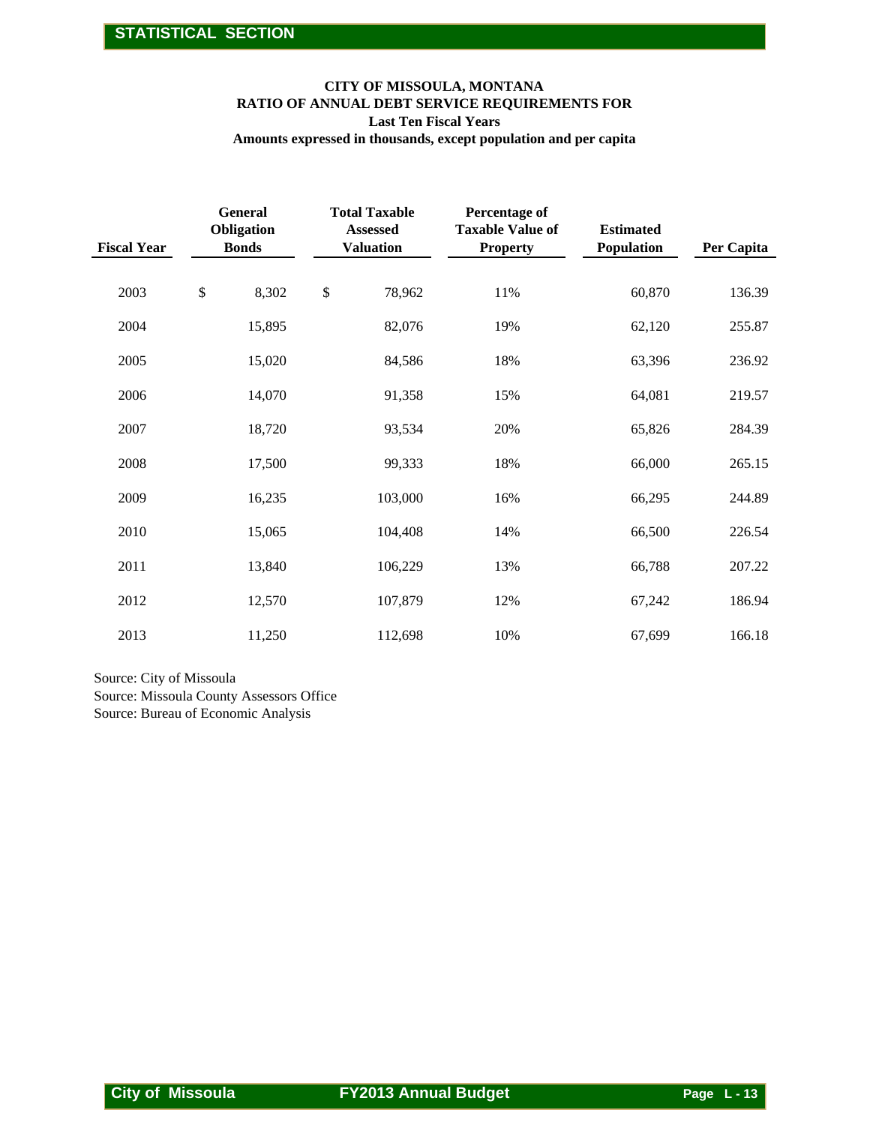#### **CITY OF MISSOULA, MONTANA RATIO OF ANNUAL DEBT SERVICE REQUIREMENTS FOR Last Ten Fiscal Years**

|                                                                                                             |                                              |        | <b>Last Ten Fiscal Years</b>                                | CITY OF MISSOULA, MONTANA<br>RATIO OF ANNUAL DEBT SERVICE REQUIREMENTS FOR<br>Amounts expressed in thousands, except population and per capita |                                |             |
|-------------------------------------------------------------------------------------------------------------|----------------------------------------------|--------|-------------------------------------------------------------|------------------------------------------------------------------------------------------------------------------------------------------------|--------------------------------|-------------|
| <b>Fiscal Year</b>                                                                                          | <b>General</b><br>Obligation<br><b>Bonds</b> |        | <b>Total Taxable</b><br><b>Assessed</b><br><b>Valuation</b> | Percentage of<br><b>Taxable Value of</b><br><b>Property</b>                                                                                    | <b>Estimated</b><br>Population | Per Capita  |
| 2003                                                                                                        | \$<br>8,302                                  | $\$\,$ | 78,962                                                      | 11%                                                                                                                                            | 60,870                         | 136.39      |
| 2004                                                                                                        | 15,895                                       |        | 82,076                                                      | 19%                                                                                                                                            | 62,120                         | 255.87      |
| 2005                                                                                                        | 15,020                                       |        | 84,586                                                      | 18%                                                                                                                                            | 63,396                         | 236.92      |
| 2006                                                                                                        | 14,070                                       |        | 91,358                                                      | 15%                                                                                                                                            | 64,081                         | 219.57      |
| 2007                                                                                                        | 18,720                                       |        | 93,534                                                      | 20%                                                                                                                                            | 65,826                         | 284.39      |
| 2008                                                                                                        | 17,500                                       |        | 99,333                                                      | 18%                                                                                                                                            | 66,000                         | 265.15      |
| 2009                                                                                                        | 16,235                                       |        | 103,000                                                     | 16%                                                                                                                                            | 66,295                         | 244.89      |
| 2010                                                                                                        | 15,065                                       |        | 104,408                                                     | 14%                                                                                                                                            | 66,500                         | 226.54      |
| 2011                                                                                                        | 13,840                                       |        | 106,229                                                     | 13%                                                                                                                                            | 66,788                         | 207.22      |
| 2012                                                                                                        | 12,570                                       |        | 107,879                                                     | 12%                                                                                                                                            | 67,242                         | 186.94      |
| 2013                                                                                                        | 11,250                                       |        | 112,698                                                     | 10%                                                                                                                                            | 67,699                         | 166.18      |
| Source: City of Missoula<br>Source: Missoula County Assessors Office<br>Source: Bureau of Economic Analysis |                                              |        |                                                             |                                                                                                                                                |                                |             |
|                                                                                                             |                                              |        |                                                             |                                                                                                                                                |                                |             |
| <b>City of Missoula</b>                                                                                     |                                              |        | <b>FY2013 Annual Budget</b>                                 |                                                                                                                                                |                                | Page L - 13 |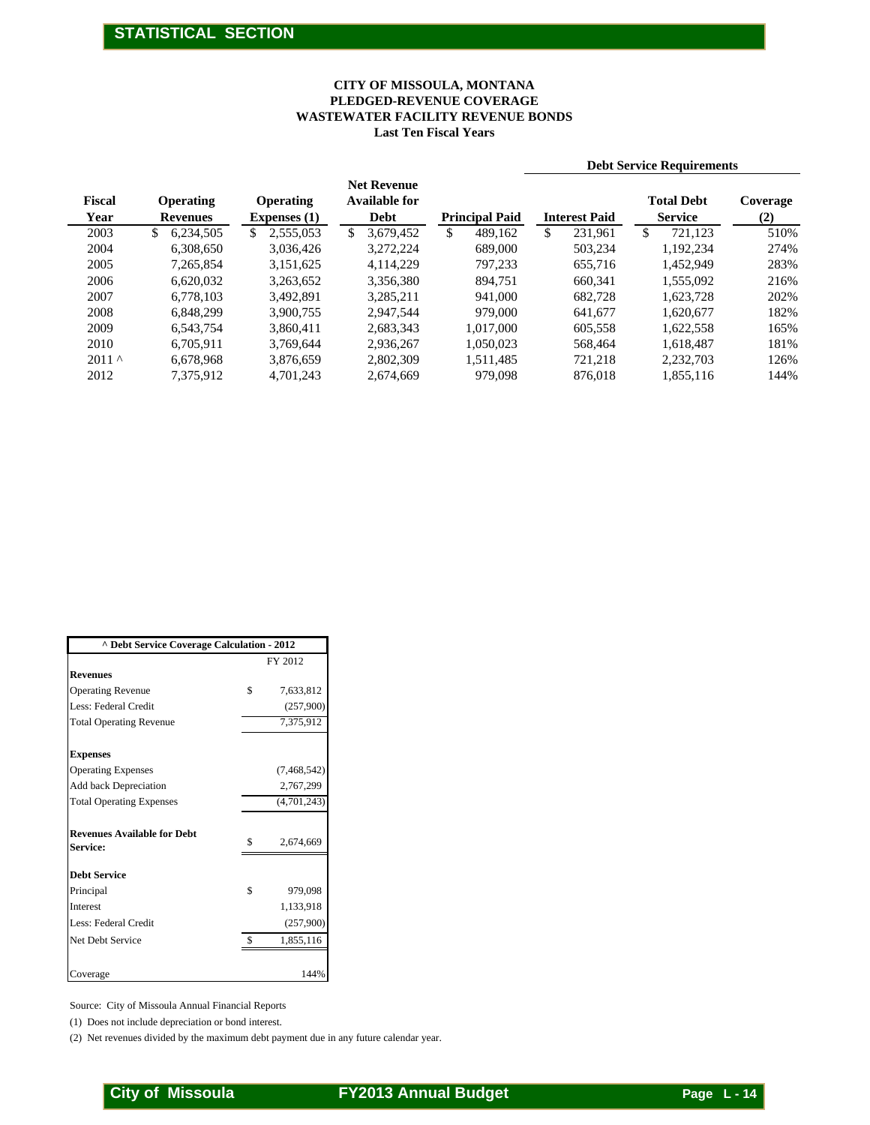#### **Last Ten Fiscal Years WASTEWATER FACILITY REVENUE BONDS PLEDGED-REVENUE COVERAGE CITY OF MISSOULA, MONTANA**

|                                                                                                                      |                                            |                                         |                                            | <b>CITY OF MISSOULA, MONTANA</b><br>PLEDGED-REVENUE COVERAGE<br><b>WASTEWATER FACILITY REVENUE BONDS</b><br><b>Last Ten Fiscal Years</b> |                                       |                                  |             |
|----------------------------------------------------------------------------------------------------------------------|--------------------------------------------|-----------------------------------------|--------------------------------------------|------------------------------------------------------------------------------------------------------------------------------------------|---------------------------------------|----------------------------------|-------------|
|                                                                                                                      |                                            |                                         |                                            |                                                                                                                                          |                                       | <b>Debt Service Requirements</b> |             |
| Fiscal                                                                                                               | Operating                                  | Operating                               | <b>Net Revenue</b><br><b>Available for</b> |                                                                                                                                          |                                       | <b>Total Debt</b>                | Coverage    |
| Year<br>2003                                                                                                         | <b>Revenues</b><br>\$<br>6,234,505         | <b>Expenses</b> (1)<br>2,555,053<br>\$  | Debt<br>$\mathbb{S}$<br>3,679,452          | <b>Principal Paid</b><br>\$<br>489,162                                                                                                   | <b>Interest Paid</b><br>231,961<br>\$ | <b>Service</b><br>\$<br>721,123  | (2)<br>510% |
| 2004                                                                                                                 | 6,308,650                                  | 3,036,426                               | 3,272,224                                  | 689,000                                                                                                                                  | 503,234                               | 1,192,234                        | 274%        |
| 2005                                                                                                                 | 7,265,854                                  | 3,151,625                               | 4,114,229                                  | 797,233                                                                                                                                  | 655,716                               | 1,452,949                        | 283%        |
| 2006                                                                                                                 | 6,620,032                                  | 3,263,652                               | 3,356,380                                  | 894,751                                                                                                                                  | 660,341                               | 1,555,092                        | 216%        |
| 2007                                                                                                                 | 6,778,103                                  | 3,492,891                               | 3,285,211                                  | 941,000                                                                                                                                  | 682,728                               | 1,623,728                        | 202%        |
| 2008                                                                                                                 | 6,848,299                                  | 3,900,755                               | 2,947,544                                  | 979,000                                                                                                                                  | 641,677                               | 1,620,677                        | 182%        |
| 2009                                                                                                                 | 6,543,754                                  | 3,860,411                               | 2,683,343                                  | 1,017,000                                                                                                                                | 605,558                               | 1,622,558                        | 165%        |
| 2010                                                                                                                 | 6,705,911                                  | 3,769,644                               | 2,936,267                                  | 1,050,023                                                                                                                                | 568,464                               | 1,618,487                        | 181%        |
| 2011 $^\wedge$                                                                                                       | 6,678,968                                  | 3,876,659                               | 2,802,309                                  | 1,511,485                                                                                                                                | 721,218                               | 2,232,703                        | 126%        |
| 2012                                                                                                                 | 7,375,912                                  | 4,701,243                               | 2,674,669                                  | 979,098                                                                                                                                  | 876,018                               | 1,855,116                        | 144%        |
|                                                                                                                      |                                            |                                         |                                            |                                                                                                                                          |                                       |                                  |             |
|                                                                                                                      |                                            |                                         |                                            |                                                                                                                                          |                                       |                                  |             |
| <b>Revenues</b><br><b>Operating Revenue</b><br>Less: Federal Credit                                                  | ^ Debt Service Coverage Calculation - 2012 | FY 2012<br>\$<br>7,633,812<br>(257,900) |                                            |                                                                                                                                          |                                       |                                  |             |
| <b>Total Operating Revenue</b>                                                                                       |                                            | 7,375,912                               |                                            |                                                                                                                                          |                                       |                                  |             |
|                                                                                                                      |                                            |                                         |                                            |                                                                                                                                          |                                       |                                  |             |
|                                                                                                                      |                                            | (7, 468, 542)                           |                                            |                                                                                                                                          |                                       |                                  |             |
|                                                                                                                      |                                            | 2,767,299                               |                                            |                                                                                                                                          |                                       |                                  |             |
|                                                                                                                      |                                            | (4,701,243)                             |                                            |                                                                                                                                          |                                       |                                  |             |
| <b>Expenses</b><br><b>Operating Expenses</b><br>Add back Depreciation<br><b>Total Operating Expenses</b><br>Service: | <b>Revenues Available for Debt</b>         | \$<br>2,674,669                         |                                            |                                                                                                                                          |                                       |                                  |             |
|                                                                                                                      |                                            |                                         |                                            |                                                                                                                                          |                                       |                                  |             |
|                                                                                                                      |                                            |                                         |                                            |                                                                                                                                          |                                       |                                  |             |
|                                                                                                                      |                                            | \$<br>979,098                           |                                            |                                                                                                                                          |                                       |                                  |             |
|                                                                                                                      |                                            | 1,133,918                               |                                            |                                                                                                                                          |                                       |                                  |             |
|                                                                                                                      |                                            | (257,900)<br>\$<br>1,855,116            |                                            |                                                                                                                                          |                                       |                                  |             |
|                                                                                                                      |                                            |                                         |                                            |                                                                                                                                          |                                       |                                  |             |
| <b>Debt Service</b><br>Principal<br>Interest<br>Less: Federal Credit<br>Net Debt Service<br>Coverage                 |                                            | 144%                                    |                                            |                                                                                                                                          |                                       |                                  |             |

| ^ Debt Service Coverage Calculation - 2012     |                 |
|------------------------------------------------|-----------------|
|                                                | FY 2012         |
| <b>Revenues</b>                                |                 |
| <b>Operating Revenue</b>                       | \$<br>7,633,812 |
| Less: Federal Credit                           | (257,900)       |
| <b>Total Operating Revenue</b>                 | 7,375,912       |
| <b>Expenses</b>                                |                 |
| <b>Operating Expenses</b>                      | (7, 468, 542)   |
| Add back Depreciation                          | 2,767,299       |
| <b>Total Operating Expenses</b>                | (4,701,243)     |
| <b>Revenues Available for Debt</b><br>Service: | \$<br>2,674,669 |
| <b>Debt Service</b>                            |                 |
| Principal                                      | \$<br>979,098   |
| <b>Interest</b>                                | 1,133,918       |
| Less: Federal Credit                           | (257,900)       |
| Net Debt Service                               | 1,855,116       |
|                                                |                 |
| Coverage                                       | 144%            |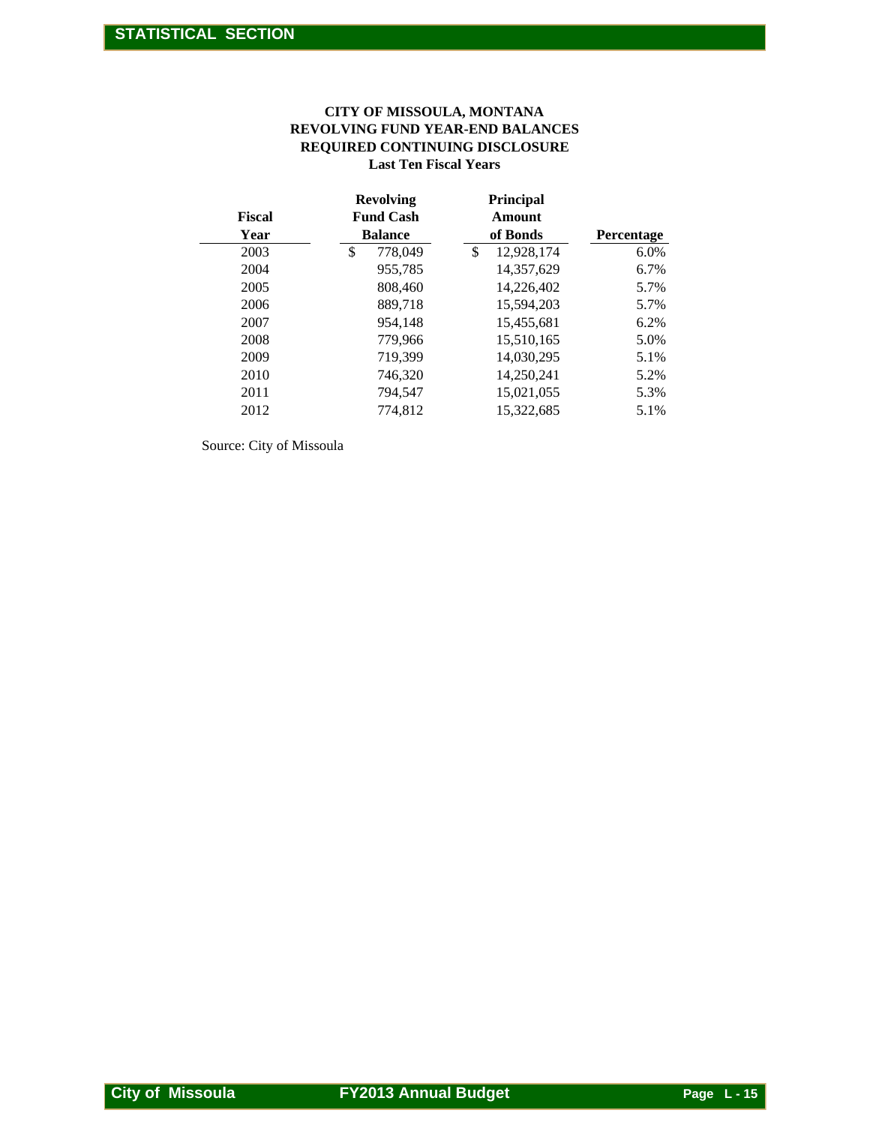#### **REVOLVING FUND YEAR-END BALANCES Last Ten Fiscal Years CITY OF MISSOULA, MONTANA REQUIRED CONTINUING DISCLOSURE**

|                         |                                                        | CITY OF MISSOULA, MONTANA<br>REVOLVING FUND YEAR-END BALANCES<br>REQUIRED CONTINUING DISCLOSURE<br><b>Last Ten Fiscal Years</b> |            |  |
|-------------------------|--------------------------------------------------------|---------------------------------------------------------------------------------------------------------------------------------|------------|--|
| <b>Fiscal</b><br>Year   | <b>Revolving</b><br><b>Fund Cash</b><br><b>Balance</b> | Principal<br>Amount<br>of Bonds                                                                                                 | Percentage |  |
| 2003                    | \$<br>778,049                                          | \$<br>12,928,174                                                                                                                | 6.0%       |  |
| 2004                    | 955,785                                                | 14,357,629                                                                                                                      | 6.7%       |  |
| 2005                    |                                                        |                                                                                                                                 |            |  |
|                         | 808,460                                                | 14,226,402                                                                                                                      | 5.7%       |  |
| 2006                    | 889,718                                                | 15,594,203                                                                                                                      | 5.7%       |  |
| 2007                    | 954,148                                                | 15,455,681                                                                                                                      | 6.2%       |  |
| 2008                    | 779,966                                                | 15,510,165                                                                                                                      | 5.0%       |  |
| 2009                    | 719,399                                                | 14,030,295                                                                                                                      | 5.1%       |  |
| 2010                    | 746,320                                                | 14,250,241                                                                                                                      | 5.2%       |  |
| 2011                    | 794,547                                                | 15,021,055                                                                                                                      | 5.3%       |  |
| 2012                    | 774,812                                                | 15,322,685                                                                                                                      | 5.1%       |  |
|                         |                                                        |                                                                                                                                 |            |  |
| <b>City of Missoula</b> | <b>FY2013 Annual Budget</b>                            |                                                                                                                                 | Page L-15  |  |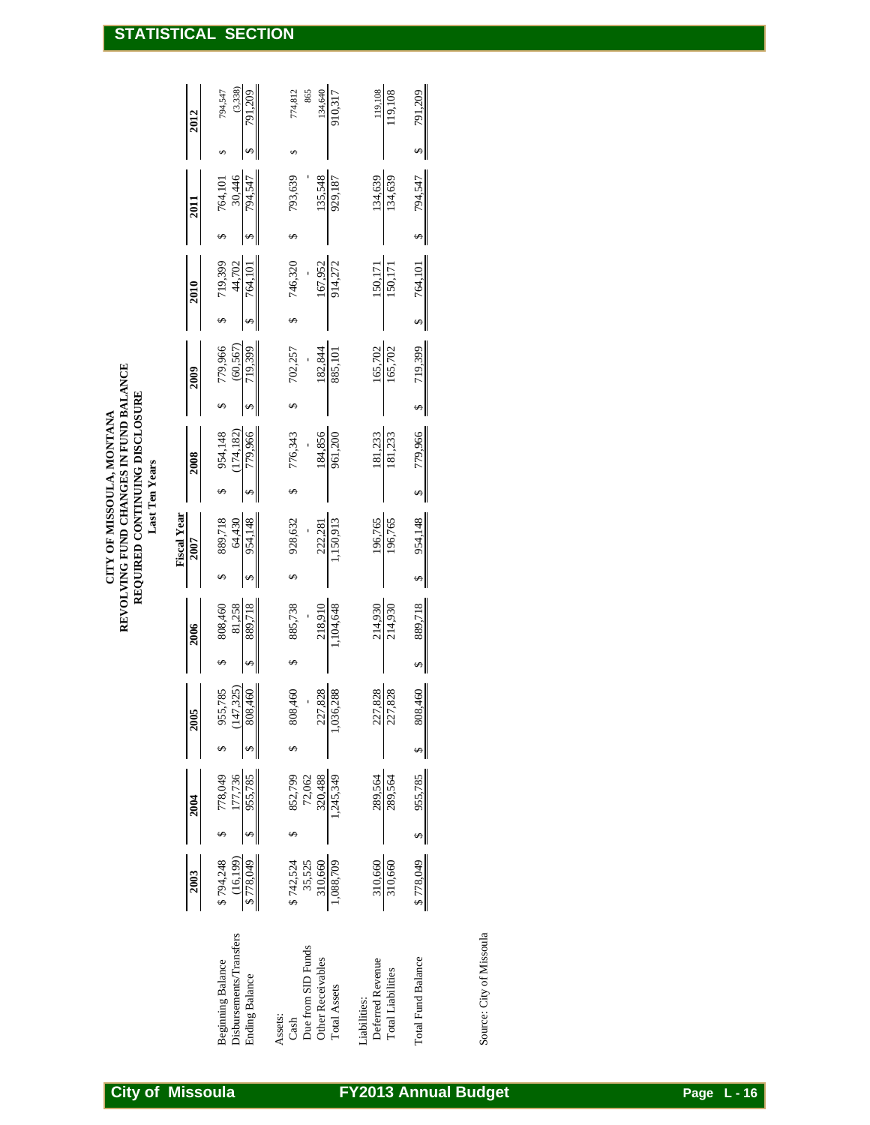| $\rightsquigarrow$<br>954,148<br>196,765<br>196,765<br>$\rightsquigarrow$ | 889,718<br>214,930 | 808,460<br>227,828<br>227,828<br>$\spadesuit$ | 1,245,349<br>955,785<br>289,564<br>289,564<br>↮ | \$778,049<br>310,660<br>310,660<br>310,660<br>1,088,709 |
|---------------------------------------------------------------------------|--------------------|-----------------------------------------------|-------------------------------------------------|---------------------------------------------------------|
|                                                                           |                    | 214,930                                       | $\bullet$                                       |                                                         |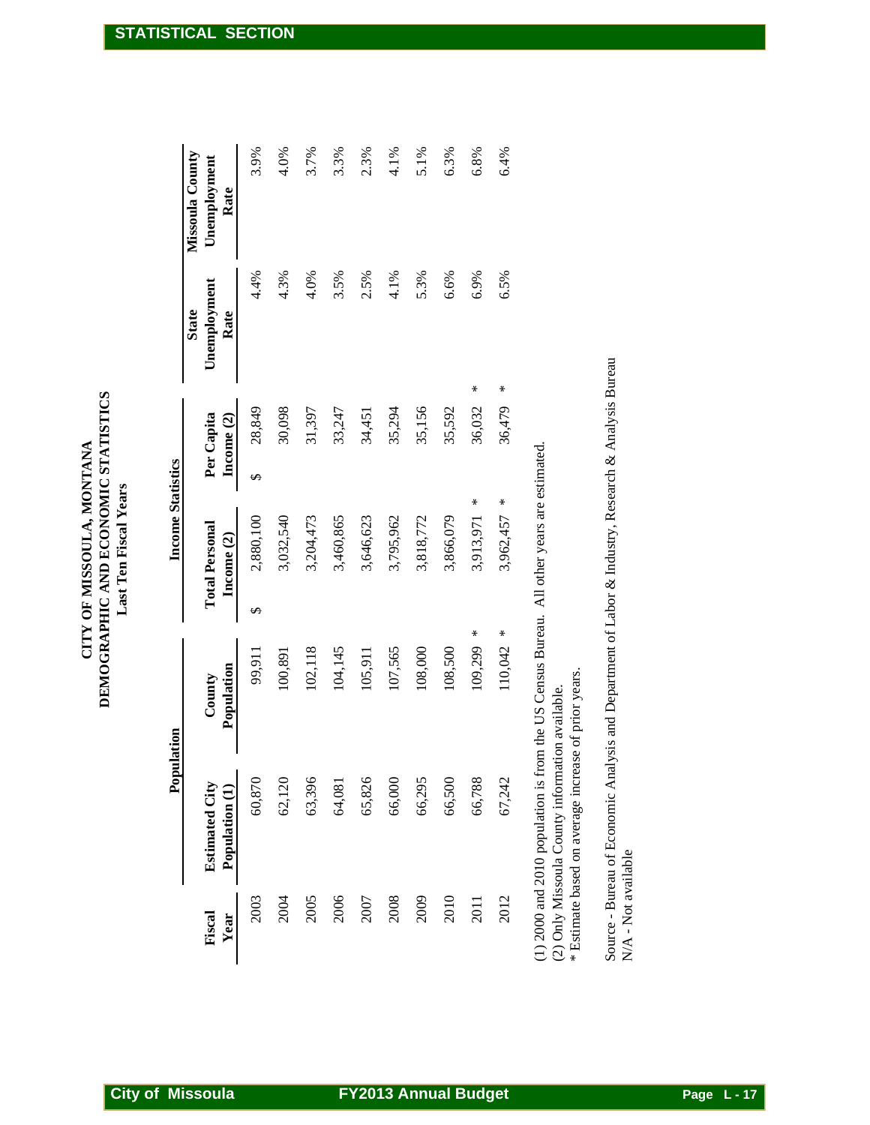**DEMOGRAPHIC AND ECONOMIC STATISTICS** CITY OF MISSOULA, MONTANA **CITY OF MISSOULA, MONTANA Last Ten Fiscal Years**

|                | Population                              |                      | <b>Income Statistics</b>            |                          |                                      |                                         |
|----------------|-----------------------------------------|----------------------|-------------------------------------|--------------------------|--------------------------------------|-----------------------------------------|
| Fiscal<br>Year | <b>Estimated City</b><br>Population (1) | Population<br>County | <b>Total Personal</b><br>Income (2) | Per Capita<br>Income (2) | Unemployment<br><b>State</b><br>Rate | Missoula County<br>Unemployment<br>Rate |
| 2003           | 60,870                                  | 99,911               | 2,880,100<br>S                      | 28,849<br>$\varphi$      | 4.4%                                 | 3.9%                                    |
| 2004           | 62,120                                  | 100,891              | 3,032,540                           | 30,098                   | 4.3%                                 | 4.0%                                    |
| 2005           | 63,396                                  | 102,118              | 3,204,473                           | 31,397                   | 4.0%                                 | 3.7%                                    |
| 2006           | 64,081                                  | 104,145              | 3,460,865                           | 33,247                   | 3.5%                                 | 3.3%                                    |
| 2007           | 65,826                                  | 105,911              | 3,646,623                           | 34,451                   | 2.5%                                 | 2.3%                                    |
| 2008           | 66,000                                  | 107,565              | 3,795,962                           | 35,294                   | 4.1%                                 | 4.1%                                    |
| 2009           | 66,295                                  | 108,000              | 3,818,772                           | 35,156                   | 5.3%                                 | 5.1%                                    |
| 2010           | 66,500                                  | 108,500              | 3,866,079                           | 35,592                   | 6.6%                                 | 6.3%                                    |
| 2011           | 66,788                                  | 109,299              | ₩<br>3,913,971<br>∗                 | 36,032                   | 6.9%<br>⋇                            | 6.8%                                    |
| 2012           | 67,242                                  | 110,042              | 3,962,457 *<br>₩                    | 36,479                   | 6.5%<br>⋇                            | 6.4%                                    |

(1) 2000 and 2010 population is from the US Census Bureau. All other years are estimated.  $(2)$  Only Missoula County information available.

\* Estimate based on average increase of prior years. \* Estimate based on average increase of prior years. (2) Only Missoula County information available.

Source - Bureau of Economic Analysis and Department of Labor & Industry, Research & Analysis Bureau N/A - Not available Source - Bureau of Economic Analysis and Department of Labor & Industry, Research & Analysis Bureau N/A - Not available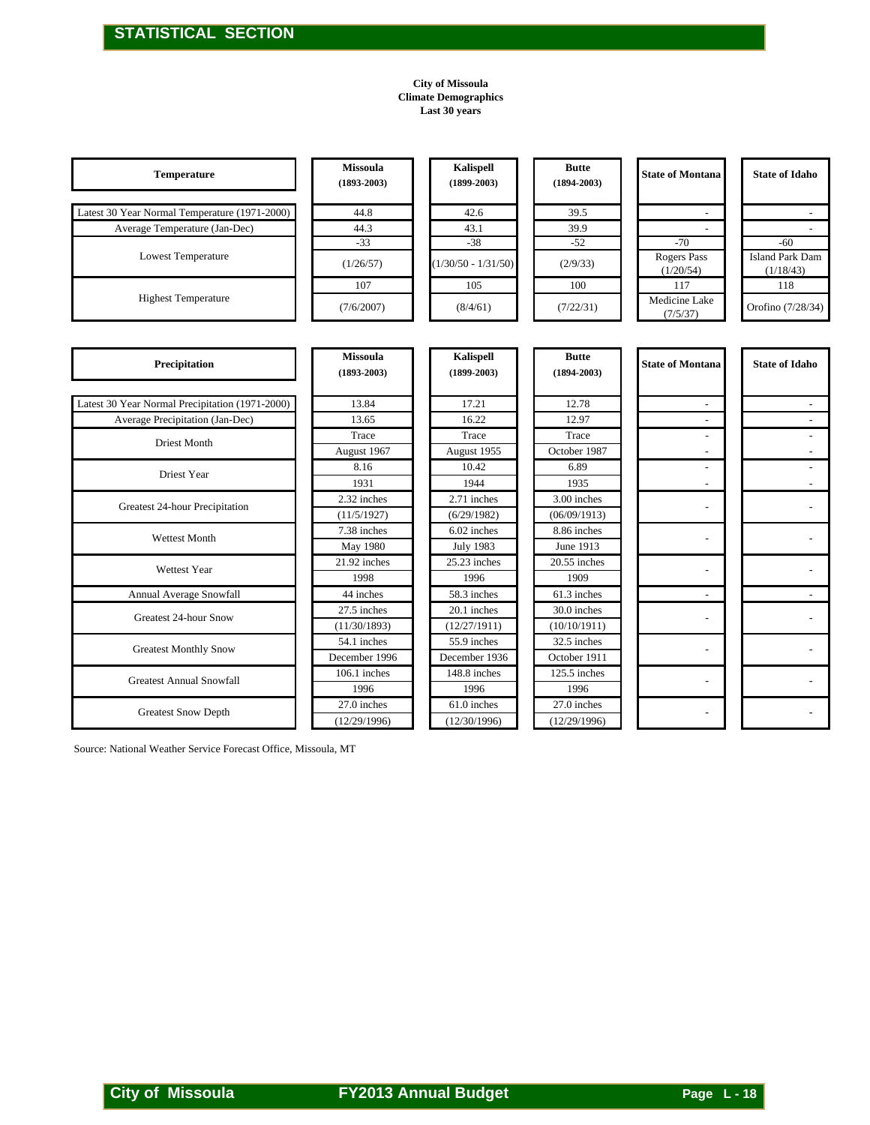#### **City of Missoula Climate Demographics Last 30 years**

|                                                                |                                    | <b>City of Missoula</b><br><b>Climate Demographics</b><br>Last 30 years |                                 |                          |                                 |
|----------------------------------------------------------------|------------------------------------|-------------------------------------------------------------------------|---------------------------------|--------------------------|---------------------------------|
| Temperature                                                    | <b>Missoula</b><br>$(1893 - 2003)$ | Kalispell<br>$(1899 - 2003)$                                            | <b>Butte</b><br>$(1894 - 2003)$ | <b>State of Montana</b>  | <b>State of Idaho</b>           |
| Latest 30 Year Normal Temperature (1971-2000)                  | 44.8                               | 42.6                                                                    | 39.5                            |                          |                                 |
| Average Temperature (Jan-Dec)                                  | 44.3                               | 43.1                                                                    | 39.9                            | $\overline{\phantom{a}}$ | $\sim$                          |
| Lowest Temperature                                             | $-33$                              | $-38$                                                                   | $-52$                           | $-70$<br>Rogers Pass     | $-60$<br><b>Island Park Dam</b> |
|                                                                | (1/26/57)                          | $(1/30/50 - 1/31/50)$                                                   | (2/9/33)                        | (1/20/54)                | (1/18/43)                       |
| <b>Highest Temperature</b>                                     | 107                                | 105                                                                     | 100                             | 117<br>Medicine Lake     | 118                             |
|                                                                | (7/6/2007)                         | (8/4/61)                                                                | (7/22/31)                       | (7/5/37)                 | Orofino (7/28/34)               |
| Precipitation                                                  | <b>Missoula</b><br>$(1893 - 2003)$ | Kalispell<br>$(1899 - 2003)$                                            | <b>Butte</b><br>$(1894 - 2003)$ | <b>State of Montana</b>  | <b>State of Idaho</b>           |
| Latest 30 Year Normal Precipitation (1971-2000)                | 13.84                              | 17.21                                                                   | 12.78                           | $\blacksquare$           | $\blacksquare$                  |
| Average Precipitation (Jan-Dec)                                | 13.65                              | 16.22                                                                   | 12.97                           | $\blacksquare$           | $\overline{\phantom{a}}$        |
| <b>Driest Month</b>                                            | Trace                              | Trace                                                                   | Trace                           | $\sim$                   |                                 |
|                                                                | August 1967<br>8.16                | August 1955<br>10.42                                                    | October 1987<br>6.89            | $\overline{\phantom{a}}$ |                                 |
| Driest Year                                                    | 1931                               | 1944                                                                    | 1935                            | $\overline{a}$           | $\sim$                          |
|                                                                | 2.32 inches                        | 2.71 inches                                                             | 3.00 inches                     | $\sim$                   | $\overline{a}$                  |
| Greatest 24-hour Precipitation                                 | (11/5/1927)                        | (6/29/1982)                                                             | (06/09/1913)                    |                          |                                 |
| Wettest Month                                                  | 7.38 inches                        | 6.02 inches                                                             | 8.86 inches                     | $\overline{\phantom{a}}$ | $\sim$                          |
|                                                                | May 1980<br>21.92 inches           | <b>July 1983</b><br>25.23 inches                                        | June 1913<br>$20.55$ inches     |                          |                                 |
| Wettest Year                                                   | 1998                               | 1996                                                                    | 1909                            | $\sim$                   |                                 |
| Annual Average Snowfall                                        | 44 inches                          | 58.3 inches                                                             | 61.3 inches                     | $\sim$                   | $\sim$                          |
| Greatest 24-hour Snow                                          | 27.5 inches                        | 20.1 inches                                                             | 30.0 inches                     | $\overline{\phantom{a}}$ | $\overline{a}$                  |
|                                                                | (11/30/1893)<br>54.1 inches        | (12/27/1911)<br>55.9 inches                                             | (10/10/1911)<br>32.5 inches     |                          |                                 |
| <b>Greatest Monthly Snow</b>                                   | December 1996                      | December 1936                                                           | October 1911                    |                          |                                 |
| <b>Greatest Annual Snowfall</b>                                | 106.1 inches                       | 148.8 inches                                                            | 125.5 inches                    | $\overline{\phantom{a}}$ |                                 |
|                                                                | 1996                               | 1996                                                                    | 1996                            |                          |                                 |
| <b>Greatest Snow Depth</b>                                     | 27.0 inches<br>(12/29/1996)        | 61.0 inches<br>(12/30/1996)                                             | 27.0 inches<br>(12/29/1996)     | $\overline{\phantom{a}}$ | $\sim$                          |
| Source: National Weather Service Forecast Office, Missoula, MT |                                    |                                                                         |                                 |                          |                                 |
| <b>City of Missoula</b>                                        |                                    | <b>FY2013 Annual Budget</b>                                             |                                 | Page L-18                |                                 |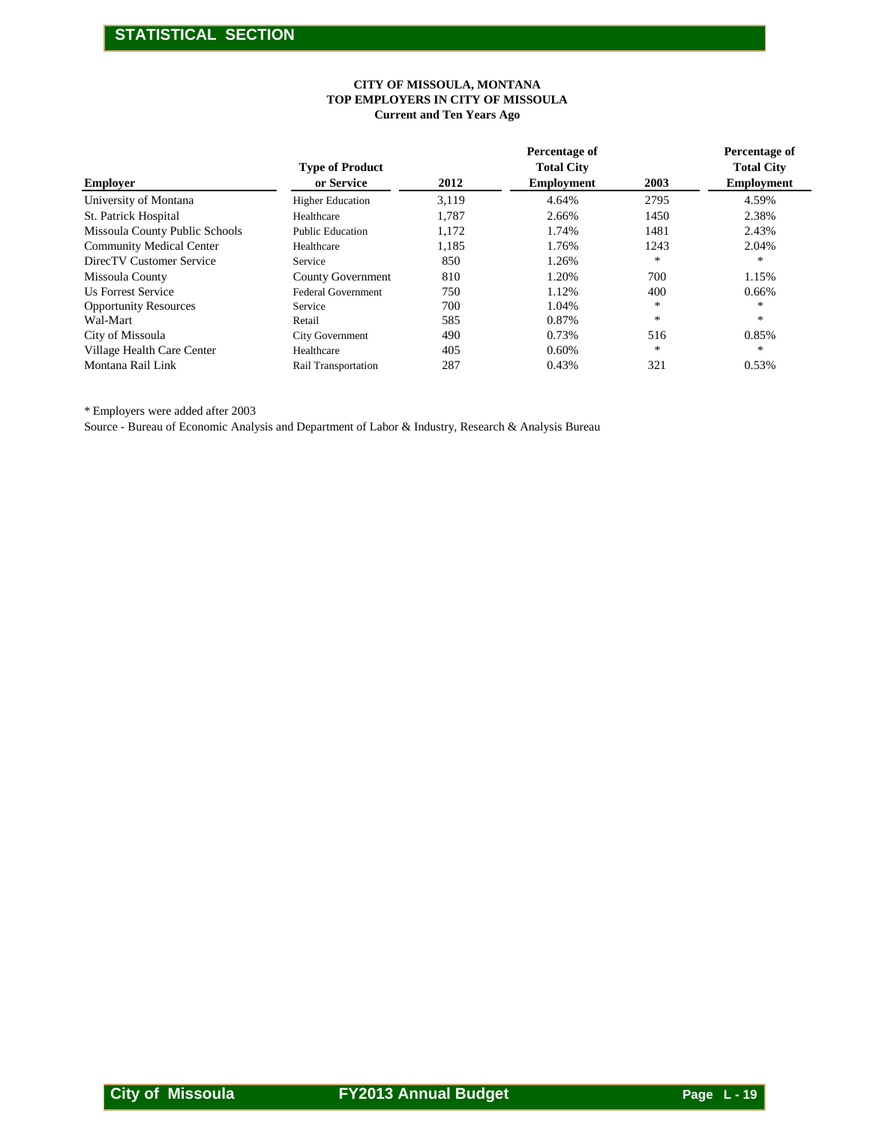#### **CITY OF MISSOULA, MONTANA TOP EMPLOYERS IN CITY OF MISSOULA Current and Ten Years Ago**

|                                | TOP EMPLOYERS IN CITY OF MISSOULA    | CITY OF MISSOULA, MONTANA<br><b>Current and Ten Years Ago</b> |                                                         |        |                                                         |
|--------------------------------|--------------------------------------|---------------------------------------------------------------|---------------------------------------------------------|--------|---------------------------------------------------------|
| <b>Employer</b>                | <b>Type of Product</b><br>or Service | 2012                                                          | Percentage of<br><b>Total City</b><br><b>Employment</b> | 2003   | Percentage of<br><b>Total City</b><br><b>Employment</b> |
| University of Montana          | <b>Higher Education</b>              | 3,119                                                         | 4.64%                                                   | 2795   | 4.59%                                                   |
| St. Patrick Hospital           | Healthcare                           | 1,787                                                         | 2.66%                                                   | 1450   | 2.38%                                                   |
| Missoula County Public Schools | <b>Public Education</b>              | 1,172                                                         | 1.74%                                                   | 1481   | 2.43%                                                   |
| Community Medical Center       | Healthcare                           | 1,185                                                         | 1.76%                                                   | 1243   | 2.04%                                                   |
| DirecTV Customer Service       | Service                              | 850                                                           | 1.26%                                                   | $\ast$ | $\ast$                                                  |
| Missoula County                | <b>County Government</b>             | 810                                                           | 1.20%                                                   | 700    | 1.15%                                                   |
| <b>Us Forrest Service</b>      | Federal Government                   | 750                                                           | 1.12%                                                   | 400    | 0.66%                                                   |
| <b>Opportunity Resources</b>   | Service                              | 700                                                           | 1.04%                                                   | $\ast$ | $\ast$                                                  |
| Wal-Mart                       | Retail                               | 585                                                           | $0.87\%$                                                | $\ast$ | $\ast$                                                  |
| City of Missoula               | City Government                      | 490                                                           | 0.73%                                                   | 516    | 0.85%                                                   |
| Village Health Care Center     | Healthcare                           | 405                                                           | 0.60%                                                   | $\ast$ | $\ast$                                                  |
| Montana Rail Link              | Rail Transportation                  | 287                                                           | 0.43%                                                   | 321    | 0.53%                                                   |
|                                |                                      |                                                               |                                                         |        |                                                         |
|                                |                                      |                                                               |                                                         |        |                                                         |
|                                |                                      |                                                               |                                                         |        |                                                         |
|                                |                                      |                                                               |                                                         |        |                                                         |
|                                |                                      |                                                               |                                                         |        |                                                         |
|                                |                                      |                                                               |                                                         |        |                                                         |
|                                |                                      |                                                               |                                                         |        |                                                         |
|                                |                                      |                                                               |                                                         |        |                                                         |
|                                |                                      |                                                               |                                                         |        |                                                         |
|                                |                                      |                                                               |                                                         |        |                                                         |
|                                |                                      |                                                               |                                                         |        |                                                         |
|                                |                                      |                                                               |                                                         |        |                                                         |
|                                |                                      |                                                               |                                                         |        |                                                         |
|                                |                                      |                                                               |                                                         |        |                                                         |
|                                |                                      |                                                               |                                                         |        |                                                         |
|                                |                                      |                                                               |                                                         |        |                                                         |
|                                |                                      |                                                               |                                                         |        |                                                         |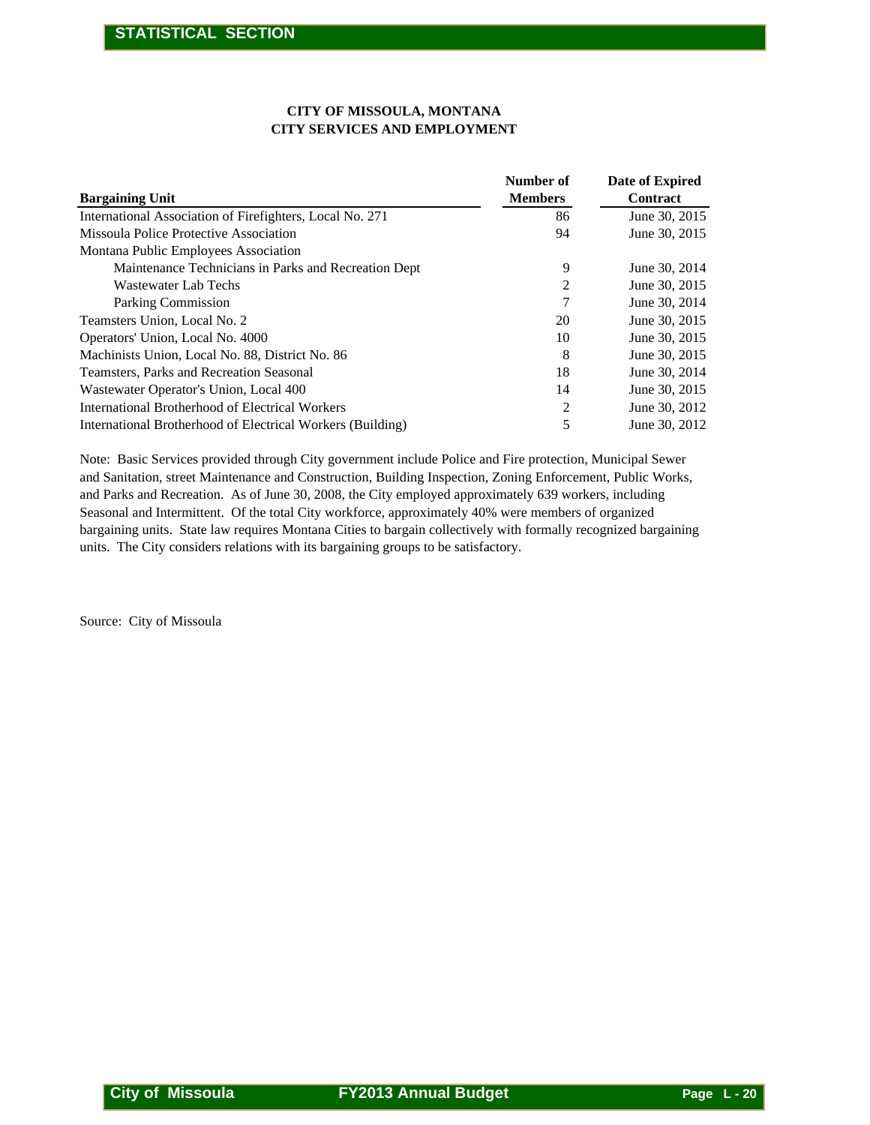#### **CITY OF MISSOULA, MONTANA CITY SERVICES AND EMPLOYMENT**

|                                                                                                  | <b>CITY OF MISSOULA, MONTANA</b><br><b>CITY SERVICES AND EMPLOYMENT</b>            |
|--------------------------------------------------------------------------------------------------|------------------------------------------------------------------------------------|
| <b>Bargaining Unit</b>                                                                           | <b>Number of</b><br><b>Date of Expired</b><br><b>Members</b><br>Contract           |
| International Association of Firefighters, Local No. 271                                         | 86<br>June 30, 2015                                                                |
| Missoula Police Protective Association                                                           | 94<br>June 30, 2015                                                                |
| Montana Public Employees Association                                                             |                                                                                    |
| Maintenance Technicians in Parks and Recreation Dept                                             | June 30, 2014<br>9                                                                 |
| <b>Wastewater Lab Techs</b>                                                                      | $\overline{c}$<br>June 30, 2015                                                    |
| Parking Commission                                                                               | 7<br>June 30, 2014                                                                 |
| Teamsters Union, Local No. 2                                                                     | 20<br>June 30, 2015                                                                |
| Operators' Union, Local No. 4000                                                                 | June 30, 2015<br>10                                                                |
| Machinists Union, Local No. 88, District No. 86                                                  | 8<br>June 30, 2015                                                                 |
| Teamsters, Parks and Recreation Seasonal                                                         | June 30, 2014<br>18                                                                |
| Wastewater Operator's Union, Local 400<br><b>International Brotherhood of Electrical Workers</b> | June 30, 2015<br>14                                                                |
| International Brotherhood of Electrical Workers (Building)                                       | $\boldsymbol{2}$<br>June 30, 2012<br>5<br>June 30, 2012                            |
|                                                                                                  | units. The City considers relations with its bargaining groups to be satisfactory. |
|                                                                                                  |                                                                                    |
|                                                                                                  |                                                                                    |
|                                                                                                  |                                                                                    |
|                                                                                                  |                                                                                    |
|                                                                                                  |                                                                                    |
|                                                                                                  |                                                                                    |
|                                                                                                  |                                                                                    |
|                                                                                                  |                                                                                    |
|                                                                                                  |                                                                                    |
|                                                                                                  |                                                                                    |
|                                                                                                  |                                                                                    |
| Source: City of Missoula                                                                         |                                                                                    |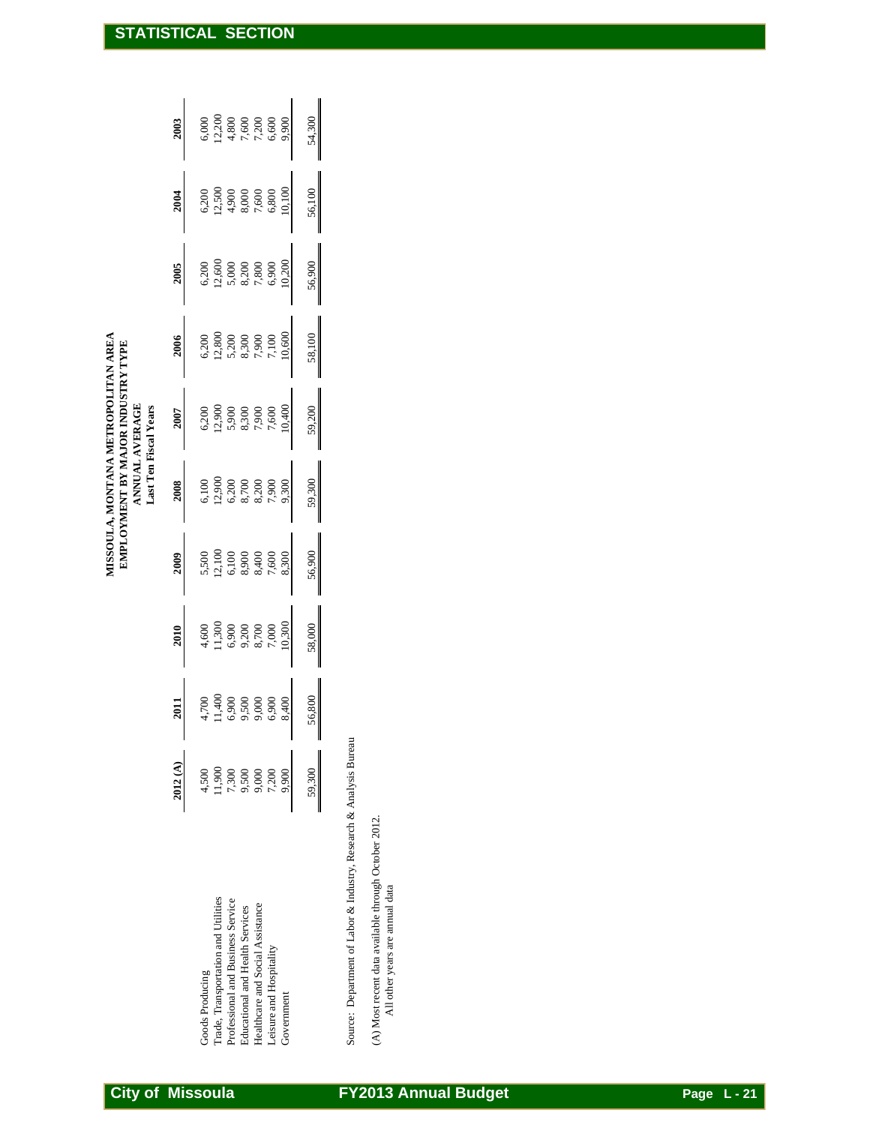| <b>STATISTICAL</b>                                                                                                         |         |                                                        |                                   |                                 |                                                             | <b>SECTION</b> |             |                                                                    |                                                                                         |                             |  |  |  |  |               |  |
|----------------------------------------------------------------------------------------------------------------------------|---------|--------------------------------------------------------|-----------------------------------|---------------------------------|-------------------------------------------------------------|----------------|-------------|--------------------------------------------------------------------|-----------------------------------------------------------------------------------------|-----------------------------|--|--|--|--|---------------|--|
|                                                                                                                            | 2003    | 12,200<br>6,000                                        | 4,800                             | $7,600$                         | 7,200<br>6,600                                              | 9,900          | 54,300      |                                                                    |                                                                                         |                             |  |  |  |  |               |  |
|                                                                                                                            | 2004    | 12,500<br>6,200                                        | 4,900                             | 8,000                           | 7,600<br>6,800                                              | 10,100         | 56,100<br>I |                                                                    |                                                                                         |                             |  |  |  |  |               |  |
|                                                                                                                            | 2005    | 12,600<br>6,200                                        | 5,000                             | 8,200                           | $7{,}800$<br>6,900                                          | 10,200         | 56,900<br>I |                                                                    |                                                                                         |                             |  |  |  |  |               |  |
|                                                                                                                            | 2006    | 12,800<br>6,200                                        | 5,200                             | 8,300                           | 7,900<br>7,100                                              | 10,600         | 58,100<br>I |                                                                    |                                                                                         |                             |  |  |  |  |               |  |
| MISSOULA, MONTANA METROPOLITAN AREA<br>EMPLOYMENT BY MAJOR INDUSTRY TYPE<br><b>ANNUAL AVERAGE</b><br>Last Ten Fiscal Years | 2007    | 12,900<br>6,200                                        | 5,900                             | 8,300                           | 7,900<br>7,600                                              | 10,400         | 59,200<br>I |                                                                    |                                                                                         |                             |  |  |  |  |               |  |
|                                                                                                                            | 2008    | 12,900<br>6,100                                        | 6,200                             | 8,700                           | 8,200<br>7,900                                              | 9,300          | 59,300<br>I |                                                                    |                                                                                         |                             |  |  |  |  |               |  |
|                                                                                                                            | 2009    | 12,100<br>5,500                                        | 6,100                             | 8,900                           | 8,400<br>7,600                                              | 8,300          | 56,900<br>I |                                                                    |                                                                                         |                             |  |  |  |  |               |  |
|                                                                                                                            | 2010    | 11,300<br>4,600                                        | 6,900                             | 9,200                           | 8,700<br>7,000                                              | 10,300         | 58,000      |                                                                    |                                                                                         |                             |  |  |  |  |               |  |
|                                                                                                                            | 2011    | 11,400<br>4,700                                        | 6,900                             | 9,500                           | 9,000<br>6,900                                              | 8,400          | 56,800      |                                                                    |                                                                                         |                             |  |  |  |  |               |  |
|                                                                                                                            | 2012(A) | 11,900<br>4,500                                        | 7,300                             | 9,500                           | 9,000<br>7,200                                              | 9,900          | 59,300      |                                                                    |                                                                                         |                             |  |  |  |  |               |  |
|                                                                                                                            |         | Trade, Transportation and Utilities<br>Goods Producing | Professional and Business Service | Educational and Health Services | Healthcare and Social Assistance<br>Leisure and Hospitality | Government     |             | Source: Department of Labor & Industry, Research & Analysis Bureau | (A) Most recent data available through October 2012.<br>All other years are annual data |                             |  |  |  |  |               |  |
| <b>City of Missoula</b>                                                                                                    |         |                                                        |                                   |                                 |                                                             |                |             |                                                                    |                                                                                         | <b>FY2013 Annual Budget</b> |  |  |  |  | Page $L - 21$ |  |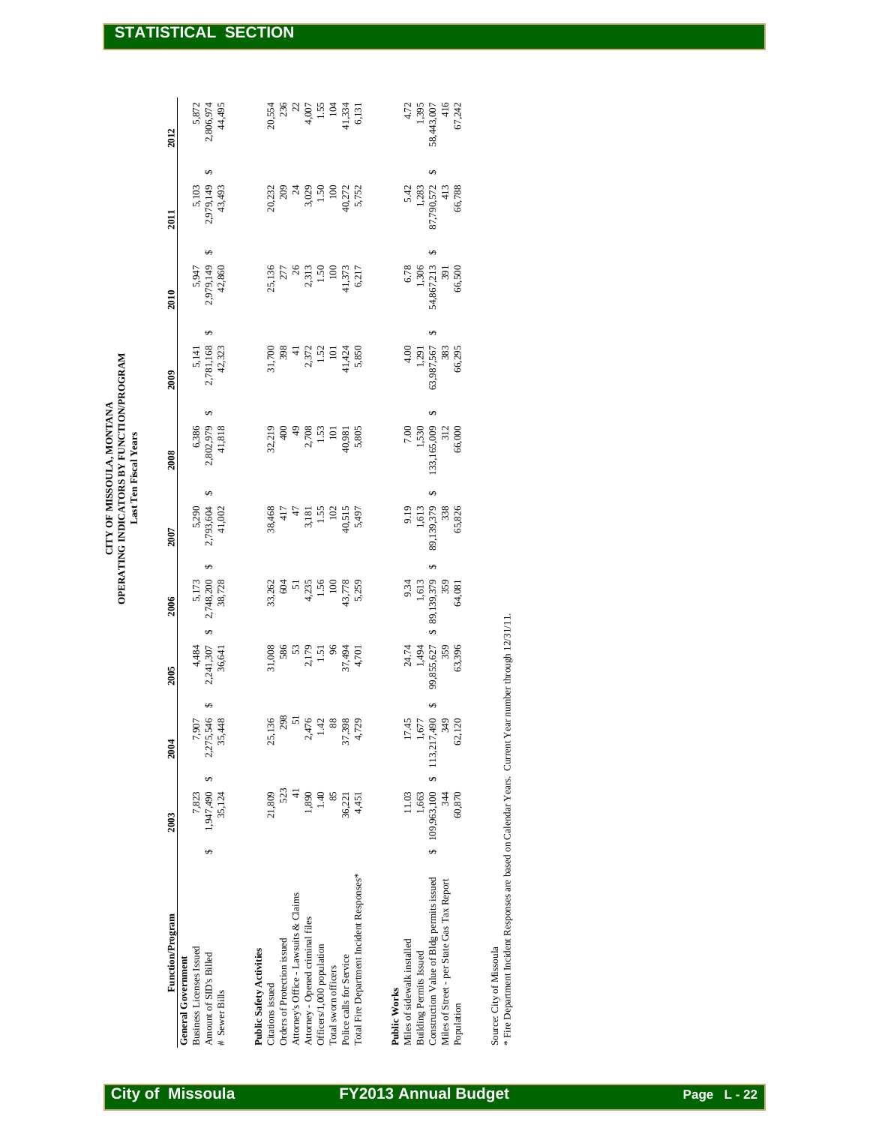| Function/Program                           | 2003            | 2004                                                                                                                                                                                                                                                                                                                           | 2005                                                                                                                                                                                                                                                                                                    | 2006                                                                     | 2007                                                                          | 2008                                                                                 | 2009                                                                                                         | 2010                                                            | 2011                                                              | 2012                                                                                |
|--------------------------------------------|-----------------|--------------------------------------------------------------------------------------------------------------------------------------------------------------------------------------------------------------------------------------------------------------------------------------------------------------------------------|---------------------------------------------------------------------------------------------------------------------------------------------------------------------------------------------------------------------------------------------------------------------------------------------------------|--------------------------------------------------------------------------|-------------------------------------------------------------------------------|--------------------------------------------------------------------------------------|--------------------------------------------------------------------------------------------------------------|-----------------------------------------------------------------|-------------------------------------------------------------------|-------------------------------------------------------------------------------------|
| General Government                         |                 |                                                                                                                                                                                                                                                                                                                                |                                                                                                                                                                                                                                                                                                         |                                                                          |                                                                               |                                                                                      |                                                                                                              |                                                                 |                                                                   |                                                                                     |
| <b>Business Licenses Issued</b>            | 7,823           |                                                                                                                                                                                                                                                                                                                                |                                                                                                                                                                                                                                                                                                         |                                                                          |                                                                               |                                                                                      |                                                                                                              |                                                                 |                                                                   |                                                                                     |
| Amount of SID's Billed                     | Ģ,<br>1,947,490 | 7,907<br>2,275,546<br>35,448                                                                                                                                                                                                                                                                                                   | $4,484$<br>2,241,307<br>36,641                                                                                                                                                                                                                                                                          | 5,173<br>2,748,200<br>38,728                                             | 5,290<br>2,793,604<br>41,002                                                  |                                                                                      |                                                                                                              |                                                                 | 5,103<br>2,979,149<br>43,493                                      |                                                                                     |
| # Sewer Bills                              | 35,124          |                                                                                                                                                                                                                                                                                                                                |                                                                                                                                                                                                                                                                                                         |                                                                          |                                                                               | 6,386<br>2,802,979<br>41,818                                                         | 5, 141<br>2, 781, 168<br>42, 323                                                                             | 5,947<br>2,979,149<br>42,860                                    |                                                                   | 5,872<br>2,806,974<br>44,495                                                        |
|                                            |                 |                                                                                                                                                                                                                                                                                                                                |                                                                                                                                                                                                                                                                                                         |                                                                          |                                                                               |                                                                                      |                                                                                                              |                                                                 |                                                                   |                                                                                     |
| Public Safety Activities                   |                 |                                                                                                                                                                                                                                                                                                                                |                                                                                                                                                                                                                                                                                                         |                                                                          |                                                                               |                                                                                      |                                                                                                              |                                                                 |                                                                   |                                                                                     |
| Citations issued                           | 21,809          |                                                                                                                                                                                                                                                                                                                                |                                                                                                                                                                                                                                                                                                         |                                                                          |                                                                               |                                                                                      |                                                                                                              |                                                                 |                                                                   |                                                                                     |
| Orders of Protection issued                | 523             |                                                                                                                                                                                                                                                                                                                                |                                                                                                                                                                                                                                                                                                         |                                                                          |                                                                               |                                                                                      |                                                                                                              |                                                                 |                                                                   |                                                                                     |
| Attorney's Office - Lawsuits & Claims      |                 |                                                                                                                                                                                                                                                                                                                                |                                                                                                                                                                                                                                                                                                         |                                                                          |                                                                               |                                                                                      |                                                                                                              |                                                                 |                                                                   |                                                                                     |
| Attorney - Opened criminal files           | 1,890           | $25,136$<br>$298$<br>$51$<br>$1.42$<br>$3.398$<br>$37,398$<br>$4,729$                                                                                                                                                                                                                                                          | $\begin{array}{r} 31,008 \\ 586 \\ 53 \\ 2,179 \\ 1.51 \\ 96 \\ 80 \\ 1.79 \\ 1.70 \\ 1.70 \\ 1.701 \\ 4,701 \\ 4,701 \\ 4,701 \\ 4,701 \\ 4,701 \\ 4,701 \\ 4,701 \\ 4,701 \\ 4,701 \\ 4,701 \\ 4,701 \\ 4,701 \\ 4,701 \\ 4,701 \\ 4,701 \\ 4,701 \\ 4,701 \\ 4,701 \\ 4,701 \\ 4,701 \\ 4,701 \\ 4,$ | $33,362\n604\n51\n4,235\n1.50\n1.50\n1.5,259\n1.3,778\n1.3,778\n1.3,778$ | 38,468<br>417<br>47<br>47<br>51.55<br>102<br>102<br>102<br>197<br>97<br>5,497 | $32,219$<br>400<br>400<br>40, 3708<br>2708, 5905<br>101<br>101<br>40, 981<br>40, 981 | $\begin{array}{r} 31,700 \\ 398 \\ 41 \\ 2,372 \\ 1.52 \\ 1.01 \\ 101 \\ 1424 \\ 5,850 \\ 5,850 \end{array}$ | 136<br>277<br>286<br>286<br>11.50<br>11.573<br>11.573<br>11.573 | 20,232<br>209<br>20,50<br>3,029<br>1.50<br>1.50<br>4,752<br>5,752 | 20,554<br>256<br>255<br>205<br>205<br>355<br>351<br>351<br>351<br>351<br>351<br>351 |
| Officers/1,000 population                  | 0.40            |                                                                                                                                                                                                                                                                                                                                |                                                                                                                                                                                                                                                                                                         |                                                                          |                                                                               |                                                                                      |                                                                                                              |                                                                 |                                                                   |                                                                                     |
| Total swom officers                        | 85              |                                                                                                                                                                                                                                                                                                                                |                                                                                                                                                                                                                                                                                                         |                                                                          |                                                                               |                                                                                      |                                                                                                              |                                                                 |                                                                   |                                                                                     |
| Police calls for Service                   | 36,221          |                                                                                                                                                                                                                                                                                                                                |                                                                                                                                                                                                                                                                                                         |                                                                          |                                                                               |                                                                                      |                                                                                                              |                                                                 |                                                                   |                                                                                     |
| Total Fire Department Incident Responses*  | 4,451           |                                                                                                                                                                                                                                                                                                                                |                                                                                                                                                                                                                                                                                                         |                                                                          |                                                                               |                                                                                      |                                                                                                              |                                                                 |                                                                   |                                                                                     |
|                                            |                 |                                                                                                                                                                                                                                                                                                                                |                                                                                                                                                                                                                                                                                                         |                                                                          |                                                                               |                                                                                      |                                                                                                              |                                                                 |                                                                   |                                                                                     |
| Public Works                               |                 |                                                                                                                                                                                                                                                                                                                                |                                                                                                                                                                                                                                                                                                         |                                                                          |                                                                               |                                                                                      |                                                                                                              |                                                                 |                                                                   |                                                                                     |
| Miles of sidewalk installed                |                 |                                                                                                                                                                                                                                                                                                                                |                                                                                                                                                                                                                                                                                                         |                                                                          |                                                                               |                                                                                      |                                                                                                              |                                                                 |                                                                   |                                                                                     |
| <b>Building Permits Issued</b>             |                 |                                                                                                                                                                                                                                                                                                                                |                                                                                                                                                                                                                                                                                                         |                                                                          |                                                                               |                                                                                      |                                                                                                              |                                                                 |                                                                   |                                                                                     |
| Construction Value of Bldg permits issued  |                 | ↮<br>$\begin{array}{cccc} & 0.259 \\ & 0.810 \\ & 0.810 \\ & 0.810 \\ & 0.969 \\ & 0.113 \\ & 0.113 \\ & 0.113 \\ & 0.113 \\ & 0.113 \\ & 0.113 \\ & 0.113 \\ & 0.114 \\ & 0.114 \\ & 0.114 \\ & 0.114 \\ & 0.114 \\ & 0.114 \\ & 0.114 \\ & 0.114 \\ & 0.114 \\ & 0.114 \\ & 0.114 \\ & 0.114 \\ & 0.114 \\ & 0.114 \\ & 0.1$ | 24.74<br>1,494<br>1,494<br>99,855,627<br>359                                                                                                                                                                                                                                                            | 9.34<br>1,613<br>1,613<br>189,379<br>359<br>359                          | 9.19<br>1,613<br>150,379<br>388<br>388<br>3886                                | $\begin{array}{r} 7.00 \\ 1,530 \\ 133.165,009 \\ 312 \\ 512 \\ 66,000 \end{array}$  | $4.00$<br>1,291<br>1,291<br>103,987,567<br>383<br>383                                                        | $54,867,213$<br>306<br>54,867,213<br>391<br>391                 | 5.42<br>1,283<br>87,790,572<br>413<br>66,788                      | 4.72<br>1,395<br>58,443,007<br>416<br>416<br>67,242                                 |
| Miles of Street - per State Gas Tax Report |                 |                                                                                                                                                                                                                                                                                                                                |                                                                                                                                                                                                                                                                                                         |                                                                          |                                                                               |                                                                                      |                                                                                                              |                                                                 |                                                                   |                                                                                     |
| Population                                 |                 |                                                                                                                                                                                                                                                                                                                                | 63,396                                                                                                                                                                                                                                                                                                  |                                                                          |                                                                               |                                                                                      |                                                                                                              |                                                                 |                                                                   |                                                                                     |

Source: City of Missoula

Source: City of Missoula<br>\* Fire Department Incident Responses are based on Calendar Years. Current Year number through 12/31/11. \* Fire Department Incident Responses are based on Calendar Years. Current Year number through 12/31/11.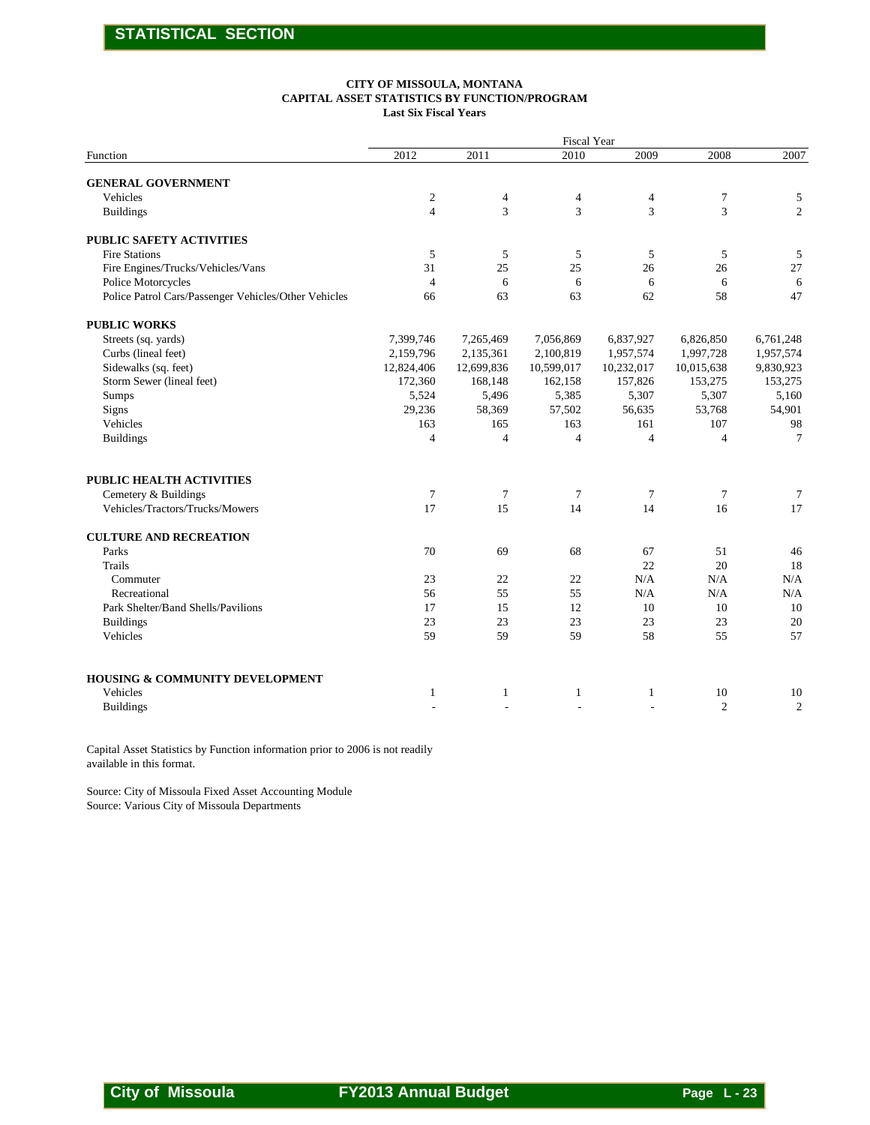#### **CITY OF MISSOULA, MONTANA CAPITAL ASSET STATISTICS BY FUNCTION/PROGRAM Last Six Fiscal Years**

| 2011<br>4<br>3<br>5<br>25<br>6<br>63<br>7,265,469<br>2,135,361<br>12,699,836 | Fiscal Year<br>2010<br>$\overline{4}$<br>3<br>5<br>25<br>6<br>63<br>7,056,869 | 2009<br>4<br>3<br>5<br>26<br>6<br>62 | 2008<br>$\boldsymbol{7}$<br>3<br>5<br>26<br>6<br>58 | 2007<br>5<br>$\overline{c}$<br>5<br>27<br>6 |
|------------------------------------------------------------------------------|-------------------------------------------------------------------------------|--------------------------------------|-----------------------------------------------------|---------------------------------------------|
|                                                                              |                                                                               |                                      |                                                     |                                             |
|                                                                              |                                                                               |                                      |                                                     |                                             |
|                                                                              |                                                                               |                                      |                                                     |                                             |
|                                                                              |                                                                               |                                      |                                                     |                                             |
|                                                                              |                                                                               |                                      |                                                     |                                             |
|                                                                              |                                                                               |                                      |                                                     |                                             |
|                                                                              |                                                                               |                                      |                                                     | 47                                          |
|                                                                              |                                                                               |                                      |                                                     |                                             |
|                                                                              |                                                                               | 6,837,927                            | 6,826,850                                           | 6,761,248                                   |
|                                                                              | 2,100,819                                                                     | 1,957,574                            | 1,997,728                                           | 1,957,574                                   |
| 168,148                                                                      | 10,599,017<br>162,158                                                         | 10,232,017<br>157,826                | 10,015,638<br>153,275                               | 9,830,923<br>153,275                        |
| 5,496                                                                        | 5,385                                                                         | 5,307                                | 5,307                                               | 5,160                                       |
| 58,369                                                                       | 57,502                                                                        | 56,635                               | 53,768                                              | 54,901                                      |
| $\overline{4}$                                                               | $\overline{4}$                                                                | $\overline{4}$                       | 4                                                   | 98<br>$\tau$                                |
|                                                                              |                                                                               |                                      |                                                     |                                             |
| $\tau$                                                                       | 7                                                                             | $7\phantom{.0}$                      | $\overline{7}$                                      | $\tau$                                      |
| 15                                                                           | 14                                                                            | 14                                   | 16                                                  | 17                                          |
|                                                                              |                                                                               |                                      |                                                     |                                             |
|                                                                              |                                                                               |                                      |                                                     | 46<br>18                                    |
| 22                                                                           | 22                                                                            | N/A                                  | N/A                                                 | N/A                                         |
|                                                                              |                                                                               |                                      |                                                     | N/A<br>10                                   |
| 23                                                                           | 23                                                                            | 23                                   | 23                                                  | 20                                          |
| 59                                                                           | 59                                                                            | 58                                   | 55                                                  | 57                                          |
|                                                                              |                                                                               |                                      |                                                     |                                             |
| 1                                                                            | 1                                                                             | 1                                    | 10                                                  | 10                                          |
|                                                                              |                                                                               |                                      |                                                     | 2                                           |
|                                                                              |                                                                               |                                      |                                                     |                                             |
|                                                                              |                                                                               |                                      |                                                     |                                             |
|                                                                              | 165<br>69<br>55<br>15                                                         | 163<br>68<br>55<br>12                | 161<br>67<br>22<br>N/A<br>10                        | 107<br>51<br>20<br>N/A<br>10<br>2           |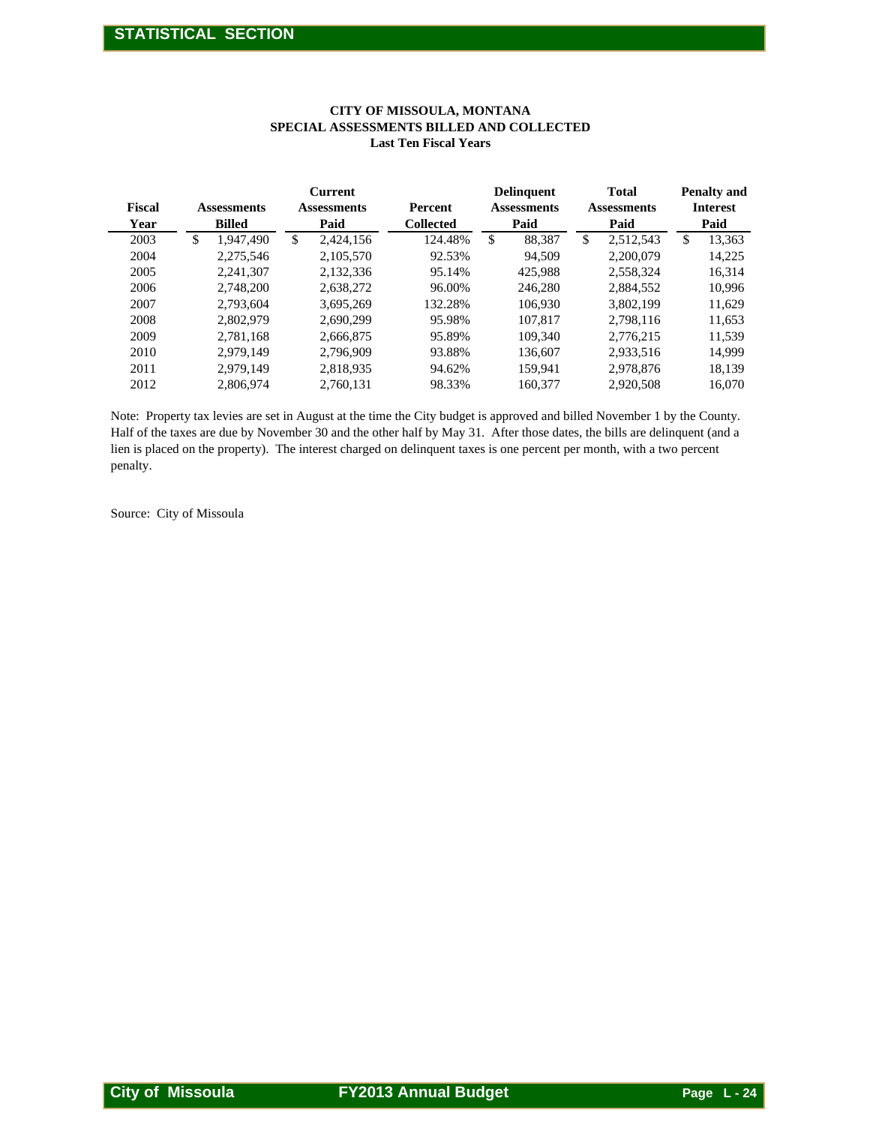|                | STATISTICAL SECTION                                                                                                                                                                                                                                 |                                              |                                                           |                                                 |                                            |                                               |
|----------------|-----------------------------------------------------------------------------------------------------------------------------------------------------------------------------------------------------------------------------------------------------|----------------------------------------------|-----------------------------------------------------------|-------------------------------------------------|--------------------------------------------|-----------------------------------------------|
|                |                                                                                                                                                                                                                                                     |                                              |                                                           |                                                 |                                            |                                               |
|                |                                                                                                                                                                                                                                                     | SPECIAL ASSESSMENTS BILLED AND COLLECTED     | CITY OF MISSOULA, MONTANA<br><b>Last Ten Fiscal Years</b> |                                                 |                                            |                                               |
|                |                                                                                                                                                                                                                                                     |                                              |                                                           |                                                 |                                            |                                               |
| Fiscal<br>Year | <b>Assessments</b><br><b>Billed</b>                                                                                                                                                                                                                 | <b>Current</b><br><b>Assessments</b><br>Paid | Percent<br><b>Collected</b>                               | <b>Delinquent</b><br><b>Assessments</b><br>Paid | <b>Total</b><br><b>Assessments</b><br>Paid | <b>Penalty and</b><br><b>Interest</b><br>Paid |
| 2003           | $\overline{\mathcal{S}}$<br>1,947,490                                                                                                                                                                                                               | $\overline{\mathcal{S}}$<br>2,424,156        | 124.48%                                                   | $\overline{\mathcal{S}}$<br>88,387              | $\overline{\$}$<br>2,512,543               | $\overline{\$}$<br>13,363                     |
| 2004           | 2,275,546                                                                                                                                                                                                                                           | 2,105,570                                    | 92.53%                                                    | 94,509                                          | 2,200,079                                  | 14,225                                        |
| 2005           | 2,241,307                                                                                                                                                                                                                                           | 2,132,336                                    | 95.14%                                                    | 425,988                                         | 2,558,324                                  | 16,314                                        |
| 2006           | 2,748,200                                                                                                                                                                                                                                           | 2,638,272                                    | 96.00%                                                    | 246,280                                         | 2,884,552                                  | 10,996                                        |
| 2007           | 2,793,604                                                                                                                                                                                                                                           | 3,695,269                                    | 132.28%                                                   | 106,930                                         | 3,802,199                                  | 11,629                                        |
| 2008           | 2,802,979                                                                                                                                                                                                                                           | 2,690,299                                    | 95.98%                                                    | 107,817                                         | 2,798,116                                  | 11,653                                        |
| 2009           | 2,781,168                                                                                                                                                                                                                                           | 2,666,875                                    | 95.89%                                                    | 109,340                                         | 2,776,215                                  | 11,539                                        |
| 2010           | 2,979,149                                                                                                                                                                                                                                           | 2,796,909                                    | 93.88%                                                    | 136,607                                         | 2,933,516                                  | 14,999                                        |
| 2011           | 2,979,149                                                                                                                                                                                                                                           | 2,818,935                                    | 94.62%                                                    | 159,941                                         | 2,978,876                                  | 18,139                                        |
| 2012           | 2,806,974                                                                                                                                                                                                                                           | 2,760,131                                    | 98.33%                                                    | 160,377                                         | 2,920,508                                  | 16,070                                        |
| penalty.       | Half of the taxes are due by November 30 and the other half by May 31. After those dates, the bills are delinquent (and a<br>lien is placed on the property). The interest charged on delinquent taxes is one percent per month, with a two percent |                                              |                                                           |                                                 |                                            |                                               |
|                | Source: City of Missoula                                                                                                                                                                                                                            |                                              |                                                           |                                                 |                                            |                                               |
|                |                                                                                                                                                                                                                                                     |                                              |                                                           |                                                 |                                            |                                               |
|                |                                                                                                                                                                                                                                                     |                                              |                                                           |                                                 |                                            |                                               |
|                |                                                                                                                                                                                                                                                     |                                              |                                                           |                                                 |                                            |                                               |
|                |                                                                                                                                                                                                                                                     |                                              |                                                           |                                                 |                                            |                                               |
|                |                                                                                                                                                                                                                                                     |                                              |                                                           |                                                 |                                            |                                               |
|                |                                                                                                                                                                                                                                                     |                                              |                                                           |                                                 |                                            |                                               |
|                |                                                                                                                                                                                                                                                     |                                              |                                                           |                                                 |                                            |                                               |
|                |                                                                                                                                                                                                                                                     |                                              |                                                           |                                                 |                                            |                                               |
|                |                                                                                                                                                                                                                                                     |                                              |                                                           |                                                 |                                            |                                               |
|                |                                                                                                                                                                                                                                                     |                                              |                                                           |                                                 |                                            |                                               |
|                |                                                                                                                                                                                                                                                     |                                              |                                                           |                                                 |                                            |                                               |
|                |                                                                                                                                                                                                                                                     |                                              |                                                           |                                                 |                                            |                                               |
|                |                                                                                                                                                                                                                                                     |                                              |                                                           |                                                 |                                            |                                               |
|                |                                                                                                                                                                                                                                                     |                                              |                                                           |                                                 |                                            |                                               |
|                |                                                                                                                                                                                                                                                     |                                              |                                                           |                                                 |                                            |                                               |
|                |                                                                                                                                                                                                                                                     |                                              |                                                           |                                                 |                                            |                                               |
|                |                                                                                                                                                                                                                                                     |                                              |                                                           |                                                 |                                            |                                               |
|                |                                                                                                                                                                                                                                                     |                                              |                                                           |                                                 |                                            |                                               |
|                |                                                                                                                                                                                                                                                     |                                              |                                                           |                                                 |                                            |                                               |
|                |                                                                                                                                                                                                                                                     |                                              |                                                           |                                                 |                                            |                                               |
|                |                                                                                                                                                                                                                                                     |                                              |                                                           |                                                 |                                            |                                               |
|                |                                                                                                                                                                                                                                                     |                                              |                                                           |                                                 |                                            |                                               |
|                |                                                                                                                                                                                                                                                     |                                              |                                                           |                                                 |                                            |                                               |
|                |                                                                                                                                                                                                                                                     |                                              |                                                           |                                                 |                                            |                                               |
|                |                                                                                                                                                                                                                                                     |                                              |                                                           |                                                 |                                            |                                               |
|                |                                                                                                                                                                                                                                                     |                                              |                                                           |                                                 |                                            |                                               |
|                |                                                                                                                                                                                                                                                     |                                              |                                                           |                                                 |                                            |                                               |
|                |                                                                                                                                                                                                                                                     |                                              |                                                           |                                                 |                                            |                                               |
|                |                                                                                                                                                                                                                                                     |                                              |                                                           |                                                 |                                            |                                               |
|                |                                                                                                                                                                                                                                                     |                                              |                                                           |                                                 |                                            |                                               |
|                |                                                                                                                                                                                                                                                     |                                              |                                                           |                                                 |                                            |                                               |
|                | <b>City of Missoula</b>                                                                                                                                                                                                                             |                                              | <b>FY2013 Annual Budget</b>                               |                                                 |                                            | Page L-24                                     |

#### **CITY OF MISSOULA, MONTANA SPECIAL ASSESSMENTS BILLED AND COLLECTED Last Ten Fiscal Years**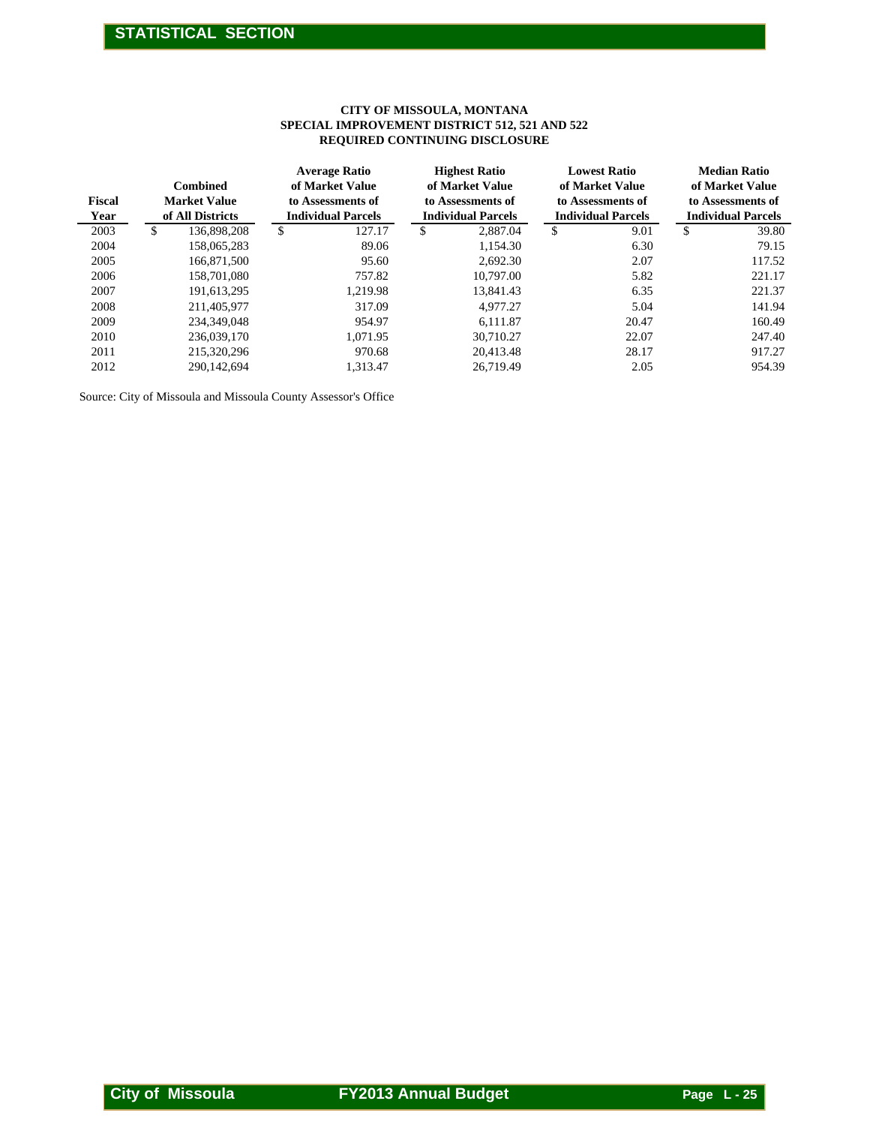#### **CITY OF MISSOULA, MONTANA SPECIAL IMPROVEMENT DISTRICT 512, 521 AND 522 REQUIRED CONTINUING DISCLOSURE**

|              |                                         |                                                              | CITY OF MISSOULA, MONTANA<br>SPECIAL IMPROVEMENT DISTRICT 512, 521 AND 522<br>REQUIRED CONTINUING DISCLOSURE |                                                                                          |                                                             |  |  |  |  |  |
|--------------|-----------------------------------------|--------------------------------------------------------------|--------------------------------------------------------------------------------------------------------------|------------------------------------------------------------------------------------------|-------------------------------------------------------------|--|--|--|--|--|
| Fiscal       | ${\bf Combined}$<br><b>Market Value</b> | <b>Average Ratio</b><br>of Market Value<br>to Assessments of | <b>Highest Ratio</b><br>of Market Value<br>to Assessments of                                                 | <b>Lowest Ratio</b><br>of Market Value<br>to Assessments of<br><b>Individual Parcels</b> | <b>Median Ratio</b><br>of Market Value<br>to Assessments of |  |  |  |  |  |
| Year<br>2003 | of All Districts<br>\$<br>136,898,208   | <b>Individual Parcels</b><br>127.17<br>$\mathbb{S}$          | <b>Individual Parcels</b><br>\$<br>2,887.04                                                                  | \$<br>9.01                                                                               | <b>Individual Parcels</b><br>39.80<br>\$                    |  |  |  |  |  |
| 2004         | 158,065,283                             | 89.06                                                        | 1,154.30                                                                                                     | 6.30                                                                                     | 79.15                                                       |  |  |  |  |  |
| 2005         | 166,871,500                             | 95.60                                                        | 2,692.30                                                                                                     | 2.07                                                                                     | 117.52                                                      |  |  |  |  |  |
| 2006         | 158,701,080                             | 757.82                                                       | 10,797.00                                                                                                    | 5.82                                                                                     | 221.17                                                      |  |  |  |  |  |
| 2007         | 191,613,295                             | 1,219.98                                                     | 13,841.43                                                                                                    | 6.35                                                                                     | 221.37                                                      |  |  |  |  |  |
| 2008         | 211,405,977                             | 317.09                                                       | 4,977.27                                                                                                     | 5.04                                                                                     | 141.94                                                      |  |  |  |  |  |
| 2009<br>2010 | 234,349,048<br>236,039,170              | 954.97<br>1,071.95                                           | 6,111.87<br>30,710.27                                                                                        | 20.47<br>22.07                                                                           | 160.49<br>247.40                                            |  |  |  |  |  |
| 2011         | 215,320,296                             | 970.68                                                       | 20,413.48                                                                                                    | 28.17                                                                                    | 917.27                                                      |  |  |  |  |  |
| 2012         | 290,142,694                             | 1,313.47                                                     | 26,719.49                                                                                                    | 2.05                                                                                     | 954.39                                                      |  |  |  |  |  |
|              |                                         |                                                              |                                                                                                              |                                                                                          |                                                             |  |  |  |  |  |
|              |                                         |                                                              |                                                                                                              |                                                                                          |                                                             |  |  |  |  |  |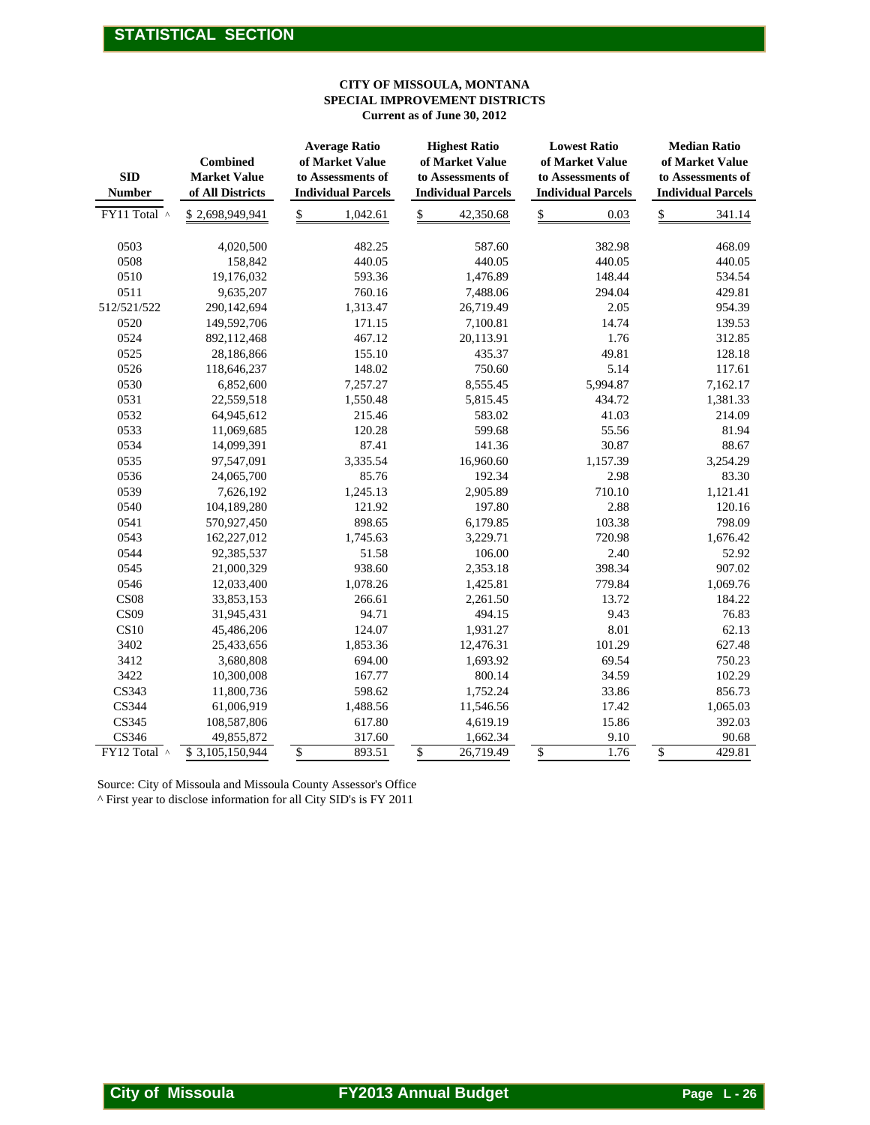#### **CITY OF MISSOULA, MONTANA SPECIAL IMPROVEMENT DISTRICTS Current as of June 30, 2012**

|                             |                                                            |                                                                                                                                      | CITY OF MISSOULA, MONTANA<br>SPECIAL IMPROVEMENT DISTRICTS<br>Current as of June 30, 2012 |                                                                                          |                                                                                          |
|-----------------------------|------------------------------------------------------------|--------------------------------------------------------------------------------------------------------------------------------------|-------------------------------------------------------------------------------------------|------------------------------------------------------------------------------------------|------------------------------------------------------------------------------------------|
| <b>SID</b><br><b>Number</b> | <b>Combined</b><br><b>Market Value</b><br>of All Districts | <b>Average Ratio</b><br>of Market Value<br>to Assessments of<br><b>Individual Parcels</b>                                            | <b>Highest Ratio</b><br>of Market Value<br>to Assessments of<br><b>Individual Parcels</b> | <b>Lowest Ratio</b><br>of Market Value<br>to Assessments of<br><b>Individual Parcels</b> | <b>Median Ratio</b><br>of Market Value<br>to Assessments of<br><b>Individual Parcels</b> |
| FY11 Total ^                | \$2,698,949,941                                            | \$<br>1,042.61                                                                                                                       | \$<br>42,350.68                                                                           | \$<br>0.03                                                                               | \$<br>341.14                                                                             |
|                             |                                                            |                                                                                                                                      |                                                                                           |                                                                                          |                                                                                          |
| 0503                        | 4,020,500                                                  | 482.25                                                                                                                               | 587.60                                                                                    | 382.98                                                                                   | 468.09                                                                                   |
| 0508<br>0510                | 158,842<br>19,176,032                                      | 440.05<br>593.36                                                                                                                     | 440.05<br>1,476.89                                                                        | 440.05<br>148.44                                                                         | 440.05<br>534.54                                                                         |
| 0511                        | 9,635,207                                                  | 760.16                                                                                                                               | 7,488.06                                                                                  | 294.04                                                                                   | 429.81                                                                                   |
| 512/521/522                 | 290,142,694                                                | 1,313.47                                                                                                                             | 26,719.49                                                                                 | 2.05                                                                                     | 954.39                                                                                   |
| 0520                        | 149,592,706                                                | 171.15                                                                                                                               | 7,100.81                                                                                  | 14.74                                                                                    | 139.53                                                                                   |
| 0524                        | 892,112,468                                                | 467.12                                                                                                                               | 20,113.91                                                                                 | 1.76                                                                                     | 312.85                                                                                   |
| 0525                        | 28,186,866                                                 | 155.10                                                                                                                               | 435.37                                                                                    | 49.81                                                                                    | 128.18                                                                                   |
| 0526                        | 118,646,237                                                | 148.02                                                                                                                               | 750.60                                                                                    | 5.14                                                                                     | 117.61                                                                                   |
| 0530                        | 6,852,600                                                  | 7,257.27                                                                                                                             | 8,555.45                                                                                  | 5,994.87                                                                                 | 7,162.17                                                                                 |
| 0531                        | 22,559,518                                                 | 1,550.48                                                                                                                             | 5,815.45                                                                                  | 434.72                                                                                   | 1,381.33                                                                                 |
| 0532                        | 64,945,612                                                 | 215.46                                                                                                                               | 583.02                                                                                    | 41.03                                                                                    | 214.09                                                                                   |
| 0533                        | 11,069,685                                                 | 120.28                                                                                                                               | 599.68                                                                                    | 55.56                                                                                    | 81.94                                                                                    |
| 0534                        | 14,099,391                                                 | 87.41                                                                                                                                | 141.36                                                                                    | 30.87                                                                                    | 88.67                                                                                    |
| 0535                        | 97,547,091                                                 | 3,335.54                                                                                                                             | 16,960.60                                                                                 | 1,157.39                                                                                 | 3,254.29                                                                                 |
| 0536                        | 24,065,700                                                 | 85.76                                                                                                                                | 192.34                                                                                    | 2.98                                                                                     | 83.30                                                                                    |
| 0539                        | 7,626,192                                                  | 1,245.13                                                                                                                             | 2,905.89                                                                                  | 710.10                                                                                   | 1,121.41                                                                                 |
| 0540                        | 104,189,280                                                | 121.92                                                                                                                               | 197.80                                                                                    | 2.88                                                                                     | 120.16                                                                                   |
| 0541                        | 570,927,450                                                | 898.65                                                                                                                               | 6,179.85                                                                                  | 103.38                                                                                   | 798.09                                                                                   |
| 0543                        | 162,227,012                                                | 1,745.63                                                                                                                             | 3,229.71                                                                                  | 720.98                                                                                   | 1,676.42                                                                                 |
| 0544                        | 92,385,537                                                 | 51.58                                                                                                                                | 106.00                                                                                    | 2.40                                                                                     | 52.92                                                                                    |
| 0545                        | 21,000,329                                                 | 938.60                                                                                                                               | 2,353.18                                                                                  | 398.34                                                                                   | 907.02                                                                                   |
| 0546                        | 12,033,400                                                 | 1,078.26                                                                                                                             | 1,425.81                                                                                  | 779.84                                                                                   | 1,069.76                                                                                 |
| CS <sub>08</sub>            | 33,853,153                                                 | 266.61                                                                                                                               | 2,261.50                                                                                  | 13.72                                                                                    | 184.22                                                                                   |
| CS <sub>09</sub>            | 31,945,431                                                 | 94.71                                                                                                                                | 494.15                                                                                    | 9.43                                                                                     | 76.83                                                                                    |
| <b>CS10</b>                 | 45,486,206                                                 | 124.07                                                                                                                               | 1,931.27                                                                                  | 8.01                                                                                     | 62.13                                                                                    |
| 3402<br>3412                | 25,433,656<br>3,680,808                                    | 1,853.36<br>694.00                                                                                                                   | 12,476.31                                                                                 | 101.29<br>69.54                                                                          | 627.48<br>750.23                                                                         |
| 3422                        | 10,300,008                                                 | 167.77                                                                                                                               | 1,693.92<br>800.14                                                                        | 34.59                                                                                    | 102.29                                                                                   |
| CS343                       | 11,800,736                                                 | 598.62                                                                                                                               | 1,752.24                                                                                  | 33.86                                                                                    | 856.73                                                                                   |
| CS344                       | 61,006,919                                                 | 1,488.56                                                                                                                             | 11,546.56                                                                                 | 17.42                                                                                    | 1,065.03                                                                                 |
| CS345                       | 108,587,806                                                | 617.80                                                                                                                               | 4,619.19                                                                                  | 15.86                                                                                    | 392.03                                                                                   |
| CS346                       | 49,855,872                                                 | 317.60                                                                                                                               | 1,662.34                                                                                  | 9.10                                                                                     | 90.68                                                                                    |
| FY12 Total ^                | \$3,105,150,944                                            | \$<br>893.51                                                                                                                         | 26,719.49<br>\$                                                                           | $\frac{1}{2}$<br>1.76                                                                    | 429.81<br>$\frac{1}{2}$                                                                  |
|                             |                                                            | Source: City of Missoula and Missoula County Assessor's Office<br>^ First year to disclose information for all City SID's is FY 2011 |                                                                                           |                                                                                          |                                                                                          |
| <b>City of Missoula</b>     |                                                            |                                                                                                                                      | <b>FY2013 Annual Budget</b>                                                               |                                                                                          | <b>Page L-26</b>                                                                         |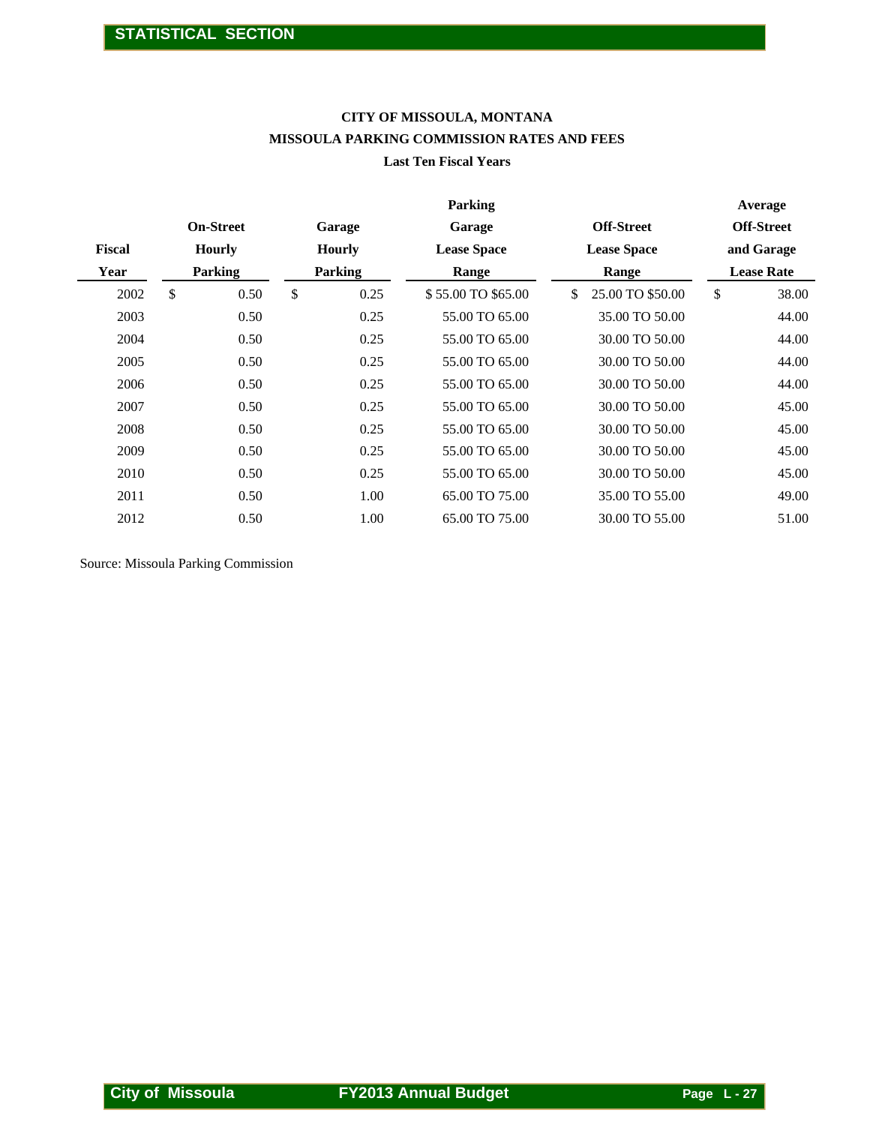## **CITY OF MISSOULA, MONTANA MISSOULA PARKING COMMISSION RATES AND FEES**

#### **Last Ten Fiscal Years**

|                      |                                             |               |                         | CITY OF MISSOULA, MONTANA<br>MISSOULA PARKING COMMISSION RATES AND FEES<br><b>Last Ten Fiscal Years</b> |                                         |                                            |       |
|----------------------|---------------------------------------------|---------------|-------------------------|---------------------------------------------------------------------------------------------------------|-----------------------------------------|--------------------------------------------|-------|
| <b>Fiscal</b>        | <b>On-Street</b><br><b>Hourly</b>           |               | Garage<br><b>Hourly</b> | <b>Parking</b><br>Garage<br><b>Lease Space</b>                                                          | <b>Off-Street</b><br><b>Lease Space</b> | Average<br><b>Off-Street</b><br>and Garage |       |
| Year                 | <b>Parking</b>                              |               | <b>Parking</b>          | Range                                                                                                   | Range                                   | <b>Lease Rate</b>                          |       |
| $\mathbb{S}$<br>2002 | 0.50                                        | $\mathcal{S}$ | 0.25                    | \$55.00 TO \$65.00                                                                                      | 25.00 TO \$50.00<br>\$                  | $\mathsf{\$}$                              | 38.00 |
| 2003                 | 0.50                                        |               | 0.25                    | 55.00 TO 65.00                                                                                          | 35.00 TO 50.00                          |                                            | 44.00 |
| 2004                 | 0.50                                        |               | 0.25                    | 55.00 TO 65.00                                                                                          | 30.00 TO 50.00                          |                                            | 44.00 |
| 2005                 | 0.50                                        |               | 0.25                    | 55.00 TO 65.00                                                                                          | 30.00 TO 50.00                          |                                            | 44.00 |
| 2006                 | 0.50                                        |               | 0.25                    | 55.00 TO 65.00                                                                                          | 30.00 TO 50.00                          |                                            | 44.00 |
| 2007                 | 0.50                                        |               | 0.25                    | 55.00 TO 65.00                                                                                          | 30.00 TO 50.00                          |                                            | 45.00 |
| 2008                 | 0.50                                        |               | 0.25                    | 55.00 TO 65.00                                                                                          | 30.00 TO 50.00                          |                                            | 45.00 |
| 2009                 | 0.50                                        |               | 0.25                    | 55.00 TO 65.00                                                                                          | 30.00 TO 50.00                          |                                            | 45.00 |
| 2010                 | 0.50                                        |               | 0.25                    | 55.00 TO 65.00                                                                                          | 30.00 TO 50.00                          |                                            | 45.00 |
| 2011                 | 0.50                                        |               | 1.00                    | 65.00 TO 75.00                                                                                          | 35.00 TO 55.00                          |                                            | 49.00 |
|                      |                                             |               |                         | 65.00 TO 75.00                                                                                          | 30.00 TO 55.00                          |                                            | 51.00 |
| 2012                 | 0.50<br>Source: Missoula Parking Commission |               | 1.00                    |                                                                                                         |                                         |                                            |       |
|                      |                                             |               |                         |                                                                                                         |                                         |                                            |       |
|                      |                                             |               |                         |                                                                                                         |                                         |                                            |       |
|                      |                                             |               |                         |                                                                                                         |                                         |                                            |       |
|                      |                                             |               |                         |                                                                                                         |                                         |                                            |       |
|                      |                                             |               |                         |                                                                                                         |                                         |                                            |       |
|                      |                                             |               |                         |                                                                                                         |                                         |                                            |       |
|                      |                                             |               |                         |                                                                                                         |                                         |                                            |       |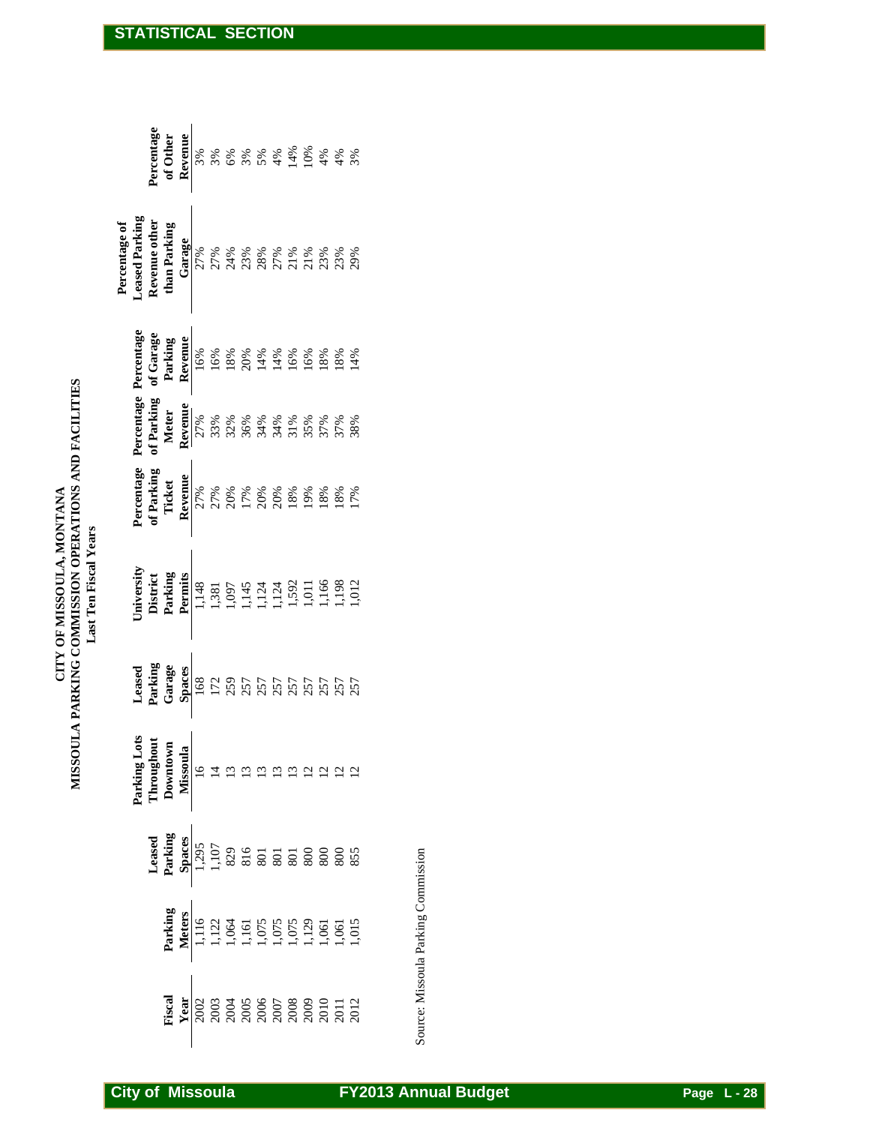| MISSOULA PARKING COMMISSION OPERATIONS AND FACILITIES<br>CITY OF MISSOULA, MONTANA<br><b>Last Ten Fiscal Years</b> |  |
|--------------------------------------------------------------------------------------------------------------------|--|
|--------------------------------------------------------------------------------------------------------------------|--|

| STATISTICAL SECTION                                                                             |                                                                                   |                                     |           |
|-------------------------------------------------------------------------------------------------|-----------------------------------------------------------------------------------|-------------------------------------|-----------|
|                                                                                                 |                                                                                   |                                     |           |
| Percentage<br>of Other<br>Revenue<br>3%<br>3%                                                   | 14%<br>10%<br>3%<br>$5%$<br>4%<br>4%<br>6%<br>$4%$<br>3%                          |                                     |           |
| <b>Leased Parking</b><br>Revenue other<br>Percentage of<br>than Parking<br>Garage<br>27%<br>27% | 24%<br>23%<br>28%<br>21%<br>27%<br>21%<br>23%<br>23%<br>29%                       |                                     |           |
| of Garage<br>Revenue<br>Parking<br>16%<br>16%                                                   | 18%<br>20%<br>14%<br>14%<br>16%<br>16%<br>18%<br>18%<br>14%                       |                                     |           |
| Percentage Percentage<br>of Parking<br>Revenue<br>Meter<br>27%<br>33%                           | 32%<br>36%<br>34%<br>34%<br>31%<br>35%<br>37%<br>37%<br>38%                       |                                     |           |
| Percentage<br>of Parking<br>Revenue<br>Ticket<br>27%<br>27%                                     | 17%<br>20%<br>20%<br>20%<br>18%<br>19%<br>18%<br>18%<br>17%                       |                                     |           |
| University<br>Parking<br>Permits<br><b>District</b><br>1,148<br>1,381                           | 1,166<br>1,592<br>1.98<br>1,012<br>1,011<br>1,145<br>1,124<br>1,097<br>1,124      |                                     |           |
| Leased<br>Parking<br>Garage<br>Spaces<br>168<br>172                                             | 259<br>257<br>257<br>257<br>257<br>257<br>257<br>257<br>257                       |                                     |           |
| Parking Lots<br>Throughout<br>Downtown<br>Missoula<br>$\tilde{=}$<br>$\overline{4}$             | nnnnn<br>22<br>$\overline{5}$                                                     |                                     |           |
| Parking<br>Leased<br>Spaces<br>1,295<br>1,107                                                   | 816<br>5.5.5.5.5.5<br>829<br>801                                                  |                                     |           |
| Parking<br><b>Meters</b><br>1,116<br>1,122                                                      | 1,075<br>1,075<br>1,075<br>1,129<br>$1,061$<br>$1,015$<br>1,064<br>1,161<br>1,061 | Source: Missoula Parking Commission |           |
| Fiscal<br>Year<br>2002<br>2003                                                                  | 2005<br>2006<br>2007<br>2008<br>2010<br>2004<br>2012<br>2011                      |                                     |           |
| <b>City of Missoula</b>                                                                         |                                                                                   | <b>FY2013 Annual Budget</b>         | Page L-28 |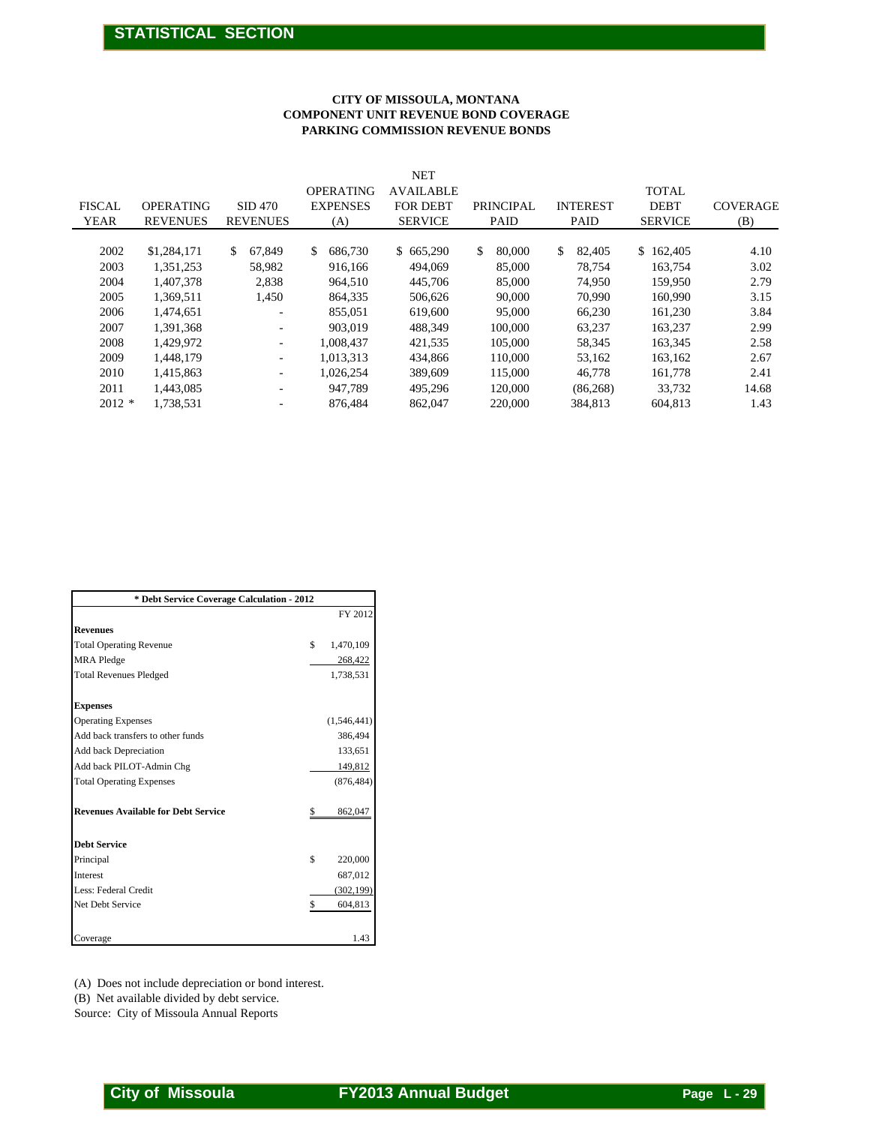#### **CITY OF MISSOULA, MONTANA COMPONENT UNIT REVENUE BOND COVERAGE PARKING COMMISSION REVENUE BONDS**

|                                                                                        |                                                                                                                                               |                                                     | <b>COMPONENT UNIT REVENUE BOND COVERAGE</b>                                                                                       | <b>CITY OF MISSOULA, MONTANA</b><br>PARKING COMMISSION REVENUE BONDS                                                    |                                                                                                                        |                                                                                                                      |                                                                                                                        |                                                                                       |
|----------------------------------------------------------------------------------------|-----------------------------------------------------------------------------------------------------------------------------------------------|-----------------------------------------------------|-----------------------------------------------------------------------------------------------------------------------------------|-------------------------------------------------------------------------------------------------------------------------|------------------------------------------------------------------------------------------------------------------------|----------------------------------------------------------------------------------------------------------------------|------------------------------------------------------------------------------------------------------------------------|---------------------------------------------------------------------------------------|
| <b>FISCAL</b><br><b>YEAR</b>                                                           | <b>OPERATING</b><br><b>REVENUES</b>                                                                                                           | <b>SID 470</b><br><b>REVENUES</b>                   | <b>OPERATING</b><br><b>EXPENSES</b><br>(A)                                                                                        | <b>NET</b><br><b>AVAILABLE</b><br>FOR DEBT<br><b>SERVICE</b>                                                            | PRINCIPAL<br>PAID                                                                                                      | <b>INTEREST</b><br><b>PAID</b>                                                                                       | <b>TOTAL</b><br><b>DEBT</b><br><b>SERVICE</b>                                                                          | <b>COVERAGE</b><br>(B)                                                                |
| 2002<br>2003<br>2004<br>2005<br>2006<br>2007<br>2008<br>2009<br>2010<br>2011<br>2012 * | \$1,284,171<br>1,351,253<br>1,407,378<br>1,369,511<br>1,474,651<br>1,391,368<br>1,429,972<br>1,448,179<br>1,415,863<br>1,443,085<br>1,738,531 | \$<br>67,849<br>58,982<br>2,838<br>1,450<br>÷<br>÷  | \$<br>686,730<br>916,166<br>964,510<br>864,335<br>855,051<br>903,019<br>1,008,437<br>1,013,313<br>1,026,254<br>947,789<br>876,484 | \$665,290<br>494,069<br>445,706<br>506,626<br>619,600<br>488,349<br>421,535<br>434,866<br>389,609<br>495,296<br>862,047 | \$<br>80,000<br>85,000<br>85,000<br>90,000<br>95,000<br>100,000<br>105,000<br>110,000<br>115,000<br>120,000<br>220,000 | \$<br>82,405<br>78,754<br>74,950<br>70,990<br>66,230<br>63,237<br>58,345<br>53,162<br>46,778<br>(86, 268)<br>384,813 | \$162,405<br>163,754<br>159,950<br>160,990<br>161,230<br>163,237<br>163,345<br>163,162<br>161,778<br>33,732<br>604,813 | 4.10<br>3.02<br>2.79<br>3.15<br>3.84<br>2.99<br>2.58<br>2.67<br>2.41<br>14.68<br>1.43 |
|                                                                                        |                                                                                                                                               | * Debt Service Coverage Calculation - 2012          |                                                                                                                                   |                                                                                                                         |                                                                                                                        |                                                                                                                      |                                                                                                                        |                                                                                       |
|                                                                                        |                                                                                                                                               |                                                     | FY 2012                                                                                                                           |                                                                                                                         |                                                                                                                        |                                                                                                                      |                                                                                                                        |                                                                                       |
| Revenues                                                                               |                                                                                                                                               |                                                     |                                                                                                                                   |                                                                                                                         |                                                                                                                        |                                                                                                                      |                                                                                                                        |                                                                                       |
| <b>Total Operating Revenue</b><br><b>MRA</b> Pledge                                    |                                                                                                                                               |                                                     | 1,470,109<br>\$<br>268,422                                                                                                        |                                                                                                                         |                                                                                                                        |                                                                                                                      |                                                                                                                        |                                                                                       |
| <b>Total Revenues Pledged</b>                                                          |                                                                                                                                               |                                                     | 1,738,531                                                                                                                         |                                                                                                                         |                                                                                                                        |                                                                                                                      |                                                                                                                        |                                                                                       |
| <b>Expenses</b>                                                                        |                                                                                                                                               |                                                     |                                                                                                                                   |                                                                                                                         |                                                                                                                        |                                                                                                                      |                                                                                                                        |                                                                                       |
| <b>Operating Expenses</b>                                                              |                                                                                                                                               |                                                     | (1,546,441)                                                                                                                       |                                                                                                                         |                                                                                                                        |                                                                                                                      |                                                                                                                        |                                                                                       |
|                                                                                        | Add back transfers to other funds                                                                                                             |                                                     | 386,494                                                                                                                           |                                                                                                                         |                                                                                                                        |                                                                                                                      |                                                                                                                        |                                                                                       |
| Add back Depreciation                                                                  |                                                                                                                                               |                                                     | 133,651                                                                                                                           |                                                                                                                         |                                                                                                                        |                                                                                                                      |                                                                                                                        |                                                                                       |
| Add back PILOT-Admin Chg                                                               |                                                                                                                                               |                                                     | 149,812                                                                                                                           |                                                                                                                         |                                                                                                                        |                                                                                                                      |                                                                                                                        |                                                                                       |
| <b>Total Operating Expenses</b>                                                        |                                                                                                                                               |                                                     | (876, 484)                                                                                                                        |                                                                                                                         |                                                                                                                        |                                                                                                                      |                                                                                                                        |                                                                                       |
|                                                                                        | <b>Revenues Available for Debt Service</b>                                                                                                    |                                                     | 862,047<br>\$                                                                                                                     |                                                                                                                         |                                                                                                                        |                                                                                                                      |                                                                                                                        |                                                                                       |
| <b>Debt Service</b>                                                                    |                                                                                                                                               |                                                     |                                                                                                                                   |                                                                                                                         |                                                                                                                        |                                                                                                                      |                                                                                                                        |                                                                                       |
| Principal                                                                              |                                                                                                                                               |                                                     | 220,000<br>\$                                                                                                                     |                                                                                                                         |                                                                                                                        |                                                                                                                      |                                                                                                                        |                                                                                       |
| Interest                                                                               |                                                                                                                                               |                                                     | 687,012                                                                                                                           |                                                                                                                         |                                                                                                                        |                                                                                                                      |                                                                                                                        |                                                                                       |
| Less: Federal Credit                                                                   |                                                                                                                                               |                                                     | (302, 199)                                                                                                                        |                                                                                                                         |                                                                                                                        |                                                                                                                      |                                                                                                                        |                                                                                       |
| Net Debt Service                                                                       |                                                                                                                                               |                                                     | 604,813<br>\$                                                                                                                     |                                                                                                                         |                                                                                                                        |                                                                                                                      |                                                                                                                        |                                                                                       |
| Coverage                                                                               |                                                                                                                                               |                                                     | 1.43                                                                                                                              |                                                                                                                         |                                                                                                                        |                                                                                                                      |                                                                                                                        |                                                                                       |
|                                                                                        |                                                                                                                                               | (A) Does not include depreciation or bond interest. |                                                                                                                                   |                                                                                                                         |                                                                                                                        |                                                                                                                      |                                                                                                                        |                                                                                       |

| * Debt Service Coverage Calculation - 2012 |    |             |  |  |  |  |  |  |  |  |
|--------------------------------------------|----|-------------|--|--|--|--|--|--|--|--|
|                                            |    | FY 2012     |  |  |  |  |  |  |  |  |
| <b>Revenues</b>                            |    |             |  |  |  |  |  |  |  |  |
| <b>Total Operating Revenue</b>             | \$ | 1,470,109   |  |  |  |  |  |  |  |  |
| <b>MRA</b> Pledge                          |    | 268,422     |  |  |  |  |  |  |  |  |
| <b>Total Revenues Pledged</b>              |    | 1,738,531   |  |  |  |  |  |  |  |  |
| <b>Expenses</b>                            |    |             |  |  |  |  |  |  |  |  |
| <b>Operating Expenses</b>                  |    | (1,546,441) |  |  |  |  |  |  |  |  |
| Add back transfers to other funds          |    | 386,494     |  |  |  |  |  |  |  |  |
| Add back Depreciation                      |    | 133,651     |  |  |  |  |  |  |  |  |
| Add back PILOT-Admin Chg                   |    | 149,812     |  |  |  |  |  |  |  |  |
| <b>Total Operating Expenses</b>            |    | (876, 484)  |  |  |  |  |  |  |  |  |
| <b>Revenues Available for Debt Service</b> | \$ | 862,047     |  |  |  |  |  |  |  |  |
| <b>Debt Service</b>                        |    |             |  |  |  |  |  |  |  |  |
| Principal                                  | \$ | 220,000     |  |  |  |  |  |  |  |  |
| <b>Interest</b>                            |    | 687,012     |  |  |  |  |  |  |  |  |
| Less: Federal Credit                       |    | (302, 199)  |  |  |  |  |  |  |  |  |
| Net Debt Service                           | \$ | 604,813     |  |  |  |  |  |  |  |  |
| Coverage                                   |    | 1.43        |  |  |  |  |  |  |  |  |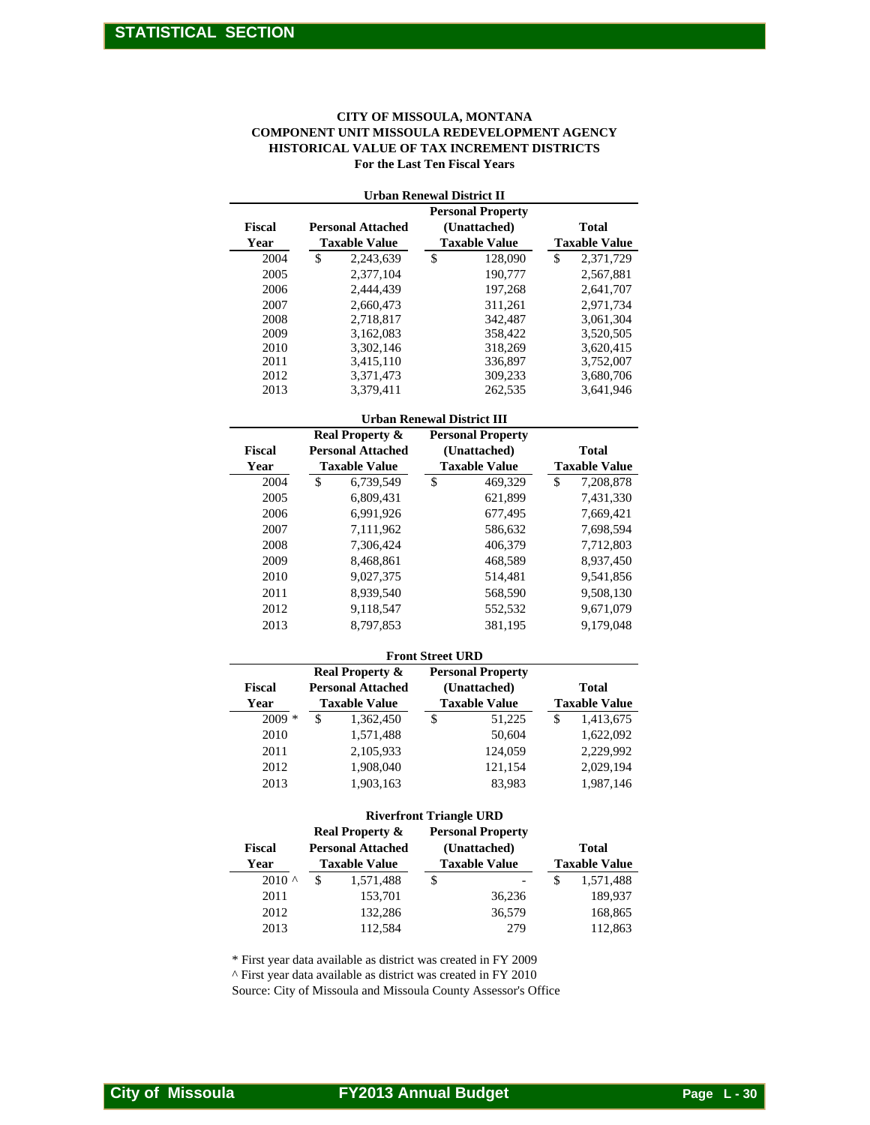#### **CITY OF MISSOULA, MONTANA COMPONENT UNIT MISSOULA REDEVELOPMENT AGENCY HISTORICAL VALUE OF TAX INCREMENT DISTRICTS For the Last Ten Fiscal Years**

| <b>COMPONENT UNIT MISSOULA REDEVELOPMENT AGENCY</b><br>HISTORICAL VALUE OF TAX INCREMENT DISTRICTS<br>For the Last Ten Fiscal Years |                            |                                                                                                                                                                                                    |                        |  |  |  |  |  |  |  |  |
|-------------------------------------------------------------------------------------------------------------------------------------|----------------------------|----------------------------------------------------------------------------------------------------------------------------------------------------------------------------------------------------|------------------------|--|--|--|--|--|--|--|--|
|                                                                                                                                     |                            | <b>Urban Renewal District II</b>                                                                                                                                                                   |                        |  |  |  |  |  |  |  |  |
| Fiscal                                                                                                                              | <b>Personal Attached</b>   | <b>Personal Property</b><br>(Unattached)                                                                                                                                                           | <b>Total</b>           |  |  |  |  |  |  |  |  |
| Year                                                                                                                                | <b>Taxable Value</b>       | <b>Taxable Value</b>                                                                                                                                                                               | <b>Taxable Value</b>   |  |  |  |  |  |  |  |  |
| 2004                                                                                                                                | \$<br>2,243,639            | \$<br>128,090                                                                                                                                                                                      | \$<br>2,371,729        |  |  |  |  |  |  |  |  |
| 2005                                                                                                                                | 2,377,104                  | 190,777                                                                                                                                                                                            | 2,567,881              |  |  |  |  |  |  |  |  |
| 2006                                                                                                                                | 2,444,439                  | 197,268                                                                                                                                                                                            | 2,641,707              |  |  |  |  |  |  |  |  |
| 2007                                                                                                                                | 2,660,473                  | 311,261                                                                                                                                                                                            | 2,971,734              |  |  |  |  |  |  |  |  |
| 2008                                                                                                                                | 2,718,817                  | 342,487                                                                                                                                                                                            | 3,061,304              |  |  |  |  |  |  |  |  |
| 2009                                                                                                                                | 3,162,083                  | 358,422                                                                                                                                                                                            | 3,520,505              |  |  |  |  |  |  |  |  |
| 2010                                                                                                                                | 3,302,146                  | 318,269                                                                                                                                                                                            | 3,620,415              |  |  |  |  |  |  |  |  |
| 2011<br>2012                                                                                                                        | 3,415,110<br>3,371,473     | 336,897<br>309,233                                                                                                                                                                                 | 3,752,007<br>3,680,706 |  |  |  |  |  |  |  |  |
| 2013                                                                                                                                | 3,379,411                  | 262,535                                                                                                                                                                                            | 3,641,946              |  |  |  |  |  |  |  |  |
|                                                                                                                                     |                            |                                                                                                                                                                                                    |                        |  |  |  |  |  |  |  |  |
|                                                                                                                                     | <b>Real Property &amp;</b> | <b>Urban Renewal District III</b>                                                                                                                                                                  |                        |  |  |  |  |  |  |  |  |
| Fiscal                                                                                                                              | <b>Personal Attached</b>   | <b>Personal Property</b><br>(Unattached)                                                                                                                                                           | <b>Total</b>           |  |  |  |  |  |  |  |  |
| Year                                                                                                                                | <b>Taxable Value</b>       | <b>Taxable Value</b>                                                                                                                                                                               | <b>Taxable Value</b>   |  |  |  |  |  |  |  |  |
| 2004                                                                                                                                | \$<br>6,739,549            | $\mathbb{S}$<br>469,329                                                                                                                                                                            | \$<br>7,208,878        |  |  |  |  |  |  |  |  |
| 2005                                                                                                                                | 6,809,431                  | 621,899                                                                                                                                                                                            | 7,431,330              |  |  |  |  |  |  |  |  |
| 2006                                                                                                                                | 6,991,926                  | 677,495                                                                                                                                                                                            | 7,669,421              |  |  |  |  |  |  |  |  |
| 2007                                                                                                                                | 7,111,962                  | 586,632                                                                                                                                                                                            | 7,698,594              |  |  |  |  |  |  |  |  |
| 2008                                                                                                                                | 7,306,424                  | 406,379                                                                                                                                                                                            | 7,712,803              |  |  |  |  |  |  |  |  |
| 2009                                                                                                                                | 8,468,861                  | 468,589                                                                                                                                                                                            | 8,937,450              |  |  |  |  |  |  |  |  |
| 2010                                                                                                                                | 9,027,375                  | 514,481                                                                                                                                                                                            | 9,541,856              |  |  |  |  |  |  |  |  |
| 2011                                                                                                                                | 8,939,540                  | 568,590                                                                                                                                                                                            | 9,508,130              |  |  |  |  |  |  |  |  |
| 2012                                                                                                                                | 9,118,547                  | 552,532                                                                                                                                                                                            | 9,671,079              |  |  |  |  |  |  |  |  |
| 2013                                                                                                                                | 8,797,853                  | 381,195                                                                                                                                                                                            | 9,179,048              |  |  |  |  |  |  |  |  |
|                                                                                                                                     |                            | <b>Front Street URD</b>                                                                                                                                                                            |                        |  |  |  |  |  |  |  |  |
|                                                                                                                                     | <b>Real Property &amp;</b> | <b>Personal Property</b>                                                                                                                                                                           |                        |  |  |  |  |  |  |  |  |
| Fiscal                                                                                                                              | <b>Personal Attached</b>   | (Unattached)                                                                                                                                                                                       | <b>Total</b>           |  |  |  |  |  |  |  |  |
| Year                                                                                                                                | <b>Taxable Value</b>       | <b>Taxable Value</b>                                                                                                                                                                               | <b>Taxable Value</b>   |  |  |  |  |  |  |  |  |
| 2009 *                                                                                                                              | \$<br>1,362,450            | \$<br>51,225                                                                                                                                                                                       | \$<br>1,413,675        |  |  |  |  |  |  |  |  |
| 2010                                                                                                                                | 1,571,488                  | 50,604                                                                                                                                                                                             | 1,622,092              |  |  |  |  |  |  |  |  |
| 2011                                                                                                                                | 2,105,933                  | 124,059                                                                                                                                                                                            | 2,229,992              |  |  |  |  |  |  |  |  |
| 2012                                                                                                                                | 1,908,040                  | 121,154                                                                                                                                                                                            | 2,029,194              |  |  |  |  |  |  |  |  |
| 2013                                                                                                                                | 1,903,163                  | 83,983                                                                                                                                                                                             | 1,987,146              |  |  |  |  |  |  |  |  |
|                                                                                                                                     |                            | <b>Riverfront Triangle URD</b>                                                                                                                                                                     |                        |  |  |  |  |  |  |  |  |
|                                                                                                                                     | <b>Real Property &amp;</b> | <b>Personal Property</b>                                                                                                                                                                           |                        |  |  |  |  |  |  |  |  |
| Fiscal                                                                                                                              | <b>Personal Attached</b>   | (Unattached)                                                                                                                                                                                       | <b>Total</b>           |  |  |  |  |  |  |  |  |
| Year                                                                                                                                | <b>Taxable Value</b>       | <b>Taxable Value</b>                                                                                                                                                                               | <b>Taxable Value</b>   |  |  |  |  |  |  |  |  |
| $2010$ ^                                                                                                                            | \$<br>1,571,488            | \$                                                                                                                                                                                                 | \$<br>1,571,488        |  |  |  |  |  |  |  |  |
| 2011                                                                                                                                | 153,701                    | 36,236                                                                                                                                                                                             | 189,937                |  |  |  |  |  |  |  |  |
| 2012                                                                                                                                | 132,286                    | 36,579                                                                                                                                                                                             | 168,865                |  |  |  |  |  |  |  |  |
| 2013                                                                                                                                | 112,584                    | 279                                                                                                                                                                                                | 112,863                |  |  |  |  |  |  |  |  |
|                                                                                                                                     |                            | * First year data available as district was created in FY 2009<br>^ First year data available as district was created in FY 2010<br>Source: City of Missoula and Missoula County Assessor's Office |                        |  |  |  |  |  |  |  |  |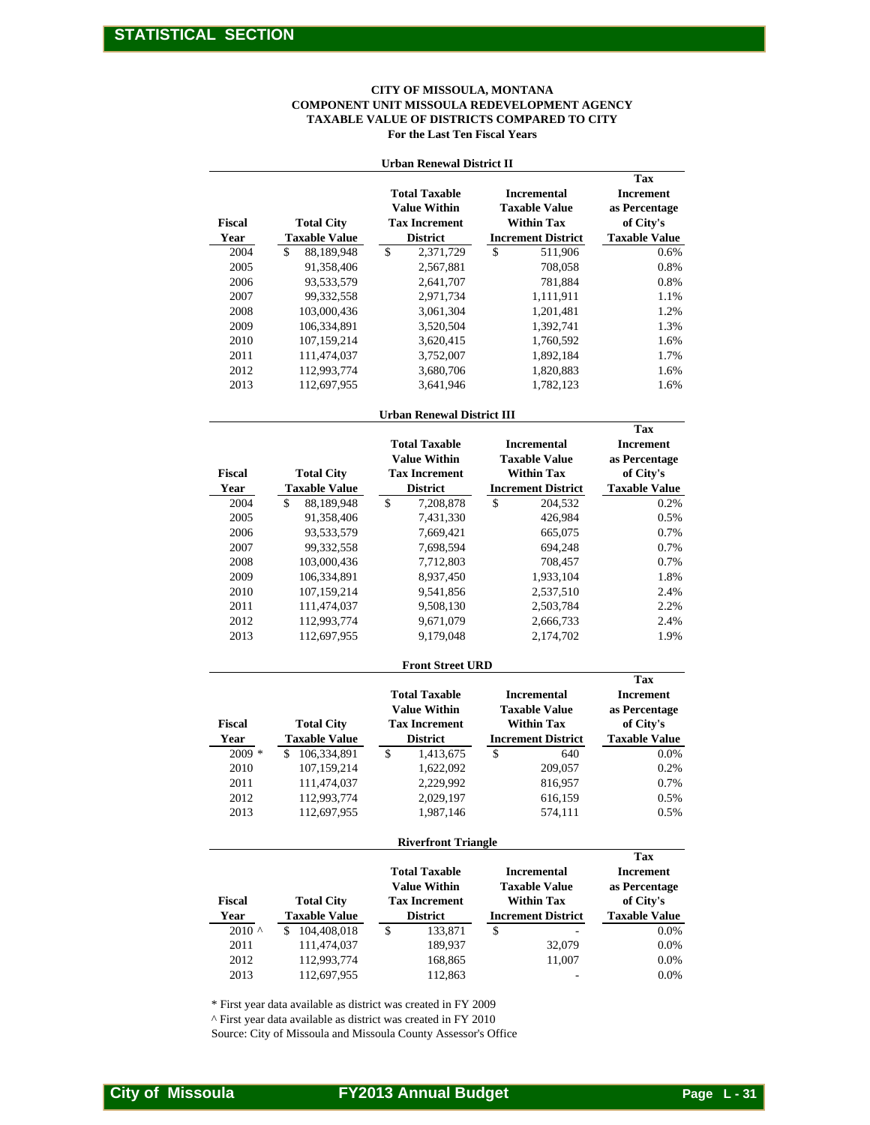#### **For the Last Ten Fiscal Years CITY OF MISSOULA, MONTANA COMPONENT UNIT MISSOULA REDEVELOPMENT AGENCY TAXABLE VALUE OF DISTRICTS COMPARED TO CITY**

|                                                                                                 | For the Last Ten Fiscal Years<br><b>Urban Renewal District II</b>                                      |                                                                                              |                                                                        |  |  |  |  |  |  |  |  |  |  |
|-------------------------------------------------------------------------------------------------|--------------------------------------------------------------------------------------------------------|----------------------------------------------------------------------------------------------|------------------------------------------------------------------------|--|--|--|--|--|--|--|--|--|--|
| <b>Tax</b><br><b>Total Taxable</b><br><b>Incremental</b><br><b>Increment</b>                    |                                                                                                        |                                                                                              |                                                                        |  |  |  |  |  |  |  |  |  |  |
| Fiscal<br><b>Total City</b><br>Year<br><b>Taxable Value</b>                                     | <b>Value Within</b><br><b>Tax Increment</b><br><b>District</b>                                         | <b>Taxable Value</b><br><b>Within Tax</b><br><b>Increment District</b>                       | as Percentage<br>of City's<br><b>Taxable Value</b>                     |  |  |  |  |  |  |  |  |  |  |
| 2004<br>88,189,948<br>\$                                                                        | \$<br>2,371,729                                                                                        | \$<br>511,906                                                                                | 0.6%                                                                   |  |  |  |  |  |  |  |  |  |  |
| 2005<br>91,358,406                                                                              | 2,567,881                                                                                              | 708,058                                                                                      | 0.8%                                                                   |  |  |  |  |  |  |  |  |  |  |
| 2006<br>93,533,579                                                                              | 2,641,707                                                                                              | 781,884                                                                                      | 0.8%                                                                   |  |  |  |  |  |  |  |  |  |  |
| 2007<br>99,332,558                                                                              | 2,971,734                                                                                              | 1,111,911                                                                                    | 1.1%                                                                   |  |  |  |  |  |  |  |  |  |  |
| 2008<br>103,000,436                                                                             | 3,061,304                                                                                              | 1,201,481                                                                                    | 1.2%                                                                   |  |  |  |  |  |  |  |  |  |  |
| 2009<br>106,334,891                                                                             | 3,520,504                                                                                              | 1,392,741                                                                                    | 1.3%                                                                   |  |  |  |  |  |  |  |  |  |  |
| 2010<br>107,159,214                                                                             | 3,620,415                                                                                              | 1,760,592                                                                                    | 1.6%                                                                   |  |  |  |  |  |  |  |  |  |  |
| 2011<br>111,474,037                                                                             | 3,752,007                                                                                              | 1,892,184                                                                                    | 1.7%                                                                   |  |  |  |  |  |  |  |  |  |  |
| 2012<br>112,993,774                                                                             | 3,680,706                                                                                              | 1,820,883                                                                                    | 1.6%                                                                   |  |  |  |  |  |  |  |  |  |  |
| 2013<br>112,697,955                                                                             | 3,641,946                                                                                              | 1,782,123                                                                                    | 1.6%                                                                   |  |  |  |  |  |  |  |  |  |  |
|                                                                                                 | <b>Urban Renewal District III</b>                                                                      |                                                                                              | Tax                                                                    |  |  |  |  |  |  |  |  |  |  |
| <b>Total City</b><br>Fiscal                                                                     | <b>Total Taxable</b><br><b>Value Within</b><br><b>Tax Increment</b>                                    | <b>Incremental</b><br><b>Taxable Value</b><br><b>Within Tax</b>                              | <b>Increment</b><br>as Percentage<br>of City's                         |  |  |  |  |  |  |  |  |  |  |
| <b>Taxable Value</b><br>Year                                                                    | <b>District</b>                                                                                        | <b>Increment District</b>                                                                    | <b>Taxable Value</b>                                                   |  |  |  |  |  |  |  |  |  |  |
| 2004<br>\$<br>88,189,948                                                                        | \$<br>7,208,878                                                                                        | \$<br>204,532                                                                                | 0.2%                                                                   |  |  |  |  |  |  |  |  |  |  |
| 2005<br>91,358,406                                                                              | 7,431,330                                                                                              | 426,984                                                                                      | 0.5%                                                                   |  |  |  |  |  |  |  |  |  |  |
| 2006<br>93,533,579                                                                              | 7,669,421                                                                                              | 665,075                                                                                      | 0.7%                                                                   |  |  |  |  |  |  |  |  |  |  |
| 2007<br>99,332,558                                                                              | 7,698,594                                                                                              | 694,248                                                                                      | 0.7%                                                                   |  |  |  |  |  |  |  |  |  |  |
| 2008<br>103,000,436                                                                             | 7,712,803                                                                                              | 708,457                                                                                      | 0.7%                                                                   |  |  |  |  |  |  |  |  |  |  |
| 2009<br>106,334,891                                                                             | 8,937,450                                                                                              | 1,933,104                                                                                    | 1.8%                                                                   |  |  |  |  |  |  |  |  |  |  |
| 2010<br>107,159,214<br>2011<br>111,474,037                                                      | 9,541,856<br>9,508,130                                                                                 | 2,537,510<br>2,503,784                                                                       | 2.4%<br>2.2%                                                           |  |  |  |  |  |  |  |  |  |  |
| 2012<br>112,993,774                                                                             | 9,671,079                                                                                              | 2,666,733                                                                                    | 2.4%                                                                   |  |  |  |  |  |  |  |  |  |  |
| 2013<br>112,697,955                                                                             | 9,179,048                                                                                              | 2,174,702                                                                                    | 1.9%                                                                   |  |  |  |  |  |  |  |  |  |  |
|                                                                                                 | <b>Front Street URD</b>                                                                                |                                                                                              |                                                                        |  |  |  |  |  |  |  |  |  |  |
|                                                                                                 | <b>Total Taxable</b>                                                                                   | <b>Incremental</b>                                                                           | <b>Tax</b><br>Increment                                                |  |  |  |  |  |  |  |  |  |  |
| Fiscal<br><b>Total City</b><br><b>Taxable Value</b><br>Year                                     | <b>Value Within</b><br><b>Tax Increment</b><br><b>District</b>                                         | <b>Taxable Value</b><br><b>Within Tax</b><br><b>Increment District</b>                       | as Percentage<br>of City's<br><b>Taxable Value</b>                     |  |  |  |  |  |  |  |  |  |  |
| $2009 *$<br>\$106,334,891                                                                       | \$<br>1,413,675                                                                                        | \$<br>640                                                                                    | 0.0%                                                                   |  |  |  |  |  |  |  |  |  |  |
| 2010<br>107,159,214                                                                             | 1,622,092                                                                                              | 209,057                                                                                      | 0.2%                                                                   |  |  |  |  |  |  |  |  |  |  |
| 2011<br>111,474,037                                                                             | 2,229,992                                                                                              | 816,957                                                                                      | 0.7%                                                                   |  |  |  |  |  |  |  |  |  |  |
| 2012<br>112,993,774                                                                             | 2,029,197                                                                                              | 616,159                                                                                      | 0.5%<br>0.5%                                                           |  |  |  |  |  |  |  |  |  |  |
|                                                                                                 |                                                                                                        |                                                                                              |                                                                        |  |  |  |  |  |  |  |  |  |  |
|                                                                                                 |                                                                                                        |                                                                                              | <b>Tax</b>                                                             |  |  |  |  |  |  |  |  |  |  |
| Fiscal<br><b>Total City</b><br>Year<br><b>Taxable Value</b>                                     | <b>Value Within</b><br><b>Tax Increment</b><br><b>District</b>                                         | <b>Incremental</b><br><b>Taxable Value</b><br><b>Within Tax</b><br><b>Increment District</b> | <b>Increment</b><br>as Percentage<br>of City's<br><b>Taxable Value</b> |  |  |  |  |  |  |  |  |  |  |
|                                                                                                 |                                                                                                        |                                                                                              | 0.0%                                                                   |  |  |  |  |  |  |  |  |  |  |
|                                                                                                 |                                                                                                        |                                                                                              | 0.0%                                                                   |  |  |  |  |  |  |  |  |  |  |
| 2013<br>112,697,955                                                                             | 112,863                                                                                                |                                                                                              | 0.0%<br>0.0%                                                           |  |  |  |  |  |  |  |  |  |  |
| 2013<br>112,697,955<br>2010 ^<br>104,408,018<br>S<br>2011<br>111,474,037<br>2012<br>112,993,774 | 1,987,146<br><b>Riverfront Triangle</b><br><b>Total Taxable</b><br>\$<br>133,871<br>189,937<br>168,865 | 574,111<br>\$<br>32,079<br>11,007                                                            |                                                                        |  |  |  |  |  |  |  |  |  |  |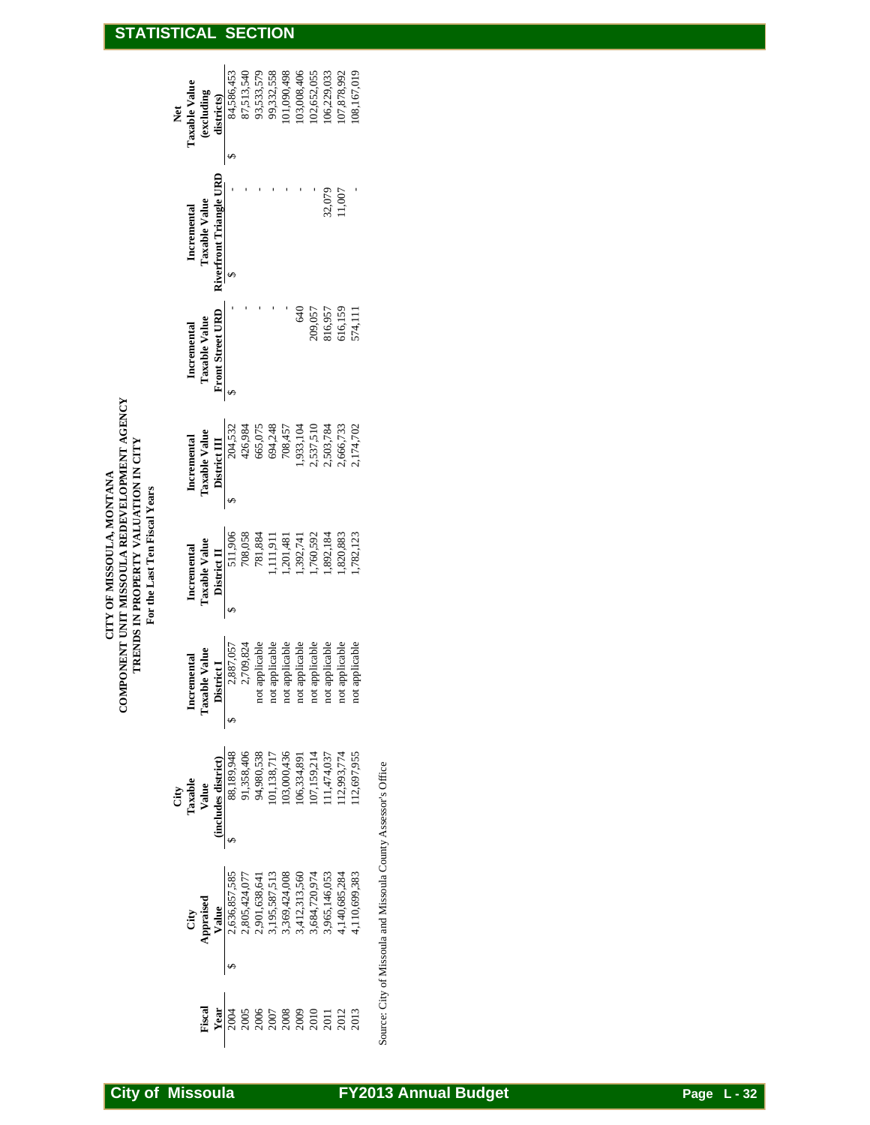| <b>Net</b> | Taxable Value   | <i>(excluding</i>                                                 | districts)              | 84,586,453                                                                                                                                                                                                                                                                                                                    | 87,513,540 | 93,533,579     | 99,332,558           | 101,090,498    | 103,008,406         | 102,652,055                                                                          | 106,229,033                | 107,878,992    | 108,167,019    |
|------------|-----------------|-------------------------------------------------------------------|-------------------------|-------------------------------------------------------------------------------------------------------------------------------------------------------------------------------------------------------------------------------------------------------------------------------------------------------------------------------|------------|----------------|----------------------|----------------|---------------------|--------------------------------------------------------------------------------------|----------------------------|----------------|----------------|
|            | Incremental     | Taxable Value                                                     | Riverfront Triangle URD | ↮<br>5                                                                                                                                                                                                                                                                                                                        |            |                |                      |                |                     |                                                                                      | 32,079                     | 11,007         |                |
|            | Incremental     | Taxable Value                                                     | Front Street URD        | S                                                                                                                                                                                                                                                                                                                             |            |                |                      |                | 640                 | 209,057                                                                              | 816,957                    | 616,159        | 574,111        |
|            | Incremental     | Taxable Value                                                     | District III            | 204,532<br>S                                                                                                                                                                                                                                                                                                                  | 426,984    | 665,075        | 694,248              | 708,457        | 1,933,104           | 2,537,510                                                                            | 2,503,784                  | 2,666,733      | 2,174,702      |
|            | Incremental     | Taxable Value                                                     | District II             | 511,906<br>\$                                                                                                                                                                                                                                                                                                                 | 708,058    | 781,884        | ,111,911             | ,201,481       | ,392,741            | ,760,592                                                                             | ,892,184                   | ,820,883       | 1,782,123      |
|            | Incremental     | Taxable Value                                                     | <b>District</b>         | 2,887,057<br>2,709,824<br>$\leftrightarrow$                                                                                                                                                                                                                                                                                   |            | not applicable | icable<br>not applic | not applicable | icable<br>not appli | not applicable                                                                       | not applicable             | not applicable | not applicable |
|            | City<br>Taxable | Ta.s.<br>Value<br>(includes district)<br>88,189,948<br>88,189,940 |                         | $\rightarrow$                                                                                                                                                                                                                                                                                                                 |            |                |                      |                |                     | 91,358,406<br>94,980,538<br>101,138,717<br>103,000,436<br>106,334,891<br>106,334,891 | 111,474,037<br>112,993,774 |                | 12,697,955     |
|            |                 | City<br>Appraised                                                 |                         | $\begin{array}{l} \textbf{Value} \\ \textbf{2,656,857,585} \\ \textbf{2,656,424,077} \\ \textbf{2,805,424,077} \\ \textbf{2,805,424,077} \\ \textbf{3,195,587,513} \\ \textbf{3,195,587,513} \\ \textbf{3,12,313,560} \\ \textbf{3,412,313,560} \\ \textbf{3,684,720,974} \\ \textbf{4,140,685,284} \\ \textbf{4,110,699,383$ |            |                |                      |                |                     |                                                                                      |                            |                |                |
|            |                 | Fiscal                                                            | Year                    | \$<br>2004                                                                                                                                                                                                                                                                                                                    |            |                |                      |                |                     |                                                                                      |                            |                |                |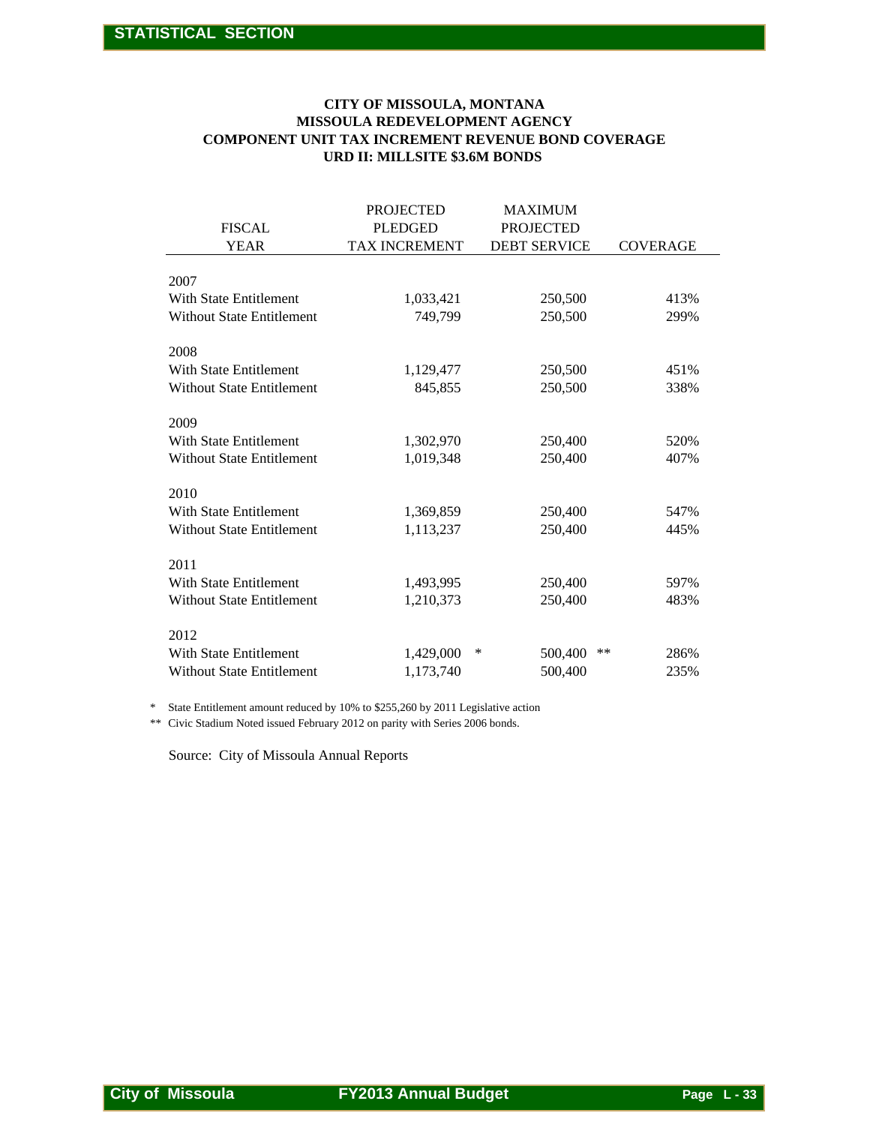#### **URD II: MILLSITE \$3.6M BONDS COMPONENT UNIT TAX INCREMENT REVENUE BOND COVERAGE MISSOULA REDEVELOPMENT AGENCY CITY OF MISSOULA, MONTANA**

| <b>COMPONENT UNIT TAX INCREMENT REVENUE BOND COVERAGE</b>                                                                                                           | MISSOULA REDEVELOPMENT AGENCY<br>URD II: MILLSITE \$3.6M BONDS |                                                           |                 |
|---------------------------------------------------------------------------------------------------------------------------------------------------------------------|----------------------------------------------------------------|-----------------------------------------------------------|-----------------|
| <b>FISCAL</b><br><b>YEAR</b>                                                                                                                                        | <b>PROJECTED</b><br><b>PLEDGED</b><br>TAX INCREMENT            | <b>MAXIMUM</b><br><b>PROJECTED</b><br><b>DEBT SERVICE</b> | <b>COVERAGE</b> |
| 2007                                                                                                                                                                |                                                                |                                                           |                 |
| With State Entitlement<br><b>Without State Entitlement</b>                                                                                                          | 1,033,421<br>749,799                                           | 250,500<br>250,500                                        | 413%<br>299%    |
| 2008                                                                                                                                                                |                                                                |                                                           |                 |
| With State Entitlement<br><b>Without State Entitlement</b>                                                                                                          | 1,129,477<br>845,855                                           | 250,500<br>250,500                                        | 451%<br>338%    |
| 2009                                                                                                                                                                |                                                                |                                                           |                 |
| With State Entitlement<br><b>Without State Entitlement</b>                                                                                                          | 1,302,970<br>1,019,348                                         | 250,400<br>250,400                                        | 520%<br>407%    |
| 2010                                                                                                                                                                |                                                                |                                                           |                 |
| With State Entitlement<br><b>Without State Entitlement</b>                                                                                                          | 1,369,859<br>1,113,237                                         | 250,400<br>250,400                                        | 547%<br>445%    |
| 2011                                                                                                                                                                |                                                                |                                                           |                 |
| With State Entitlement<br><b>Without State Entitlement</b>                                                                                                          | 1,493,995<br>1,210,373                                         | 250,400<br>250,400                                        | 597%<br>483%    |
| 2012                                                                                                                                                                |                                                                |                                                           |                 |
| <b>With State Entitlement</b><br>Without State Entitlement                                                                                                          | 1,429,000<br>1,173,740                                         | ∗<br>500,400<br>$***$<br>500,400                          | 286%<br>235%    |
| State Entitlement amount reduced by 10% to \$255,260 by 2011 Legislative action<br>Civic Stadium Noted issued February 2012 on parity with Series 2006 bonds.<br>** |                                                                |                                                           |                 |
| Source: City of Missoula Annual Reports                                                                                                                             |                                                                |                                                           |                 |
|                                                                                                                                                                     |                                                                |                                                           |                 |
|                                                                                                                                                                     |                                                                |                                                           |                 |
|                                                                                                                                                                     |                                                                |                                                           |                 |
|                                                                                                                                                                     |                                                                |                                                           |                 |
|                                                                                                                                                                     |                                                                |                                                           |                 |
|                                                                                                                                                                     |                                                                |                                                           |                 |
|                                                                                                                                                                     |                                                                |                                                           |                 |
|                                                                                                                                                                     |                                                                |                                                           |                 |
|                                                                                                                                                                     |                                                                |                                                           |                 |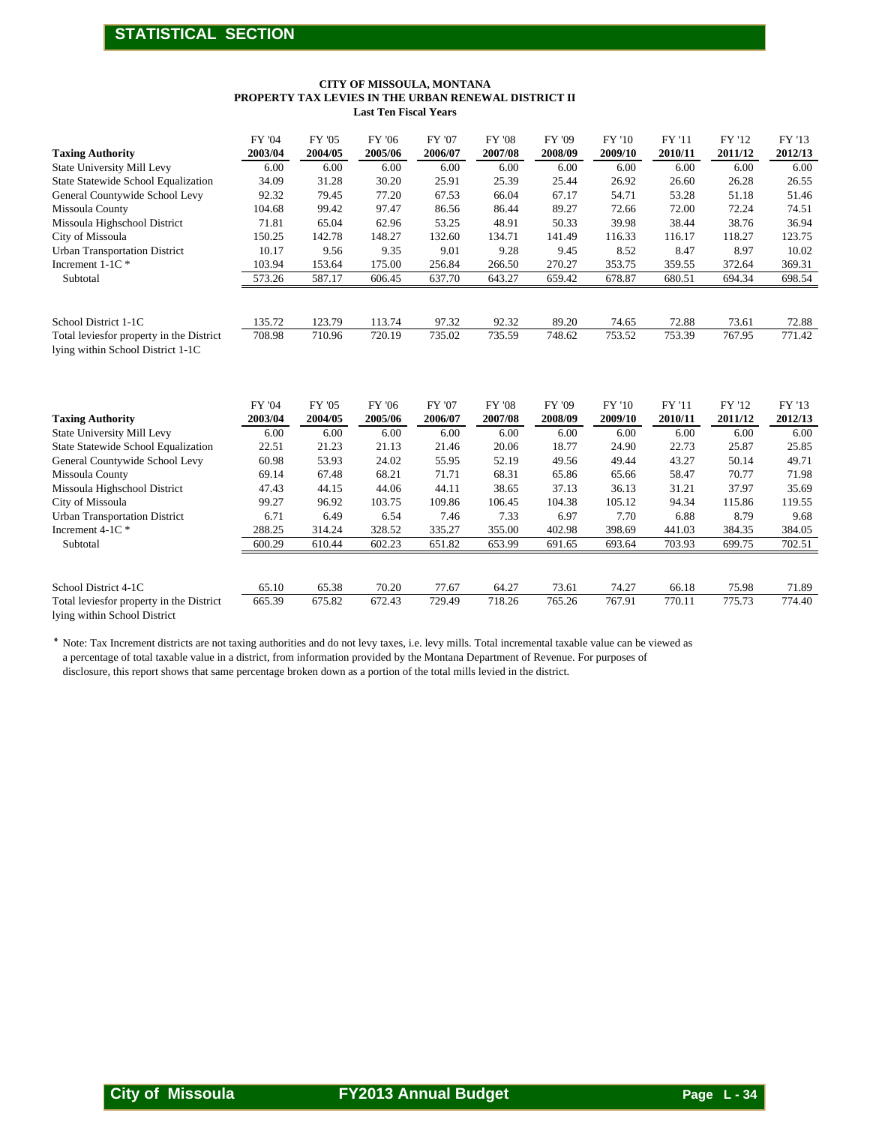#### **Last Ten Fiscal Years PROPERTY TAX LEVIES IN THE URBAN RENEWAL DISTRICT II CITY OF MISSOULA, MONTANA**

|                                                                                                                                                                                                                                                              | PROPERTY TAX LEVIES IN THE URBAN RENEWAL DISTRICT II |                   | <b>Last Ten Fiscal Years</b> | CITY OF MISSOULA, MONTANA   |                          |                   |                   |                   |                   |                   |
|--------------------------------------------------------------------------------------------------------------------------------------------------------------------------------------------------------------------------------------------------------------|------------------------------------------------------|-------------------|------------------------------|-----------------------------|--------------------------|-------------------|-------------------|-------------------|-------------------|-------------------|
| <b>Taxing Authority</b>                                                                                                                                                                                                                                      | FY '04<br>2003/04                                    | FY '05<br>2004/05 | <b>FY '06</b><br>2005/06     | FY '07<br>2006/07           | <b>FY '08</b><br>2007/08 | FY '09<br>2008/09 | FY '10<br>2009/10 | FY '11<br>2010/11 | FY '12<br>2011/12 | FY '13<br>2012/13 |
| State University Mill Levy                                                                                                                                                                                                                                   | 6.00                                                 | 6.00              | 6.00                         | 6.00                        | 6.00                     | 6.00              | 6.00              | 6.00              | 6.00              | 6.00              |
| State Statewide School Equalization                                                                                                                                                                                                                          | 34.09                                                | 31.28             | 30.20                        | 25.91                       | 25.39                    | 25.44             | 26.92             | 26.60             | 26.28             | 26.55             |
| General Countywide School Levy                                                                                                                                                                                                                               | 92.32                                                | 79.45             | 77.20                        | 67.53                       | 66.04                    | 67.17             | 54.71             | 53.28             | 51.18             | 51.46             |
| Missoula County                                                                                                                                                                                                                                              | 104.68                                               | 99.42             | 97.47                        | 86.56                       | 86.44                    | 89.27             | 72.66             | 72.00             | 72.24             | 74.51             |
| Missoula Highschool District<br>City of Missoula                                                                                                                                                                                                             | 71.81<br>150.25                                      | 65.04<br>142.78   | 62.96<br>148.27              | 53.25<br>132.60             | 48.91<br>134.71          | 50.33<br>141.49   | 39.98<br>116.33   | 38.44<br>116.17   | 38.76<br>118.27   | 36.94<br>123.75   |
| <b>Urban Transportation District</b>                                                                                                                                                                                                                         | 10.17                                                | 9.56              | 9.35                         | 9.01                        | 9.28                     | 9.45              | 8.52              | 8.47              | 8.97              | 10.02             |
| Increment 1-1C*                                                                                                                                                                                                                                              | 103.94                                               | 153.64            | 175.00                       | 256.84                      | 266.50                   | 270.27            | 353.75            | 359.55            | 372.64            | 369.31            |
| Subtotal                                                                                                                                                                                                                                                     | 573.26                                               | 587.17            | 606.45                       | 637.70                      | 643.27                   | 659.42            | 678.87            | 680.51            | 694.34            | 698.54            |
| School District 1-1C<br>Total leviesfor property in the District                                                                                                                                                                                             | 135.72<br>708.98                                     | 123.79<br>710.96  | 113.74<br>720.19             | 97.32<br>735.02             | 92.32<br>735.59          | 89.20<br>748.62   | 74.65<br>753.52   | 72.88<br>753.39   | 73.61<br>767.95   | 72.88<br>771.42   |
| lying within School District 1-1C                                                                                                                                                                                                                            |                                                      |                   |                              |                             |                          |                   |                   |                   |                   |                   |
|                                                                                                                                                                                                                                                              | FY '04                                               | FY '05            | <b>FY '06</b>                | FY '07                      | <b>FY '08</b>            | FY '09            | FY '10            | FY '11            | FY '12            | FY '13            |
| <b>Taxing Authority</b>                                                                                                                                                                                                                                      | 2003/04                                              | 2004/05           | 2005/06                      | 2006/07                     | 2007/08                  | 2008/09           | 2009/10           | 2010/11           | 2011/12           | 2012/13           |
| State University Mill Levy<br>State Statewide School Equalization                                                                                                                                                                                            | 6.00<br>22.51                                        | 6.00<br>21.23     | 6.00<br>21.13                | 6.00<br>21.46               | 6.00<br>20.06            | 6.00<br>18.77     | 6.00<br>24.90     | 6.00<br>22.73     | 6.00<br>25.87     | 6.00<br>25.85     |
| General Countywide School Levy                                                                                                                                                                                                                               | 60.98                                                | 53.93             | 24.02                        | 55.95                       | 52.19                    | 49.56             | 49.44             | 43.27             | 50.14             | 49.71             |
| Missoula County                                                                                                                                                                                                                                              | 69.14                                                | 67.48             | 68.21                        | 71.71                       | 68.31                    | 65.86             | 65.66             | 58.47             | 70.77             | 71.98             |
| Missoula Highschool District                                                                                                                                                                                                                                 | 47.43                                                | 44.15             | 44.06                        | 44.11                       | 38.65                    | 37.13             | 36.13             | 31.21             | 37.97             | 35.69             |
| City of Missoula                                                                                                                                                                                                                                             | 99.27                                                | 96.92             | 103.75                       | 109.86                      | 106.45                   | 104.38            | 105.12            | 94.34             | 115.86            | 119.55            |
| <b>Urban Transportation District</b><br>Increment 4-1C *                                                                                                                                                                                                     | 6.71<br>288.25                                       | 6.49<br>314.24    | 6.54<br>328.52               | 7.46<br>335.27              | 7.33<br>355.00           | 6.97<br>402.98    | 7.70<br>398.69    | 6.88<br>441.03    | 8.79<br>384.35    | 9.68<br>384.05    |
| Subtotal                                                                                                                                                                                                                                                     | 600.29                                               | 610.44            | 602.23                       | 651.82                      | 653.99                   | 691.65            | 693.64            | 703.93            | 699.75            | 702.51            |
| School District 4-1C                                                                                                                                                                                                                                         | 65.10                                                | 65.38             | 70.20                        | 77.67                       | 64.27                    | 73.61             | 74.27             | 66.18             | 75.98             | 71.89             |
| Total leviesfor property in the District<br>lying within School District                                                                                                                                                                                     | 665.39                                               | 675.82            | 672.43                       | 729.49                      | 718.26                   | 765.26            | 767.91            | 770.11            | 775.73            | 774.40            |
| a percentage of total taxable value in a district, from information provided by the Montana Department of Revenue. For purposes of<br>disclosure, this report shows that same percentage broken down as a portion of the total mills levied in the district. |                                                      |                   |                              |                             |                          |                   |                   |                   |                   |                   |
|                                                                                                                                                                                                                                                              |                                                      |                   |                              |                             |                          |                   |                   |                   |                   |                   |
| <b>City of Missoula</b>                                                                                                                                                                                                                                      |                                                      |                   |                              | <b>FY2013 Annual Budget</b> |                          |                   |                   |                   | Page $L - 34$     |                   |

| <b>Taxing Authority</b>                                                       | 2003/04           | 2004/05           | 2005/06           | 2006/07           | 2007/08                  | 2008/09           | 2009/10           | 2010/11           | 2011/12           | 2012/13           |
|-------------------------------------------------------------------------------|-------------------|-------------------|-------------------|-------------------|--------------------------|-------------------|-------------------|-------------------|-------------------|-------------------|
| <b>State University Mill Levy</b>                                             | 6.00              | 6.00              | 6.00              | 6.00              | 6.00                     | 6.00              | 6.00              | 6.00              | 6.00              | 6.00              |
| State Statewide School Equalization                                           | 34.09             | 31.28             | 30.20             | 25.91             | 25.39                    | 25.44             | 26.92             | 26.60             | 26.28             | 26.55             |
| General Countywide School Levy                                                | 92.32             | 79.45             | 77.20             | 67.53             | 66.04                    | 67.17             | 54.71             | 53.28             | 51.18             | 51.46             |
| Missoula County                                                               | 104.68            | 99.42             | 97.47             | 86.56             | 86.44                    | 89.27             | 72.66             | 72.00             | 72.24             | 74.51             |
| Missoula Highschool District                                                  | 71.81             | 65.04             | 62.96             | 53.25             | 48.91                    | 50.33             | 39.98             | 38.44             | 38.76             | 36.94             |
| City of Missoula                                                              | 150.25            | 142.78            | 148.27            | 132.60            | 134.71                   | 141.49            | 116.33            | 116.17            | 118.27            | 123.75            |
| <b>Urban Transportation District</b>                                          | 10.17             | 9.56              | 9.35              | 9.01              | 9.28                     | 9.45              | 8.52              | 8.47              | 8.97              | 10.02             |
| Increment 1-1C*                                                               | 103.94            | 153.64            | 175.00            | 256.84            | 266.50                   | 270.27            | 353.75            | 359.55            | 372.64            | 369.31            |
| Subtotal                                                                      | 573.26            | 587.17            | 606.45            | 637.70            | 643.27                   | 659.42            | 678.87            | 680.51            | 694.34            | 698.54            |
|                                                                               |                   |                   |                   |                   |                          |                   |                   |                   |                   |                   |
| School District 1-1C                                                          | 135.72            | 123.79            | 113.74            | 97.32             | 92.32                    | 89.20             | 74.65             | 72.88             | 73.61             | 72.88             |
| Total leviesfor property in the District<br>lying within School District 1-1C | 708.98            | 710.96            | 720.19            | 735.02            | 735.59                   | 748.62            | 753.52            | 753.39            | 767.95            | 771.42            |
| <b>Taxing Authority</b>                                                       | FY '04<br>2003/04 | FY '05<br>2004/05 | FY '06<br>2005/06 | FY '07<br>2006/07 | <b>FY '08</b><br>2007/08 | FY '09<br>2008/09 | FY '10<br>2009/10 | FY '11<br>2010/11 | FY '12<br>2011/12 | FY '13<br>2012/13 |
| <b>State University Mill Levy</b>                                             | 6.00              | 6.00              | 6.00              | 6.00              | 6.00                     | 6.00              | 6.00              | 6.00              | 6.00              | 6.00              |
| State Statewide School Equalization                                           | 22.51             | 21.23             | 21.13             | 21.46             | 20.06                    | 18.77             | 24.90             | 22.73             | 25.87             | 25.85             |
| General Countywide School Levy                                                | 60.98             | 53.93             | 24.02             | 55.95             | 52.19                    | 49.56             | 49.44             | 43.27             | 50.14             | 49.71             |
| Missoula County                                                               | 69.14             | 67.48             | 68.21             | 71.71             | 68.31                    | 65.86             | 65.66             | 58.47             | 70.77             | 71.98             |
| Missoula Highschool District                                                  | 47.43             | 44.15             | 44.06             | 44.11             | 38.65                    | 37.13             | 36.13             | 31.21             | 37.97             | 35.69             |
| City of Missoula                                                              | 99.27             | 96.92             | 103.75            | 109.86            | 106.45                   | 104.38            | 105.12            | 94.34             | 115.86            | 119.55            |
| <b>Urban Transportation District</b>                                          | 6.71              | 6.49              | 6.54              | 7.46              | 7.33                     | 6.97              | 7.70              | 6.88              | 8.79              | 9.68              |
| Increment 4-1C *                                                              | 288.25            | 314.24            | 328.52            | 335.27            | 355.00                   | 402.98            | 398.69            | 441.03            | 384.35            | 384.05            |
| Subtotal                                                                      | 600.29            | 610.44            | 602.23            | 651.82            | 653.99                   | 691.65            | 693.64            | 703.93            | 699.75            | 702.51            |
| School District 4-1C                                                          | 65.10             | 65.38             | 70.20             | 77.67             | 64.27                    | 73.61             | 74.27             | 66.18             | 75.98             | 71.89             |
| Total leviesfor property in the District                                      | 665.39            | 675.82            | 672.43            | 729.49            | 718.26                   | 765.26            | 767.91            | 770.11            | 775.73            | 774.40            |
| lying within School District                                                  |                   |                   |                   |                   |                          |                   |                   |                   |                   |                   |
| $x \sim m$                                                                    |                   |                   |                   |                   |                          |                   |                   |                   |                   |                   |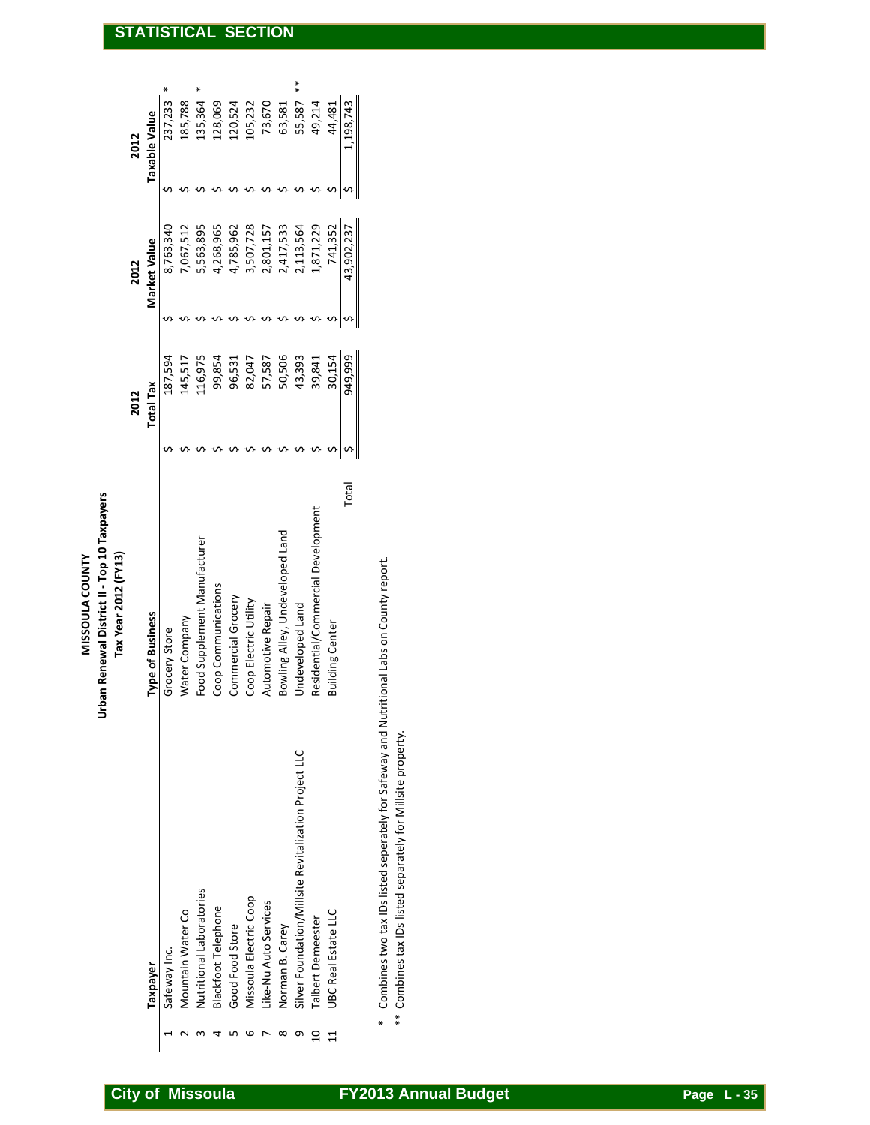| $*$<br>$\ast$<br>∗<br>237,233<br>73,670<br>185,788<br>135,364<br>128,069<br>120,524<br>105,232<br>49,214<br>55,587<br>.198,743<br>63,581<br>44,481<br>Taxable Value<br>2012<br>᠊᠕<br>∽<br>᠊ᡃ<br>᠊᠍᠍ᡐ<br>᠊᠊ᢅ<br>∽<br>∽<br>5,563,895<br>3,507,728<br>2,417,533<br>1,871,229<br>8,763,340<br>7,067,512<br>4,268,965<br>2,113,564<br>4,785,962<br>2,801,157<br>741,352<br>43,902,237<br>Market Value<br>2012<br>∽<br>s s<br>᠊ᡐ<br>᠊ᡐ<br>᠊ᡐ<br>᠊ᡐ<br>᠊ᡐ<br>᠊ᡐ<br>∽<br>∽<br>50,506<br>949,999<br>116,975<br>43,393<br>30,154<br>187,594<br>99,854<br>39,841<br>145,517<br>96,531<br>82,047<br>57,587<br><b>Total Tax</b><br>2012<br>Ş<br>∽<br>᠊ᠬ<br>᠊ᡐ<br>᠊ᡐ<br>᠊ᠬ<br>∽<br>∽<br>᠊ᠬ<br>᠊ᠬ<br>᠊᠕<br>Total<br>Residential/Commercial Development<br>Bowling Alley, Undeveloped Land<br>Food Supplement Manufacturer<br>Tax Year 2012 (FY13)<br>Combines two tax IDs listed seperately for Safeway and Nutritional Labs on County report.<br>Coop Communications<br>Commercial Grocery<br>Coop Electric Utility<br>Automotive Repair<br>Undeveloped Land<br>Type of Business<br>Water Company<br><b>Building Center</b><br>Grocery Store<br>** Combines tax IDs listed separately for Millsite property.<br>Silver Foundation/Millsite Revitalization Project LLC<br>Nutritional Laboratories<br>Missoula Electric Coop<br>Like-Nu Auto Services<br><b>Blackfoot Telephone</b><br>Mountain Water Co<br>UBC Real Estate LLC<br>Talbert Demeester<br>Good Food Store<br>Norman B. Carey<br>Safeway Inc.<br><b>Taxpayer</b><br>$\ast$<br>5 6 7<br>$\infty$<br>G<br>$\overline{10}$<br>$\,$ $\,$<br>4<br>$\sim$<br>11<br>H | <b>STATISTICAL</b> |  |  |  |  | <b>SECTION</b> |  |  |
|--------------------------------------------------------------------------------------------------------------------------------------------------------------------------------------------------------------------------------------------------------------------------------------------------------------------------------------------------------------------------------------------------------------------------------------------------------------------------------------------------------------------------------------------------------------------------------------------------------------------------------------------------------------------------------------------------------------------------------------------------------------------------------------------------------------------------------------------------------------------------------------------------------------------------------------------------------------------------------------------------------------------------------------------------------------------------------------------------------------------------------------------------------------------------------------------------------------------------------------------------------------------------------------------------------------------------------------------------------------------------------------------------------------------------------------------------------------------------------------------------------------------------------------------------------------------------------------------------------------|--------------------|--|--|--|--|----------------|--|--|
|                                                                                                                                                                                                                                                                                                                                                                                                                                                                                                                                                                                                                                                                                                                                                                                                                                                                                                                                                                                                                                                                                                                                                                                                                                                                                                                                                                                                                                                                                                                                                                                                              |                    |  |  |  |  |                |  |  |
|                                                                                                                                                                                                                                                                                                                                                                                                                                                                                                                                                                                                                                                                                                                                                                                                                                                                                                                                                                                                                                                                                                                                                                                                                                                                                                                                                                                                                                                                                                                                                                                                              |                    |  |  |  |  |                |  |  |
|                                                                                                                                                                                                                                                                                                                                                                                                                                                                                                                                                                                                                                                                                                                                                                                                                                                                                                                                                                                                                                                                                                                                                                                                                                                                                                                                                                                                                                                                                                                                                                                                              |                    |  |  |  |  |                |  |  |
|                                                                                                                                                                                                                                                                                                                                                                                                                                                                                                                                                                                                                                                                                                                                                                                                                                                                                                                                                                                                                                                                                                                                                                                                                                                                                                                                                                                                                                                                                                                                                                                                              |                    |  |  |  |  |                |  |  |
|                                                                                                                                                                                                                                                                                                                                                                                                                                                                                                                                                                                                                                                                                                                                                                                                                                                                                                                                                                                                                                                                                                                                                                                                                                                                                                                                                                                                                                                                                                                                                                                                              |                    |  |  |  |  |                |  |  |
|                                                                                                                                                                                                                                                                                                                                                                                                                                                                                                                                                                                                                                                                                                                                                                                                                                                                                                                                                                                                                                                                                                                                                                                                                                                                                                                                                                                                                                                                                                                                                                                                              |                    |  |  |  |  |                |  |  |
|                                                                                                                                                                                                                                                                                                                                                                                                                                                                                                                                                                                                                                                                                                                                                                                                                                                                                                                                                                                                                                                                                                                                                                                                                                                                                                                                                                                                                                                                                                                                                                                                              |                    |  |  |  |  |                |  |  |
|                                                                                                                                                                                                                                                                                                                                                                                                                                                                                                                                                                                                                                                                                                                                                                                                                                                                                                                                                                                                                                                                                                                                                                                                                                                                                                                                                                                                                                                                                                                                                                                                              |                    |  |  |  |  |                |  |  |
| <b>City of Missoula</b><br><b>FY2013 Annual Budget</b><br>Page $L - 35$                                                                                                                                                                                                                                                                                                                                                                                                                                                                                                                                                                                                                                                                                                                                                                                                                                                                                                                                                                                                                                                                                                                                                                                                                                                                                                                                                                                                                                                                                                                                      |                    |  |  |  |  |                |  |  |

**MISSOULA COUNTY Urban Renewal District II ‐ Top 10 Taxpayers**

MISSOULA COUNTY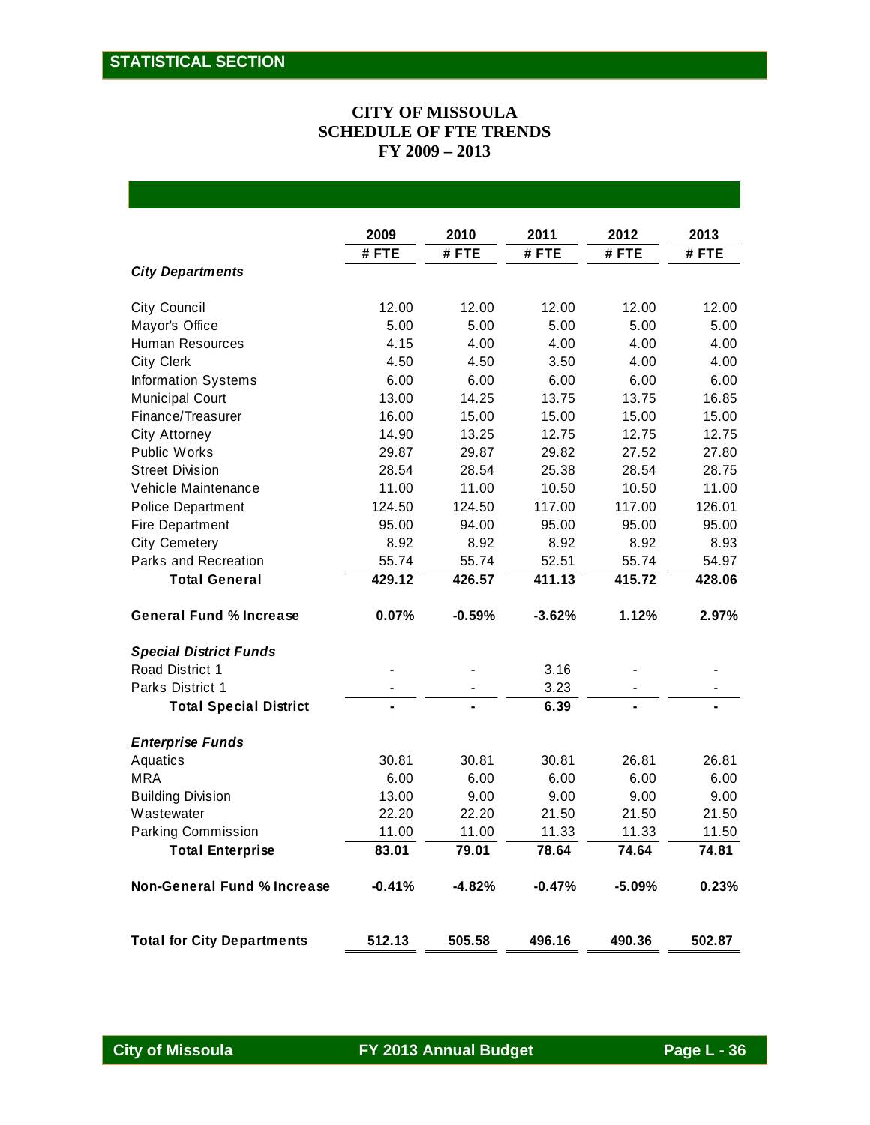#### **CITY OF MISSOULA SCHEDULE OF FTE TRENDS FY 2009 – 2013**

|                                    | 2009     | 2010     | 2011     | 2012     | 2013    |
|------------------------------------|----------|----------|----------|----------|---------|
|                                    | #FTE     | #FTE     | #FTE     | #FTE     | $#$ FTE |
| <b>City Departments</b>            |          |          |          |          |         |
| City Council                       | 12.00    | 12.00    | 12.00    | 12.00    | 12.00   |
| Mayor's Office                     | 5.00     | 5.00     | 5.00     | 5.00     | 5.00    |
| <b>Human Resources</b>             | 4.15     | 4.00     | 4.00     | 4.00     | 4.00    |
| <b>City Clerk</b>                  | 4.50     | 4.50     | 3.50     | 4.00     | 4.00    |
| <b>Information Systems</b>         | 6.00     | 6.00     | 6.00     | 6.00     | 6.00    |
| <b>Municipal Court</b>             | 13.00    | 14.25    | 13.75    | 13.75    | 16.85   |
| Finance/Treasurer                  | 16.00    | 15.00    | 15.00    | 15.00    | 15.00   |
| City Attorney                      | 14.90    | 13.25    | 12.75    | 12.75    | 12.75   |
| <b>Public Works</b>                | 29.87    | 29.87    | 29.82    | 27.52    | 27.80   |
| <b>Street Division</b>             | 28.54    | 28.54    | 25.38    | 28.54    | 28.75   |
| Vehicle Maintenance                | 11.00    | 11.00    | 10.50    | 10.50    | 11.00   |
| <b>Police Department</b>           | 124.50   | 124.50   | 117.00   | 117.00   | 126.01  |
| Fire Department                    | 95.00    | 94.00    | 95.00    | 95.00    | 95.00   |
| <b>City Cemetery</b>               | 8.92     | 8.92     | 8.92     | 8.92     | 8.93    |
| Parks and Recreation               | 55.74    | 55.74    | 52.51    | 55.74    | 54.97   |
| <b>Total General</b>               | 429.12   | 426.57   | 411.13   | 415.72   | 428.06  |
| <b>General Fund % Increase</b>     | 0.07%    | $-0.59%$ | $-3.62%$ | 1.12%    | 2.97%   |
| <b>Special District Funds</b>      |          |          |          |          |         |
| Road District 1                    |          |          | 3.16     |          |         |
| <b>Parks District 1</b>            |          |          | 3.23     |          |         |
| <b>Total Special District</b>      |          |          | 6.39     |          |         |
| <b>Enterprise Funds</b>            |          |          |          |          |         |
| Aquatics                           | 30.81    | 30.81    | 30.81    | 26.81    | 26.81   |
| <b>MRA</b>                         | 6.00     | 6.00     | 6.00     | 6.00     | 6.00    |
| <b>Building Division</b>           | 13.00    | 9.00     | 9.00     | 9.00     | 9.00    |
| Wastewater                         | 22.20    | 22.20    | 21.50    | 21.50    | 21.50   |
| Parking Commission                 | 11.00    | 11.00    | 11.33    | 11.33    | 11.50   |
| <b>Total Enterprise</b>            | 83.01    | 79.01    | 78.64    | 74.64    | 74.81   |
| <b>Non-General Fund % Increase</b> | $-0.41%$ | $-4.82%$ | $-0.47%$ | $-5.09%$ | 0.23%   |
| <b>Total for City Departments</b>  | 512.13   | 505.58   | 496.16   | 490.36   | 502.87  |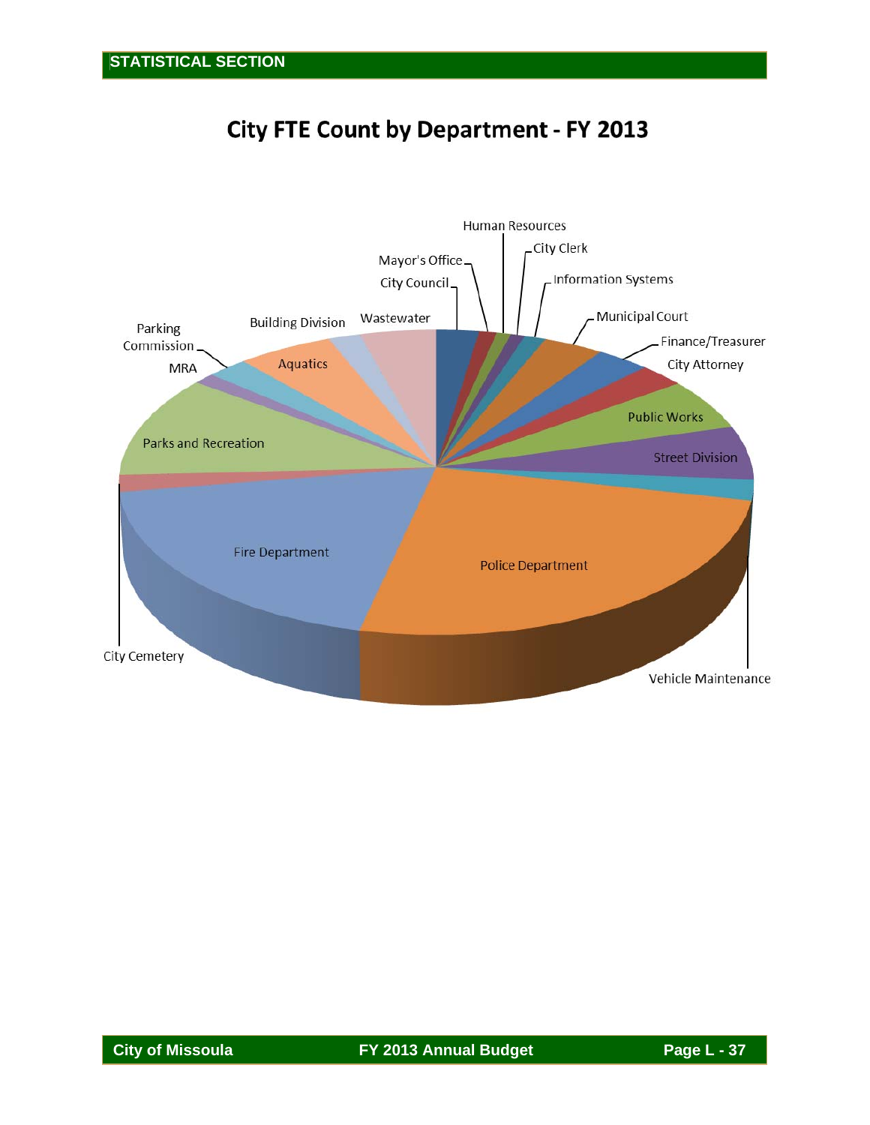# **City FTE Count by Department - FY 2013**

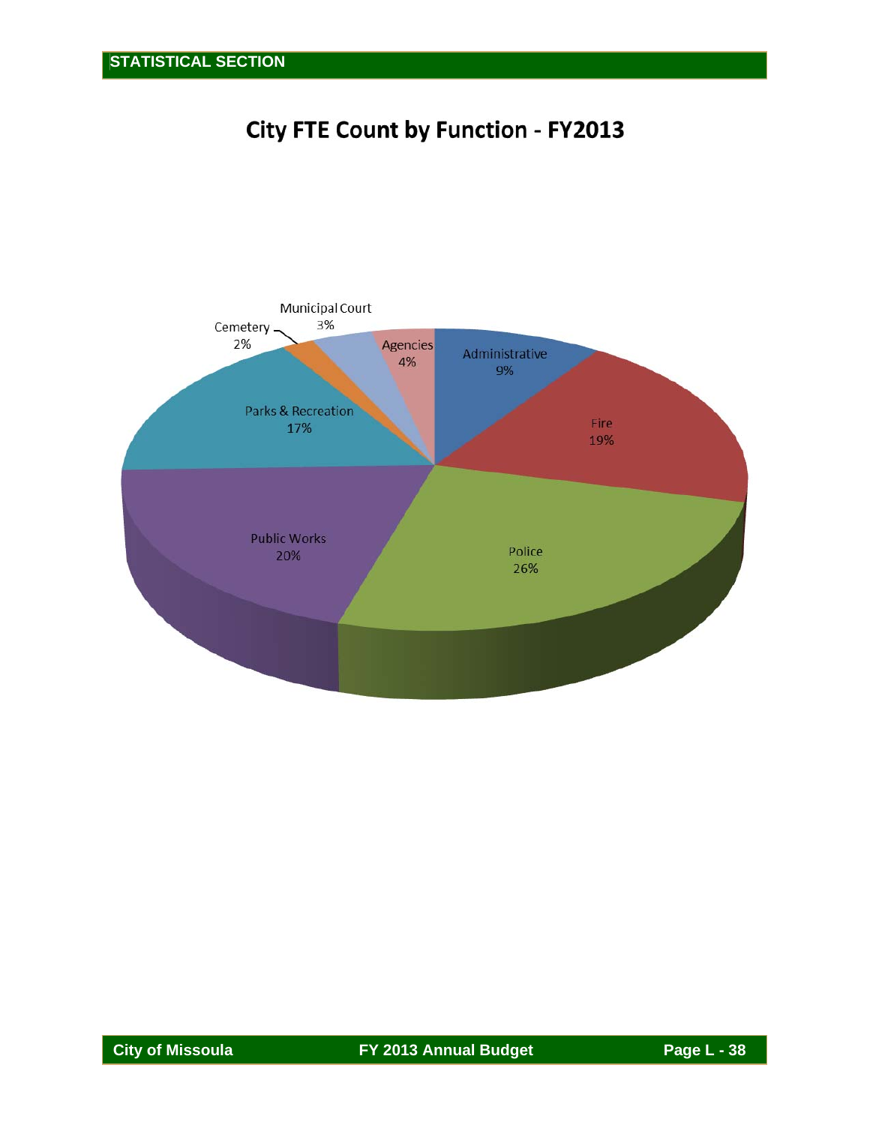# **City FTE Count by Function - FY2013**